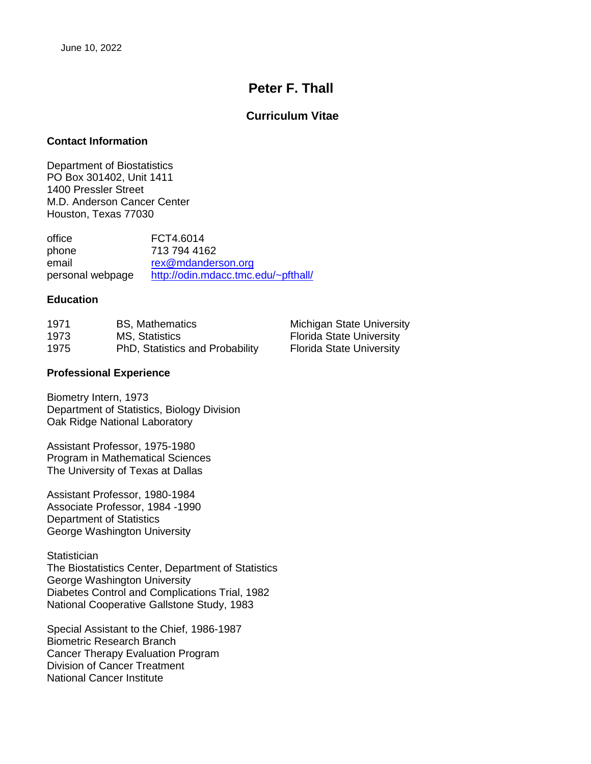# **Peter F. Thall**

# **Curriculum Vitae**

### **Contact Information**

Department of Biostatistics PO Box 301402, Unit 1411 1400 Pressler Street M.D. Anderson Cancer Center Houston, Texas 77030

office FCT4.6014 phone 713 794 4162 email [rex@mdanderson.org](mailto:rex@mdanderson.org) personal webpage <http://odin.mdacc.tmc.edu/~pfthall/>

### **Education**

| 1971 | <b>BS, Mathematics</b>          | <b>Michigan State University</b> |
|------|---------------------------------|----------------------------------|
| 1973 | MS, Statistics                  | <b>Florida State University</b>  |
| 1975 | PhD, Statistics and Probability | <b>Florida State University</b>  |

### **Professional Experience**

Biometry Intern, 1973 Department of Statistics, Biology Division Oak Ridge National Laboratory

Assistant Professor, 1975-1980 Program in Mathematical Sciences The University of Texas at Dallas

Assistant Professor, 1980-1984 Associate Professor, 1984 -1990 Department of Statistics George Washington University

**Statistician** 

The Biostatistics Center, Department of Statistics George Washington University Diabetes Control and Complications Trial, 1982 National Cooperative Gallstone Study, 1983

Special Assistant to the Chief, 1986-1987 Biometric Research Branch Cancer Therapy Evaluation Program Division of Cancer Treatment National Cancer Institute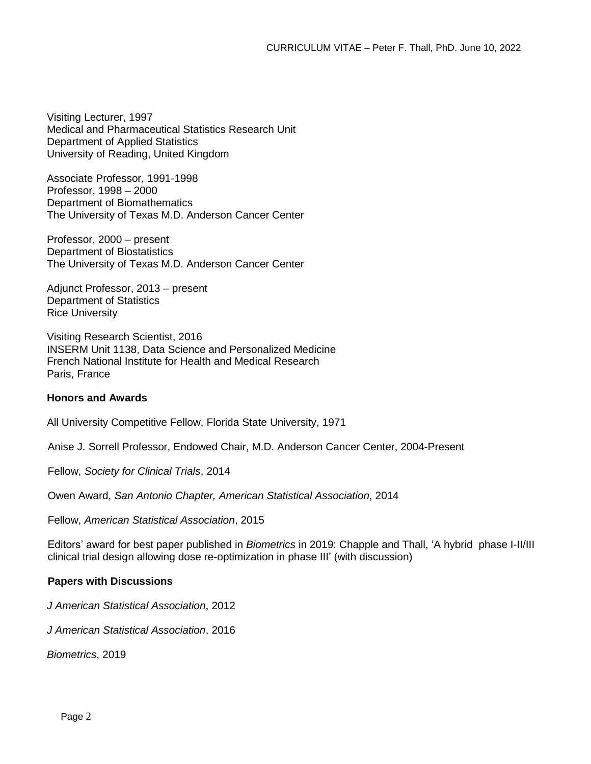Visiting Lecturer, 1997 Medical and Pharmaceutical Statistics Research Unit Department of Applied Statistics University of Reading, United Kingdom

Associate Professor, 1991-1998 Professor, 1998 – 2000 Department of Biomathematics The University of Texas M.D. Anderson Cancer Center

Professor, 2000 – present Department of Biostatistics The University of Texas M.D. Anderson Cancer Center

Adjunct Professor, 2013 – present Department of Statistics Rice University

Visiting Research Scientist, 2016 INSERM Unit 1138, Data Science and Personalized Medicine French National Institute for Health and Medical Research Paris, France

# **Honors and Awards**

All University Competitive Fellow, Florida State University, 1971

Anise J. Sorrell Professor, Endowed Chair, M.D. Anderson Cancer Center, 2004-Present

Fellow, *Society for Clinical Trials*, 2014

Owen Award, *San Antonio Chapter, American Statistical Association*, 2014

Fellow, *American Statistical Association*, 2015

Editors' award for best paper published in *Biometrics* in 2019: Chapple and Thall, 'A hybrid phase I-II/III clinical trial design allowing dose re-optimization in phase III' (with discussion)

# **Papers with Discussions**

*J American Statistical Association*, 2012

*J American Statistical Association*, 2016

*Biometrics*, 2019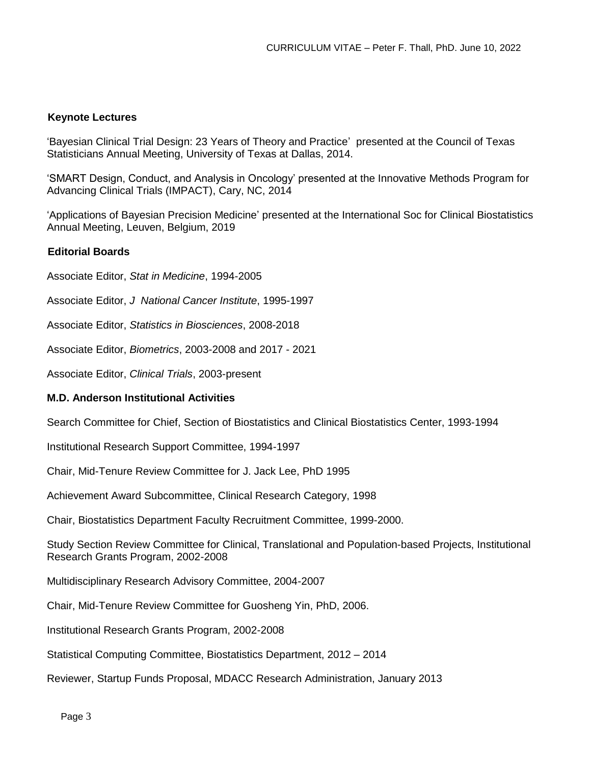# **Keynote Lectures**

'Bayesian Clinical Trial Design: 23 Years of Theory and Practice' presented at the Council of Texas Statisticians Annual Meeting, University of Texas at Dallas, 2014.

'SMART Design, Conduct, and Analysis in Oncology' presented at the Innovative Methods Program for Advancing Clinical Trials (IMPACT), Cary, NC, 2014

'Applications of Bayesian Precision Medicine' presented at the International Soc for Clinical Biostatistics Annual Meeting, Leuven, Belgium, 2019

### **Editorial Boards**

Associate Editor, *Stat in Medicine*, 1994-2005

Associate Editor, *J National Cancer Institute*, 1995-1997

Associate Editor, *Statistics in Biosciences*, 2008-2018

Associate Editor, *Biometrics*, 2003-2008 and 2017 - 2021

Associate Editor, *Clinical Trials*, 2003-present

### **M.D. Anderson Institutional Activities**

Search Committee for Chief, Section of Biostatistics and Clinical Biostatistics Center, 1993-1994

Institutional Research Support Committee, 1994-1997

Chair, Mid-Tenure Review Committee for J. Jack Lee, PhD 1995

Achievement Award Subcommittee, Clinical Research Category, 1998

Chair, Biostatistics Department Faculty Recruitment Committee, 1999-2000.

Study Section Review Committee for Clinical, Translational and Population-based Projects, Institutional Research Grants Program, 2002-2008

Multidisciplinary Research Advisory Committee, 2004-2007

Chair, Mid-Tenure Review Committee for Guosheng Yin, PhD, 2006.

Institutional Research Grants Program, 2002-2008

Statistical Computing Committee, Biostatistics Department, 2012 – 2014

Reviewer, Startup Funds Proposal, MDACC Research Administration, January 2013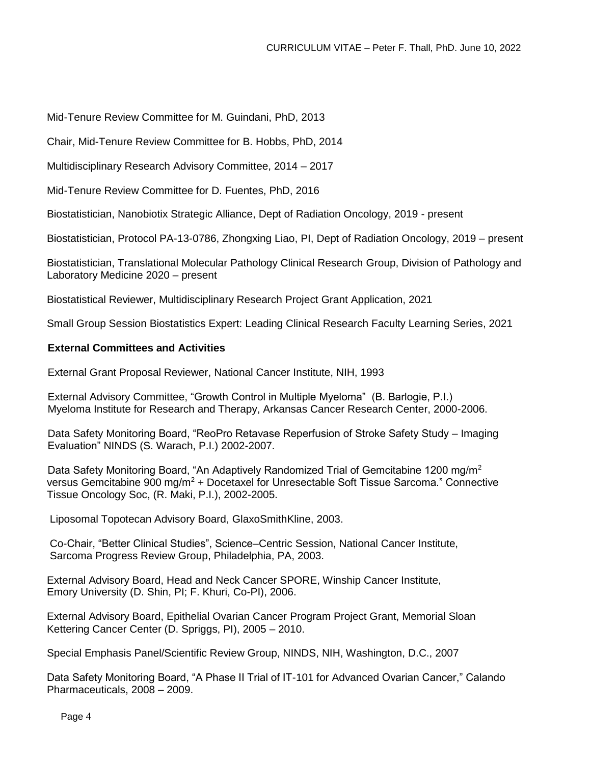Mid-Tenure Review Committee for M. Guindani, PhD, 2013

Chair, Mid-Tenure Review Committee for B. Hobbs, PhD, 2014

Multidisciplinary Research Advisory Committee, 2014 – 2017

Mid-Tenure Review Committee for D. Fuentes, PhD, 2016

Biostatistician, Nanobiotix Strategic Alliance, Dept of Radiation Oncology, 2019 - present

Biostatistician, Protocol PA-13-0786, Zhongxing Liao, PI, Dept of Radiation Oncology, 2019 – present

Biostatistician, Translational Molecular Pathology Clinical Research Group, Division of Pathology and Laboratory Medicine 2020 – present

Biostatistical Reviewer, Multidisciplinary Research Project Grant Application, 2021

Small Group Session Biostatistics Expert: Leading Clinical Research Faculty Learning Series, 2021

### **External Committees and Activities**

External Grant Proposal Reviewer, National Cancer Institute, NIH, 1993

External Advisory Committee, "Growth Control in Multiple Myeloma" (B. Barlogie, P.I.) Myeloma Institute for Research and Therapy, Arkansas Cancer Research Center, 2000-2006.

Data Safety Monitoring Board, "ReoPro Retavase Reperfusion of Stroke Safety Study – Imaging Evaluation" NINDS (S. Warach, P.I.) 2002-2007.

Data Safety Monitoring Board, "An Adaptively Randomized Trial of Gemcitabine 1200 mg/m<sup>2</sup> versus Gemcitabine 900 mg/m<sup>2</sup> + Docetaxel for Unresectable Soft Tissue Sarcoma." Connective Tissue Oncology Soc, (R. Maki, P.I.), 2002-2005.

Liposomal Topotecan Advisory Board, GlaxoSmithKline, 2003.

Co-Chair, "Better Clinical Studies", Science–Centric Session, National Cancer Institute, Sarcoma Progress Review Group, Philadelphia, PA, 2003.

External Advisory Board, Head and Neck Cancer SPORE, Winship Cancer Institute, Emory University (D. Shin, PI; F. Khuri, Co-PI), 2006.

External Advisory Board, Epithelial Ovarian Cancer Program Project Grant, Memorial Sloan Kettering Cancer Center (D. Spriggs, PI), 2005 – 2010.

Special Emphasis Panel/Scientific Review Group, NINDS, NIH, Washington, D.C., 2007

Data Safety Monitoring Board, "A Phase II Trial of IT-101 for Advanced Ovarian Cancer," Calando Pharmaceuticals, 2008 – 2009.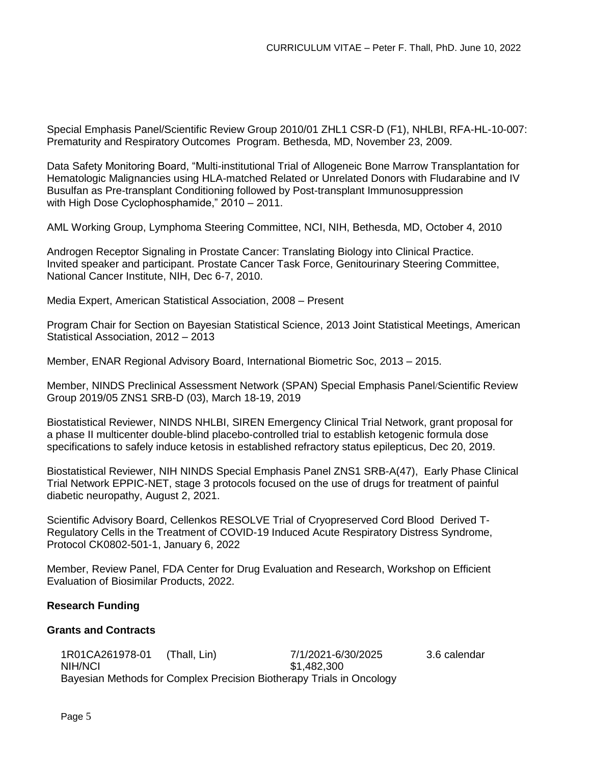Special Emphasis Panel/Scientific Review Group 2010/01 ZHL1 CSR-D (F1), NHLBI, RFA-HL-10-007: Prematurity and Respiratory Outcomes Program. Bethesda, MD, November 23, 2009.

Data Safety Monitoring Board, "Multi-institutional Trial of Allogeneic Bone Marrow Transplantation for Hematologic Malignancies using HLA-matched Related or Unrelated Donors with Fludarabine and IV Busulfan as Pre-transplant Conditioning followed by Post-transplant Immunosuppression with High Dose Cyclophosphamide," 2010 – 2011.

AML Working Group, Lymphoma Steering Committee, NCI, NIH, Bethesda, MD, October 4, 2010

Androgen Receptor Signaling in Prostate Cancer: Translating Biology into Clinical Practice. Invited speaker and participant. Prostate Cancer Task Force, Genitourinary Steering Committee, National Cancer Institute, NIH, Dec 6-7, 2010.

Media Expert, American Statistical Association, 2008 – Present

Program Chair for Section on Bayesian Statistical Science, 2013 Joint Statistical Meetings, American Statistical Association, 2012 – 2013

Member, ENAR Regional Advisory Board, International Biometric Soc, 2013 – 2015.

Member, NINDS Preclinical Assessment Network (SPAN) Special Emphasis Panel/Scientific Review Group 2019/05 ZNS1 SRB-D (03), March 18-19, 2019

Biostatistical Reviewer, NINDS NHLBI, SIREN Emergency Clinical Trial Network, grant proposal for a phase II multicenter double-blind placebo-controlled trial to establish ketogenic formula dose specifications to safely induce ketosis in established refractory status epilepticus, Dec 20, 2019.

Biostatistical Reviewer, NIH NINDS Special Emphasis Panel ZNS1 SRB-A(47), Early Phase Clinical Trial Network EPPIC-NET, stage 3 protocols focused on the use of drugs for treatment of painful diabetic neuropathy, August 2, 2021.

Scientific Advisory Board, Cellenkos RESOLVE Trial of Cryopreserved Cord Blood Derived T-Regulatory Cells in the Treatment of COVID-19 Induced Acute Respiratory Distress Syndrome, Protocol CK0802-501-1, January 6, 2022

Member, Review Panel, FDA Center for Drug Evaluation and Research, Workshop on Efficient Evaluation of Biosimilar Products, 2022.

# **Research Funding**

### **Grants and Contracts**

1R01CA261978-01 (Thall, Lin) 7/1/2021-6/30/2025 3.6 calendar NIH/NCI \$1,482,300 Bayesian Methods for Complex Precision Biotherapy Trials in Oncology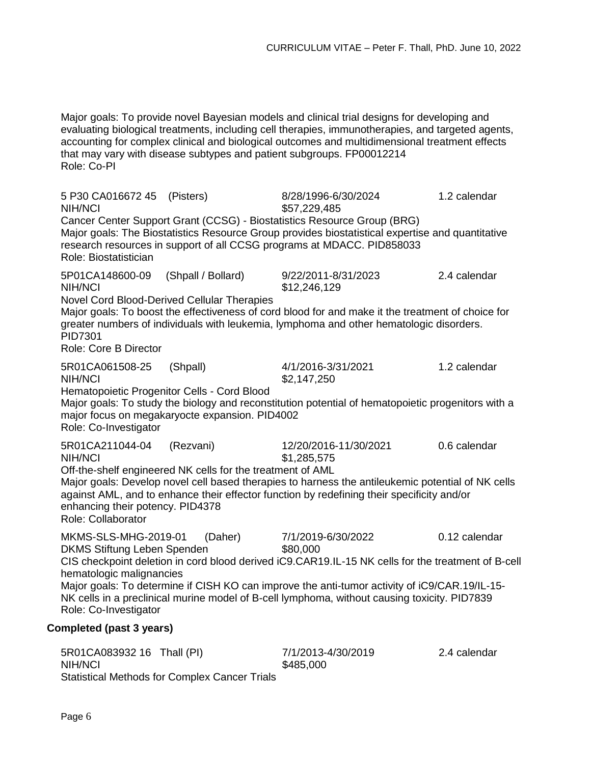Major goals: To provide novel Bayesian models and clinical trial designs for developing and evaluating biological treatments, including cell therapies, immunotherapies, and targeted agents, accounting for complex clinical and biological outcomes and multidimensional treatment effects that may vary with disease subtypes and patient subgroups. FP00012214 Role: Co-PI

5 P30 CA016672 45 (Pisters) 8/28/1996-6/30/2024 1.2 calendar NIH/NCI \$57,229,485 Cancer Center Support Grant (CCSG) - Biostatistics Resource Group (BRG) Major goals: The Biostatistics Resource Group provides biostatistical expertise and quantitative research resources in support of all CCSG programs at MDACC. PID858033 Role: Biostatistician 5P01CA148600-09 (Shpall / Bollard) 9/22/2011-8/31/2023 2.4 calendar NIH/NCI \$12,246,129 Novel Cord Blood-Derived Cellular Therapies Major goals: To boost the effectiveness of cord blood for and make it the treatment of choice for greater numbers of individuals with leukemia, lymphoma and other hematologic disorders. PID7301 Role: Core B Director 5R01CA061508-25 (Shpall) 4/1/2016-3/31/2021 1.2 calendar NIH/NCI \$2,147,250 Hematopoietic Progenitor Cells - Cord Blood Major goals: To study the biology and reconstitution potential of hematopoietic progenitors with a major focus on megakaryocte expansion. PID4002 Role: Co-Investigator 5R01CA211044-04 (Rezvani) 12/20/2016-11/30/2021 0.6 calendar NIH/NCI \$1,285,575 Off-the-shelf engineered NK cells for the treatment of AML Major goals: Develop novel cell based therapies to harness the antileukemic potential of NK cells against AML, and to enhance their effector function by redefining their specificity and/or enhancing their potency. PID4378 Role: Collaborator MKMS-SLS-MHG-2019-01 (Daher) 7/1/2019-6/30/2022 0.12 calendar DKMS Stiftung Leben Spenden \$80,000 CIS checkpoint deletion in cord blood derived iC9.CAR19.IL-15 NK cells for the treatment of B-cell hematologic malignancies Major goals: To determine if CISH KO can improve the anti-tumor activity of iC9/CAR.19/IL-15- NK cells in a preclinical murine model of B-cell lymphoma, without causing toxicity. PID7839 Role: Co-Investigator **Completed (past 3 years)** 5R01CA083932 16 Thall (PI) 7/1/2013-4/30/2019 2.4 calendar NIH/NCI \$485,000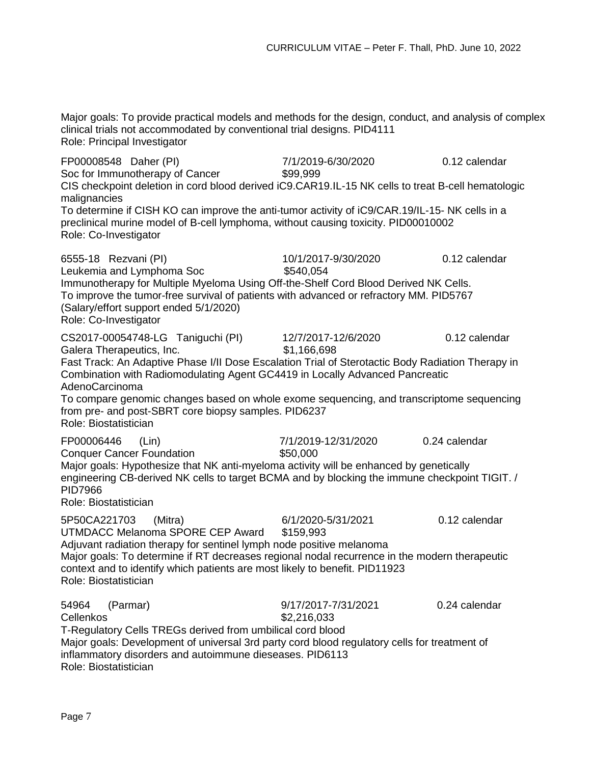Major goals: To provide practical models and methods for the design, conduct, and analysis of complex clinical trials not accommodated by conventional trial designs. PID4111 Role: Principal Investigator

FP00008548 Daher (PI) 7/1/2019-6/30/2020 0.12 calendar Soc for Immunotherapy of Cancer \$99,999 CIS checkpoint deletion in cord blood derived iC9.CAR19.IL-15 NK cells to treat B-cell hematologic malignancies To determine if CISH KO can improve the anti-tumor activity of iC9/CAR.19/IL-15- NK cells in a preclinical murine model of B-cell lymphoma, without causing toxicity. PID00010002 Role: Co-Investigator 6555-18 Rezvani (PI) 10/1/2017-9/30/2020 0.12 calendar Leukemia and Lymphoma Soc  $$540,054$ Immunotherapy for Multiple Myeloma Using Off-the-Shelf Cord Blood Derived NK Cells. To improve the tumor-free survival of patients with advanced or refractory MM. PID5767 (Salary/effort support ended 5/1/2020) Role: Co-Investigator CS2017-00054748-LG Taniguchi (PI) 12/7/2017-12/6/2020 0.12 calendar Galera Therapeutics, Inc. 698 Fast Track: An Adaptive Phase I/II Dose Escalation Trial of Sterotactic Body Radiation Therapy in Combination with Radiomodulating Agent GC4419 in Locally Advanced Pancreatic AdenoCarcinoma To compare genomic changes based on whole exome sequencing, and transcriptome sequencing from pre- and post-SBRT core biopsy samples. PID6237 Role: Biostatistician FP00006446 (Lin) 7/1/2019-12/31/2020 0.24 calendar Conquer Cancer Foundation **\$50,000** Major goals: Hypothesize that NK anti-myeloma activity will be enhanced by genetically engineering CB-derived NK cells to target BCMA and by blocking the immune checkpoint TIGIT. / PID7966 Role: Biostatistician 5P50CA221703 (Mitra) 6/1/2020-5/31/2021 0.12 calendar UTMDACC Melanoma SPORE CEP Award \$159,993 Adjuvant radiation therapy for sentinel lymph node positive melanoma Major goals: To determine if RT decreases regional nodal recurrence in the modern therapeutic context and to identify which patients are most likely to benefit. PID11923 Role: Biostatistician 54964 (Parmar) 9/17/2017-7/31/2021 0.24 calendar Cellenkos \$2,216,033 T-Regulatory Cells TREGs derived from umbilical cord blood Major goals: Development of universal 3rd party cord blood regulatory cells for treatment of inflammatory disorders and autoimmune dieseases. PID6113

Role: Biostatistician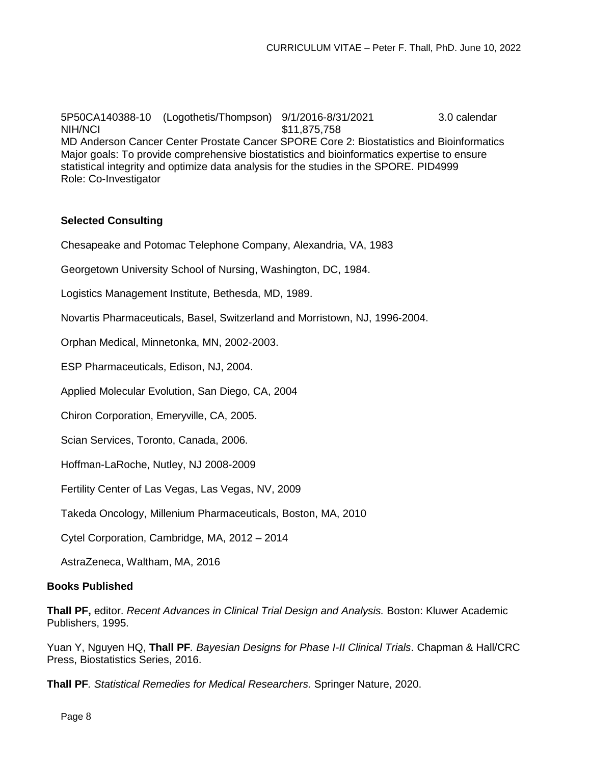Major goals: To provide comprehensive biostatistics and bioinformatics expertise to ensure statistical integrity and optimize data analysis for the studies in the SPORE. PID4999 Role: Co-Investigator 5P50CA140388-10 (Logothetis/Thompson) 9/1/2016-8/31/2021 3.0 calendar NIH/NCI \$11,875,758 MD Anderson Cancer Center Prostate Cancer SPORE Core 2: Biostatistics and Bioinformatics

# **Selected Consulting**

Chesapeake and Potomac Telephone Company, Alexandria, VA, 1983

Georgetown University School of Nursing, Washington, DC, 1984.

Logistics Management Institute, Bethesda, MD, 1989.

Novartis Pharmaceuticals, Basel, Switzerland and Morristown, NJ, 1996-2004.

Orphan Medical, Minnetonka, MN, 2002-2003.

ESP Pharmaceuticals, Edison, NJ, 2004.

Applied Molecular Evolution, San Diego, CA, 2004

Chiron Corporation, Emeryville, CA, 2005.

Scian Services, Toronto, Canada, 2006.

Hoffman-LaRoche, Nutley, NJ 2008-2009

Fertility Center of Las Vegas, Las Vegas, NV, 2009

Takeda Oncology, Millenium Pharmaceuticals, Boston, MA, 2010

Cytel Corporation, Cambridge, MA, 2012 – 2014

AstraZeneca, Waltham, MA, 2016

### **Books Published**

**Thall PF,** editor. *Recent Advances in Clinical Trial Design and Analysis.* Boston: Kluwer Academic Publishers, 1995.

Yuan Y, Nguyen HQ, **Thall PF***. Bayesian Designs for Phase I-II Clinical Trials*. Chapman & Hall/CRC Press, Biostatistics Series, 2016.

**Thall PF***. Statistical Remedies for Medical Researchers.* Springer Nature, 2020.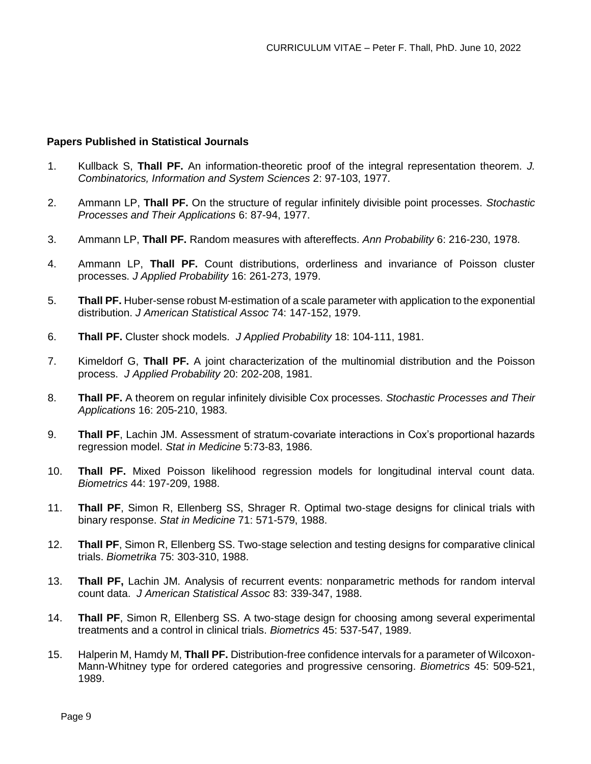### **Papers Published in Statistical Journals**

- 1. Kullback S, **Thall PF.** An information-theoretic proof of the integral representation theorem. *J. Combinatorics, Information and System Sciences* 2: 97-103, 1977.
- 2. Ammann LP, **Thall PF.** On the structure of regular infinitely divisible point processes. *Stochastic Processes and Their Applications* 6: 87-94, 1977.
- 3. Ammann LP, **Thall PF.** Random measures with aftereffects. *Ann Probability* 6: 216-230, 1978.
- 4. Ammann LP, **Thall PF.** Count distributions, orderliness and invariance of Poisson cluster processes. *J Applied Probability* 16: 261-273, 1979.
- 5. **Thall PF.** Huber-sense robust M-estimation of a scale parameter with application to the exponential distribution. *J American Statistical Assoc* 74: 147-152, 1979.
- 6. **Thall PF.** Cluster shock models. *J Applied Probability* 18: 104-111, 1981.
- 7. Kimeldorf G, **Thall PF.** A joint characterization of the multinomial distribution and the Poisson process. *J Applied Probability* 20: 202-208, 1981.
- 8. **Thall PF.** A theorem on regular infinitely divisible Cox processes. *Stochastic Processes and Their Applications* 16: 205-210, 1983.
- 9. **Thall PF**, Lachin JM. Assessment of stratum-covariate interactions in Cox's proportional hazards regression model. *Stat in Medicine* 5:73-83, 1986.
- 10. **Thall PF.** Mixed Poisson likelihood regression models for longitudinal interval count data. *Biometrics* 44: 197-209, 1988.
- 11. **Thall PF**, Simon R, Ellenberg SS, Shrager R. Optimal two-stage designs for clinical trials with binary response. *Stat in Medicine* 71: 571-579, 1988.
- 12. **Thall PF**, Simon R, Ellenberg SS. Two-stage selection and testing designs for comparative clinical trials. *Biometrika* 75: 303-310, 1988.
- 13. **Thall PF,** Lachin JM. Analysis of recurrent events: nonparametric methods for random interval count data. *J American Statistical Assoc* 83: 339-347, 1988.
- 14. **Thall PF**, Simon R, Ellenberg SS. A two-stage design for choosing among several experimental treatments and a control in clinical trials. *Biometrics* 45: 537-547, 1989.
- 15. Halperin M, Hamdy M, **Thall PF.** Distribution-free confidence intervals for a parameter of Wilcoxon-Mann-Whitney type for ordered categories and progressive censoring. *Biometrics* 45: 509-521, 1989.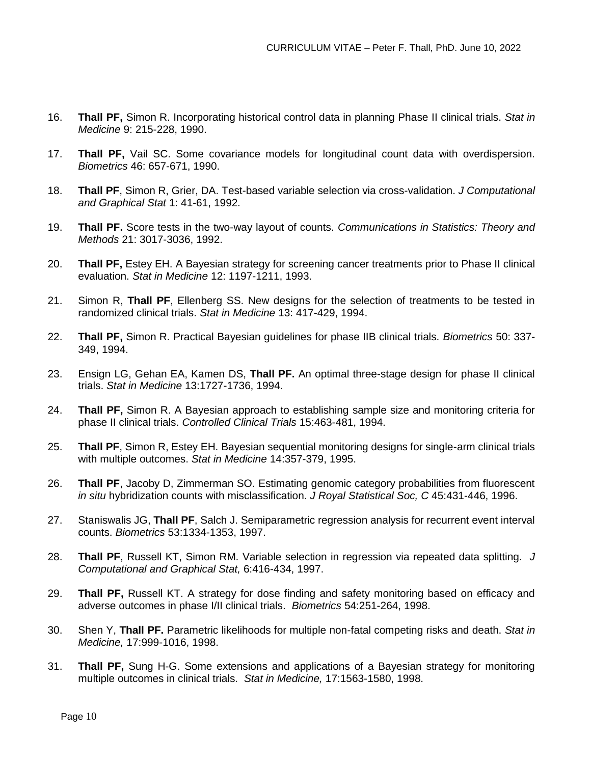- 16. **Thall PF,** Simon R. Incorporating historical control data in planning Phase II clinical trials. *Stat in Medicine* 9: 215-228, 1990.
- 17. **Thall PF,** Vail SC. Some covariance models for longitudinal count data with overdispersion. *Biometrics* 46: 657-671, 1990.
- 18. **Thall PF**, Simon R, Grier, DA. Test-based variable selection via cross-validation. *J Computational and Graphical Stat* 1: 41-61, 1992.
- 19. **Thall PF.** Score tests in the two-way layout of counts. *Communications in Statistics: Theory and Methods* 21: 3017-3036, 1992.
- 20. **Thall PF,** Estey EH. A Bayesian strategy for screening cancer treatments prior to Phase II clinical evaluation. *Stat in Medicine* 12: 1197-1211, 1993.
- 21. Simon R, **Thall PF**, Ellenberg SS. New designs for the selection of treatments to be tested in randomized clinical trials. *Stat in Medicine* 13: 417-429, 1994.
- 22. **Thall PF,** Simon R. Practical Bayesian guidelines for phase IIB clinical trials. *Biometrics* 50: 337- 349, 1994.
- 23. Ensign LG, Gehan EA, Kamen DS, **Thall PF.** An optimal three-stage design for phase II clinical trials. *Stat in Medicine* 13:1727-1736, 1994.
- 24. **Thall PF,** Simon R. A Bayesian approach to establishing sample size and monitoring criteria for phase II clinical trials. *Controlled Clinical Trials* 15:463-481, 1994.
- 25. **Thall PF**, Simon R, Estey EH. Bayesian sequential monitoring designs for single-arm clinical trials with multiple outcomes. *Stat in Medicine* 14:357-379, 1995.
- 26. **Thall PF**, Jacoby D, Zimmerman SO. Estimating genomic category probabilities from fluorescent *in situ* hybridization counts with misclassification. *J Royal Statistical Soc, C* 45:431-446, 1996.
- 27. Staniswalis JG, **Thall PF**, Salch J. Semiparametric regression analysis for recurrent event interval counts. *Biometrics* 53:1334-1353, 1997.
- 28. **Thall PF**, Russell KT, Simon RM. Variable selection in regression via repeated data splitting. *J Computational and Graphical Stat,* 6:416-434, 1997.
- 29. **Thall PF,** Russell KT. A strategy for dose finding and safety monitoring based on efficacy and adverse outcomes in phase I/II clinical trials. *Biometrics* 54:251-264, 1998.
- 30. Shen Y, **Thall PF.** Parametric likelihoods for multiple non-fatal competing risks and death. *Stat in Medicine,* 17:999-1016, 1998.
- 31. **Thall PF,** Sung H-G. Some extensions and applications of a Bayesian strategy for monitoring multiple outcomes in clinical trials. *Stat in Medicine,* 17:1563-1580, 1998.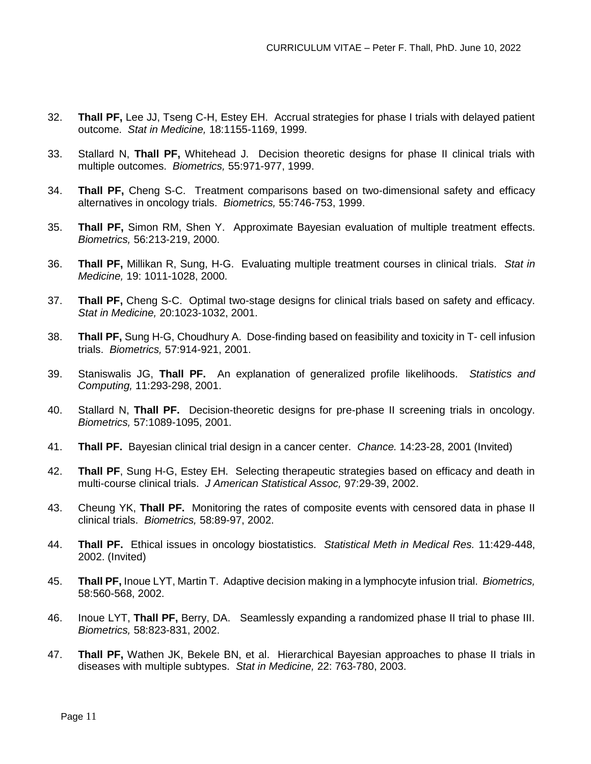- 32. **Thall PF,** Lee JJ, Tseng C-H, Estey EH. Accrual strategies for phase I trials with delayed patient outcome. *Stat in Medicine,* 18:1155-1169, 1999.
- 33. Stallard N, **Thall PF,** Whitehead J. Decision theoretic designs for phase II clinical trials with multiple outcomes. *Biometrics,* 55:971-977, 1999.
- 34. **Thall PF,** Cheng S-C. Treatment comparisons based on two-dimensional safety and efficacy alternatives in oncology trials. *Biometrics,* 55:746-753, 1999.
- 35. **Thall PF,** Simon RM, Shen Y. Approximate Bayesian evaluation of multiple treatment effects. *Biometrics,* 56:213-219, 2000.
- 36. **Thall PF,** Millikan R, Sung, H-G. Evaluating multiple treatment courses in clinical trials. *Stat in Medicine,* 19: 1011-1028, 2000.
- 37. **Thall PF,** Cheng S-C. Optimal two-stage designs for clinical trials based on safety and efficacy. *Stat in Medicine,* 20:1023-1032, 2001.
- 38. **Thall PF,** Sung H-G, Choudhury A. Dose-finding based on feasibility and toxicity in T- cell infusion trials. *Biometrics,* 57:914-921, 2001.
- 39. Staniswalis JG, **Thall PF.** An explanation of generalized profile likelihoods. *Statistics and Computing,* 11:293-298, 2001.
- 40. Stallard N, **Thall PF.** Decision-theoretic designs for pre-phase II screening trials in oncology. *Biometrics,* 57:1089-1095, 2001.
- 41. **Thall PF.** Bayesian clinical trial design in a cancer center. *Chance.* 14:23-28, 2001 (Invited)
- 42. **Thall PF**, Sung H-G, Estey EH. Selecting therapeutic strategies based on efficacy and death in multi-course clinical trials. *J American Statistical Assoc,* 97:29-39, 2002.
- 43. Cheung YK, **Thall PF.** Monitoring the rates of composite events with censored data in phase II clinical trials. *Biometrics,* 58:89-97, 2002.
- 44. **Thall PF.** Ethical issues in oncology biostatistics. *Statistical Meth in Medical Res.* 11:429-448, 2002. (Invited)
- 45. **Thall PF,** Inoue LYT, Martin T. Adaptive decision making in a lymphocyte infusion trial. *Biometrics,*  58:560-568, 2002.
- 46. Inoue LYT, **Thall PF,** Berry, DA. Seamlessly expanding a randomized phase II trial to phase III. *Biometrics,* 58:823-831, 2002.
- 47. **Thall PF,** Wathen JK, Bekele BN, et al. Hierarchical Bayesian approaches to phase II trials in diseases with multiple subtypes. *Stat in Medicine,* 22: 763-780, 2003.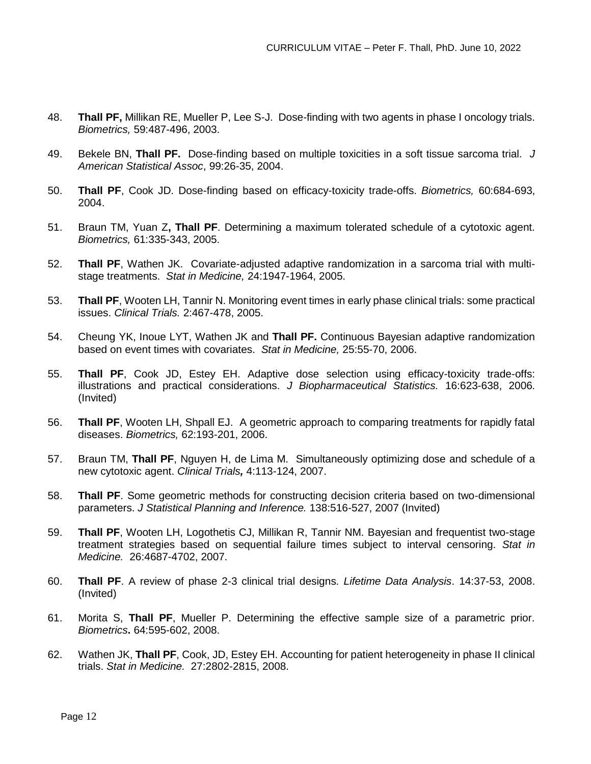- 48. **Thall PF,** Millikan RE, Mueller P, Lee S-J. Dose-finding with two agents in phase I oncology trials. *Biometrics,* 59:487-496, 2003.
- 49. Bekele BN, **Thall PF.** Dose-finding based on multiple toxicities in a soft tissue sarcoma trial. *J American Statistical Assoc*, 99:26-35, 2004.
- 50. **Thall PF**, Cook JD. Dose-finding based on efficacy-toxicity trade-offs. *Biometrics,* 60:684-693, 2004.
- 51. Braun TM, Yuan Z**, Thall PF**. Determining a maximum tolerated schedule of a cytotoxic agent. *Biometrics,* 61:335-343, 2005.
- 52. **Thall PF**, Wathen JK. Covariate-adjusted adaptive randomization in a sarcoma trial with multistage treatments. *Stat in Medicine,* 24:1947-1964, 2005.
- 53. **Thall PF**, Wooten LH, Tannir N. Monitoring event times in early phase clinical trials: some practical issues. *Clinical Trials.* 2:467-478, 2005.
- 54. Cheung YK, Inoue LYT, Wathen JK and **Thall PF.** Continuous Bayesian adaptive randomization based on event times with covariates. *Stat in Medicine,* 25:55-70, 2006.
- 55. **Thall PF**, Cook JD, Estey EH. Adaptive dose selection using efficacy-toxicity trade-offs: illustrations and practical considerations. *J Biopharmaceutical Statistics.* 16:623-638, 2006. (Invited)
- 56. **Thall PF**, Wooten LH, Shpall EJ. A geometric approach to comparing treatments for rapidly fatal diseases. *Biometrics,* 62:193-201, 2006.
- 57. Braun TM, **Thall PF**, Nguyen H, de Lima M. Simultaneously optimizing dose and schedule of a new cytotoxic agent. *Clinical Trials,* 4:113-124, 2007.
- 58. **Thall PF**. Some geometric methods for constructing decision criteria based on two-dimensional parameters. *J Statistical Planning and Inference.* 138:516-527, 2007 (Invited)
- 59. **Thall PF**, Wooten LH, Logothetis CJ, Millikan R, Tannir NM. Bayesian and frequentist two-stage treatment strategies based on sequential failure times subject to interval censoring. *Stat in Medicine.* 26:4687-4702, 2007.
- 60. **Thall PF**. A review of phase 2-3 clinical trial designs. *Lifetime Data Analysis*. 14:37-53, 2008. (Invited)
- 61. Morita S, **Thall PF**, Mueller P. Determining the effective sample size of a parametric prior. *Biometrics***.** 64:595-602, 2008.
- 62. Wathen JK, **Thall PF**, Cook, JD, Estey EH. Accounting for patient heterogeneity in phase II clinical trials. *Stat in Medicine.* 27:2802-2815, 2008.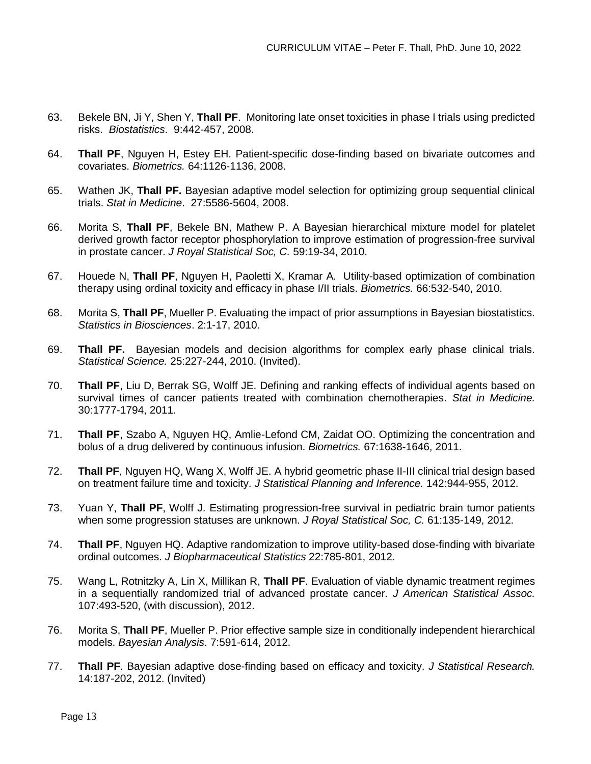- 63. Bekele BN, Ji Y, Shen Y, **Thall PF**. Monitoring late onset toxicities in phase I trials using predicted risks. *Biostatistics*. 9:442-457, 2008.
- 64. **Thall PF**, Nguyen H, Estey EH. Patient-specific dose-finding based on bivariate outcomes and covariates. *Biometrics.* 64:1126-1136, 2008.
- 65. Wathen JK, **Thall PF.** Bayesian adaptive model selection for optimizing group sequential clinical trials. *Stat in Medicine*. 27:5586-5604, 2008.
- 66. Morita S, **Thall PF**, Bekele BN, Mathew P. A Bayesian hierarchical mixture model for platelet derived growth factor receptor phosphorylation to improve estimation of progression-free survival in prostate cancer. *J Royal Statistical Soc, C.* 59:19-34, 2010.
- 67. Houede N, **Thall PF**, Nguyen H, Paoletti X, Kramar A. Utility-based optimization of combination therapy using ordinal toxicity and efficacy in phase I/II trials. *Biometrics.* 66:532-540, 2010.
- 68. Morita S, **Thall PF**, Mueller P. Evaluating the impact of prior assumptions in Bayesian biostatistics. *Statistics in Biosciences*. 2:1-17, 2010.
- 69. **Thall PF.** Bayesian models and decision algorithms for complex early phase clinical trials. *Statistical Science.* 25:227-244, 2010. (Invited).
- 70. **Thall PF**, Liu D, Berrak SG, Wolff JE. Defining and ranking effects of individual agents based on survival times of cancer patients treated with combination chemotherapies. *Stat in Medicine.*  30:1777-1794, 2011.
- 71. **Thall PF**, Szabo A, Nguyen HQ, Amlie-Lefond CM, Zaidat OO. Optimizing the concentration and bolus of a drug delivered by continuous infusion. *Biometrics.* 67:1638-1646, 2011.
- 72. **Thall PF**, Nguyen HQ, Wang X, Wolff JE. A hybrid geometric phase II-III clinical trial design based on treatment failure time and toxicity. *J Statistical Planning and Inference.* 142:944-955, 2012.
- 73. Yuan Y, **Thall PF**, Wolff J. Estimating progression-free survival in pediatric brain tumor patients when some progression statuses are unknown. *J Royal Statistical Soc, C.* 61:135-149, 2012.
- 74. **Thall PF**, Nguyen HQ. Adaptive randomization to improve utility-based dose-finding with bivariate ordinal outcomes. *J Biopharmaceutical Statistics* 22:785-801, 2012.
- 75. Wang L, Rotnitzky A, Lin X, Millikan R, **Thall PF**. Evaluation of viable dynamic treatment regimes in a sequentially randomized trial of advanced prostate cancer*. J American Statistical Assoc.*  107:493-520, (with discussion), 2012.
- 76. Morita S, **Thall PF**, Mueller P. Prior effective sample size in conditionally independent hierarchical models. *Bayesian Analysis*. 7:591-614, 2012.
- 77. **Thall PF**. Bayesian adaptive dose-finding based on efficacy and toxicity. *J Statistical Research.*  14:187-202, 2012. (Invited)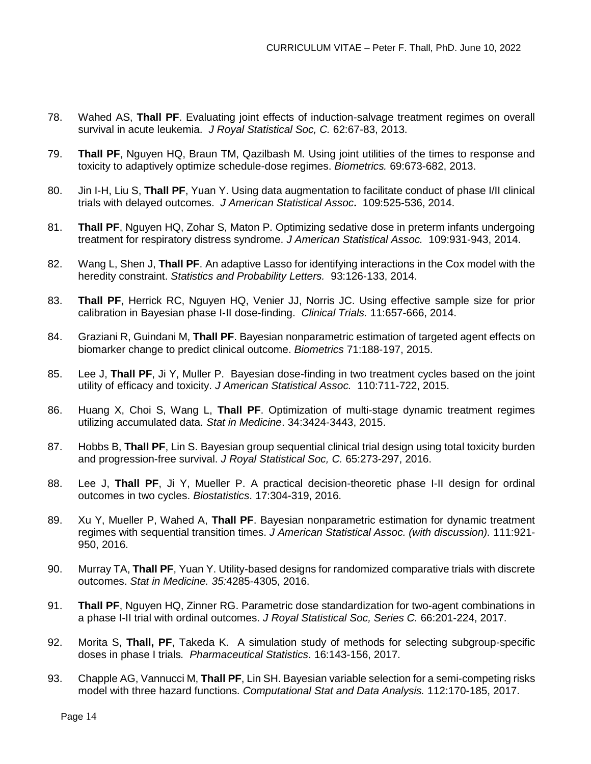- 78. Wahed AS, **Thall PF**. Evaluating joint effects of induction-salvage treatment regimes on overall survival in acute leukemia. *J Royal Statistical Soc, C.* 62:67-83, 2013.
- 79. **Thall PF**, Nguyen HQ, Braun TM, Qazilbash M. Using joint utilities of the times to response and toxicity to adaptively optimize schedule-dose regimes. *Biometrics.* 69:673-682, 2013.
- 80. Jin I-H, Liu S, **Thall PF**, Yuan Y. Using data augmentation to facilitate conduct of phase I/II clinical trials with delayed outcomes. *J American Statistical Assoc***.** 109:525-536, 2014.
- 81. **Thall PF**, Nguyen HQ, Zohar S, Maton P. Optimizing sedative dose in preterm infants undergoing treatment for respiratory distress syndrome. *J American Statistical Assoc.* 109:931-943, 2014.
- 82. Wang L, Shen J, **Thall PF**. An adaptive Lasso for identifying interactions in the Cox model with the heredity constraint. *Statistics and Probability Letters.* 93:126-133, 2014.
- 83. **Thall PF**, Herrick RC, Nguyen HQ, Venier JJ, Norris JC. Using effective sample size for prior calibration in Bayesian phase I-II dose-finding. *Clinical Trials.* 11:657-666, 2014.
- 84. Graziani R, Guindani M, **Thall PF**. Bayesian nonparametric estimation of targeted agent effects on biomarker change to predict clinical outcome. *Biometrics* 71:188-197, 2015.
- 85. Lee J, **Thall PF**, Ji Y, Muller P. Bayesian dose-finding in two treatment cycles based on the joint utility of efficacy and toxicity. *J American Statistical Assoc.* 110:711-722, 2015.
- 86. Huang X, Choi S, Wang L, **Thall PF**. Optimization of multi-stage dynamic treatment regimes utilizing accumulated data. *Stat in Medicine*. 34:3424-3443, 2015.
- 87. Hobbs B, **Thall PF**, Lin S. Bayesian group sequential clinical trial design using total toxicity burden and progression-free survival. *J Royal Statistical Soc, C.* 65:273-297, 2016.
- 88. Lee J, **Thall PF**, Ji Y, Mueller P. A practical decision-theoretic phase I-II design for ordinal outcomes in two cycles. *Biostatistics*. 17:304-319, 2016.
- 89. Xu Y, Mueller P, Wahed A, **Thall PF**. Bayesian nonparametric estimation for dynamic treatment regimes with sequential transition times. *J American Statistical Assoc. (with discussion).* 111:921- 950, 2016.
- 90. Murray TA, **Thall PF**, Yuan Y. Utility-based designs for randomized comparative trials with discrete outcomes. *Stat in Medicine. 35:*4285-4305, 2016.
- 91. **Thall PF**, Nguyen HQ, Zinner RG. Parametric dose standardization for two-agent combinations in a phase I-II trial with ordinal outcomes. *J Royal Statistical Soc, Series C.* 66:201-224, 2017.
- 92. Morita S, **Thall, PF**, Takeda K. A simulation study of methods for selecting subgroup-specific doses in phase I trials*. Pharmaceutical Statistics*. 16:143-156, 2017.
- 93. Chapple AG, Vannucci M, **Thall PF**, Lin SH. Bayesian variable selection for a semi-competing risks model with three hazard functions. *Computational Stat and Data Analysis.* 112:170-185, 2017.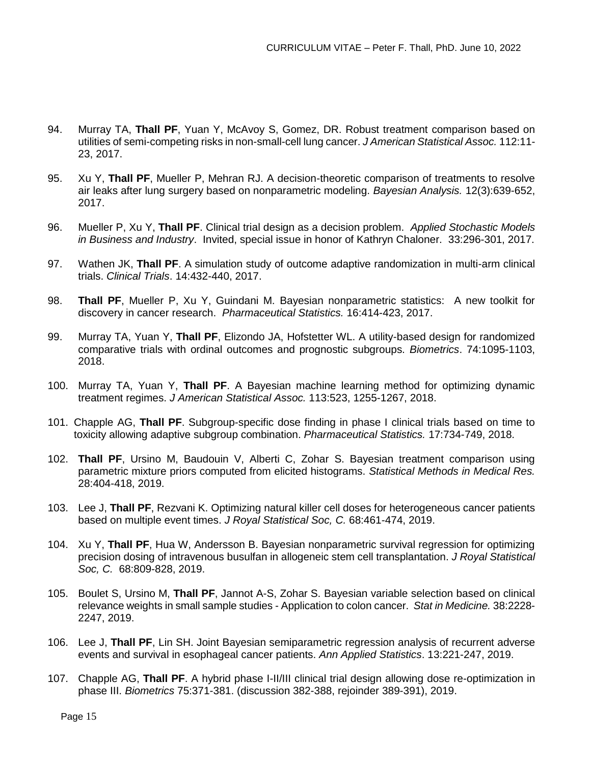- 94. Murray TA, **Thall PF**, Yuan Y, McAvoy S, Gomez, DR. Robust treatment comparison based on utilities of semi-competing risks in non-small-cell lung cancer. *J American Statistical Assoc.* 112:11- 23, 2017.
- 95. Xu Y, **Thall PF**, Mueller P, Mehran RJ. A decision-theoretic comparison of treatments to resolve air leaks after lung surgery based on nonparametric modeling. *Bayesian Analysis.* 12(3):639-652, 2017.
- 96. Mueller P, Xu Y, **Thall PF**. Clinical trial design as a decision problem. *Applied Stochastic Models in Business and Industry*. Invited, special issue in honor of Kathryn Chaloner. 33:296-301, 2017.
- 97. Wathen JK, **Thall PF**. A simulation study of outcome adaptive randomization in multi-arm clinical trials. *Clinical Trials*. 14:432-440, 2017.
- 98. **Thall PF**, Mueller P, Xu Y, Guindani M. Bayesian nonparametric statistics: A new toolkit for discovery in cancer research. *Pharmaceutical Statistics.* 16:414-423, 2017.
- 99. Murray TA, Yuan Y, **Thall PF**, Elizondo JA, Hofstetter WL. A utility-based design for randomized comparative trials with ordinal outcomes and prognostic subgroups. *Biometrics*. 74:1095-1103, 2018.
- 100. Murray TA, Yuan Y, **Thall PF**. A Bayesian machine learning method for optimizing dynamic treatment regimes. *J American Statistical Assoc.* 113:523, 1255-1267, 2018.
- 101. Chapple AG, **Thall PF**. Subgroup-specific dose finding in phase I clinical trials based on time to toxicity allowing adaptive subgroup combination. *Pharmaceutical Statistics.* 17:734-749, 2018.
- 102. **Thall PF**, Ursino M, Baudouin V, Alberti C, Zohar S. Bayesian treatment comparison using parametric mixture priors computed from elicited histograms. *Statistical Methods in Medical Res.* 28:404-418, 2019.
- 103. Lee J, **Thall PF**, Rezvani K. Optimizing natural killer cell doses for heterogeneous cancer patients based on multiple event times. *J Royal Statistical Soc, C.* 68:461-474, 2019.
- 104. Xu Y, **Thall PF**, Hua W, Andersson B. Bayesian nonparametric survival regression for optimizing precision dosing of intravenous busulfan in allogeneic stem cell transplantation. *J Royal Statistical Soc, C.* 68:809-828, 2019.
- 105. Boulet S, Ursino M, **Thall PF**, Jannot A-S, Zohar S. Bayesian variable selection based on clinical relevance weights in small sample studies - Application to colon cancer. *Stat in Medicine.* 38:2228- 2247, 2019.
- 106. Lee J, **Thall PF**, Lin SH. Joint Bayesian semiparametric regression analysis of recurrent adverse events and survival in esophageal cancer patients. *Ann Applied Statistics*. 13:221-247, 2019.
- 107. Chapple AG, **Thall PF**. A hybrid phase I-II/III clinical trial design allowing dose re-optimization in phase III. *Biometrics* 75:371-381. (discussion 382-388, rejoinder 389-391), 2019.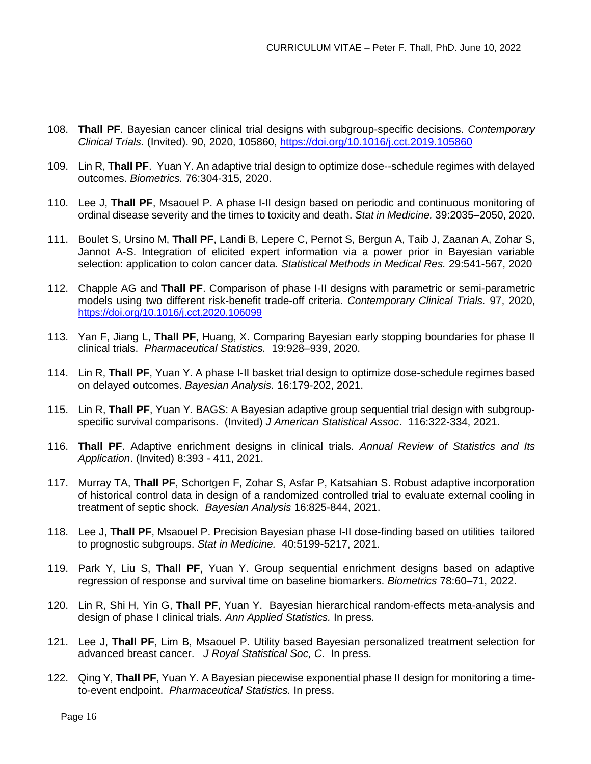- 108. **Thall PF**. Bayesian cancer clinical trial designs with subgroup-specific decisions. *Contemporary Clinical Trials*. (Invited). 90, 2020, 105860, <https://doi.org/10.1016/j.cct.2019.105860>
- 109. Lin R, **Thall PF**. Yuan Y. An adaptive trial design to optimize dose--schedule regimes with delayed outcomes. *Biometrics.* 76:304-315, 2020.
- 110. Lee J, **Thall PF**, Msaouel P. A phase I-II design based on periodic and continuous monitoring of ordinal disease severity and the times to toxicity and death. *Stat in Medicine.* 39:2035–2050, 2020.
- 111. Boulet S, Ursino M, **Thall PF**, Landi B, Lepere C, Pernot S, Bergun A, Taib J, Zaanan A, Zohar S, Jannot A-S. Integration of elicited expert information via a power prior in Bayesian variable selection: application to colon cancer data. *Statistical Methods in Medical Res.* 29:541-567, 2020
- 112. Chapple AG and **Thall PF**. Comparison of phase I-II designs with parametric or semi-parametric models using two different risk-benefit trade-off criteria. *Contemporary Clinical Trials.* 97, 2020, <https://doi.org/10.1016/j.cct.2020.106099>
- 113. Yan F, Jiang L, **Thall PF**, Huang, X. Comparing Bayesian early stopping boundaries for phase II clinical trials. *Pharmaceutical Statistics.* 19:928–939, 2020.
- 114. Lin R, **Thall PF**, Yuan Y. A phase I-II basket trial design to optimize dose-schedule regimes based on delayed outcomes. *Bayesian Analysis.* 16:179-202, 2021.
- 115. Lin R, **Thall PF**, Yuan Y. BAGS: A Bayesian adaptive group sequential trial design with subgroupspecific survival comparisons. (Invited) *J American Statistical Assoc*. 116:322-334, 2021.
- 116. **Thall PF**. Adaptive enrichment designs in clinical trials. *Annual Review of Statistics and Its Application*. (Invited) 8:393 - 411, 2021.
- 117. Murray TA, **Thall PF**, Schortgen F, Zohar S, Asfar P, Katsahian S. Robust adaptive incorporation of historical control data in design of a randomized controlled trial to evaluate external cooling in treatment of septic shock. *Bayesian Analysis* 16:825-844, 2021.
- 118. Lee J, **Thall PF**, Msaouel P. Precision Bayesian phase I-II dose-finding based on utilities tailored to prognostic subgroups. *Stat in Medicine.* 40:5199-5217, 2021.
- 119. Park Y, Liu S, **Thall PF**, Yuan Y. Group sequential enrichment designs based on adaptive regression of response and survival time on baseline biomarkers. *Biometrics* 78:60–71, 2022.
- 120. Lin R, Shi H, Yin G, **Thall PF**, Yuan Y. Bayesian hierarchical random-effects meta-analysis and design of phase I clinical trials. *Ann Applied Statistics.* In press.
- 121. Lee J, **Thall PF**, Lim B, Msaouel P. Utility based Bayesian personalized treatment selection for advanced breast cancer. *J Royal Statistical Soc, C*. In press.
- 122. Qing Y, **Thall PF**, Yuan Y. A Bayesian piecewise exponential phase II design for monitoring a timeto-event endpoint. *Pharmaceutical Statistics.* In press.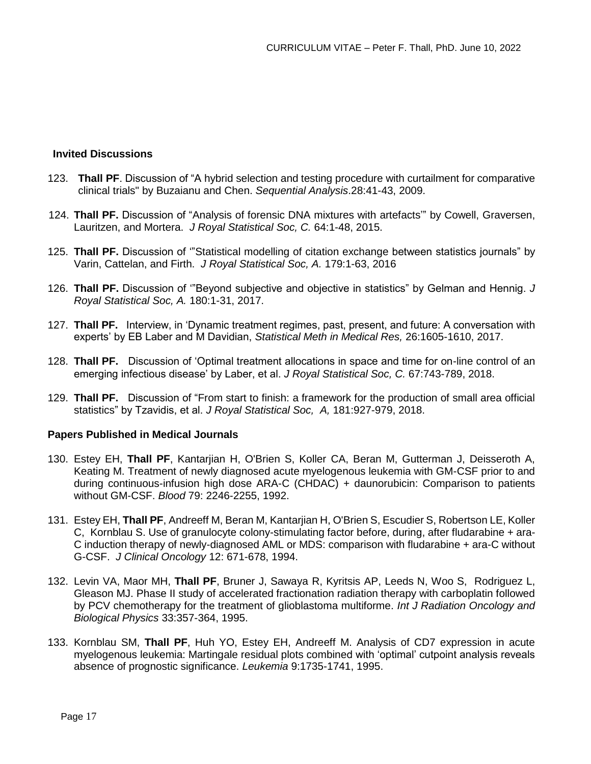### **Invited Discussions**

- 123. **Thall PF**. Discussion of "A hybrid selection and testing procedure with curtailment for comparative clinical trials" by Buzaianu and Chen. *Sequential Analysis*.28:41-43, 2009.
- 124. **Thall PF.** Discussion of "Analysis of forensic DNA mixtures with artefacts'" by Cowell, Graversen, Lauritzen, and Mortera. *J Royal Statistical Soc, C.* 64:1-48, 2015.
- 125. **Thall PF.** Discussion of '"Statistical modelling of citation exchange between statistics journals" by Varin, Cattelan, and Firth. *J Royal Statistical Soc, A.* 179:1-63, 2016
- 126. **Thall PF.** Discussion of '"Beyond subjective and objective in statistics" by Gelman and Hennig. *J Royal Statistical Soc, A.* 180:1-31, 2017.
- 127. **Thall PF.** Interview, in 'Dynamic treatment regimes, past, present, and future: A conversation with experts' by EB Laber and M Davidian, *Statistical Meth in Medical Res,* 26:1605-1610, 2017.
- 128. **Thall PF.** Discussion of 'Optimal treatment allocations in space and time for on-line control of an emerging infectious disease' by Laber, et al. *J Royal Statistical Soc, C.* 67:743-789, 2018.
- 129. **Thall PF.** Discussion of "From start to finish: a framework for the production of small area official statistics" by Tzavidis, et al. *J Royal Statistical Soc, A,* 181:927-979, 2018.

### **Papers Published in Medical Journals**

- 130. Estey EH, **Thall PF**, Kantarjian H, O'Brien S, Koller CA, Beran M, Gutterman J, Deisseroth A, Keating M. Treatment of newly diagnosed acute myelogenous leukemia with GM-CSF prior to and during continuous-infusion high dose ARA-C (CHDAC) + daunorubicin: Comparison to patients without GM-CSF. *Blood* 79: 2246-2255, 1992.
- 131. Estey EH, **Thall PF**[, Andreeff M,](http://www.ncbi.nlm.nih.gov/entrez/query.fcgi?db=pubmed&cmd=Search&itool=pubmed_AbstractPlus&term=%22Andreeff+M%22%5BAuthor%5D) [Beran M,](http://www.ncbi.nlm.nih.gov/entrez/query.fcgi?db=pubmed&cmd=Search&itool=pubmed_AbstractPlus&term=%22Beran+M%22%5BAuthor%5D) [Kantarjian H,](http://www.ncbi.nlm.nih.gov/entrez/query.fcgi?db=pubmed&cmd=Search&itool=pubmed_AbstractPlus&term=%22Kantarjian+H%22%5BAuthor%5D) [O'Brien S,](http://www.ncbi.nlm.nih.gov/entrez/query.fcgi?db=pubmed&cmd=Search&itool=pubmed_AbstractPlus&term=%22O%27Brien+S%22%5BAuthor%5D) [Escudier S,](http://www.ncbi.nlm.nih.gov/entrez/query.fcgi?db=pubmed&cmd=Search&itool=pubmed_AbstractPlus&term=%22Escudier+S%22%5BAuthor%5D) [Robertson LE,](http://www.ncbi.nlm.nih.gov/entrez/query.fcgi?db=pubmed&cmd=Search&itool=pubmed_AbstractPlus&term=%22Robertson+LE%22%5BAuthor%5D) [Koller](http://www.ncbi.nlm.nih.gov/entrez/query.fcgi?db=pubmed&cmd=Search&itool=pubmed_AbstractPlus&term=%22Koller+C%22%5BAuthor%5D)  [C,](http://www.ncbi.nlm.nih.gov/entrez/query.fcgi?db=pubmed&cmd=Search&itool=pubmed_AbstractPlus&term=%22Koller+C%22%5BAuthor%5D) [Kornblau S.](http://www.ncbi.nlm.nih.gov/entrez/query.fcgi?db=pubmed&cmd=Search&itool=pubmed_AbstractPlus&term=%22Kornblau+S%22%5BAuthor%5D) Use of granulocyte colony-stimulating factor before, during, after fludarabine + ara-C induction therapy of newly-diagnosed AML or MDS: comparison with fludarabine + ara-C without G-CSF. *J Clinical Oncology* 12: 671-678, 1994.
- 132. Levin VA, Maor MH, **Thall PF**, [Bruner J,](http://www.ncbi.nlm.nih.gov/entrez/query.fcgi?db=pubmed&cmd=Search&itool=pubmed_AbstractPlus&term=%22Bruner+J%22%5BAuthor%5D) [Sawaya R,](http://www.ncbi.nlm.nih.gov/entrez/query.fcgi?db=pubmed&cmd=Search&itool=pubmed_AbstractPlus&term=%22Sawaya+R%22%5BAuthor%5D) [Kyritsis AP,](http://www.ncbi.nlm.nih.gov/entrez/query.fcgi?db=pubmed&cmd=Search&itool=pubmed_AbstractPlus&term=%22Kyritsis+AP%22%5BAuthor%5D) [Leeds N,](http://www.ncbi.nlm.nih.gov/entrez/query.fcgi?db=pubmed&cmd=Search&itool=pubmed_AbstractPlus&term=%22Leeds+N%22%5BAuthor%5D) [Woo S,](http://www.ncbi.nlm.nih.gov/entrez/query.fcgi?db=pubmed&cmd=Search&itool=pubmed_AbstractPlus&term=%22Woo+S%22%5BAuthor%5D) [Rodriguez L,](http://www.ncbi.nlm.nih.gov/entrez/query.fcgi?db=pubmed&cmd=Search&itool=pubmed_AbstractPlus&term=%22Rodriguez+L%22%5BAuthor%5D) Gleason MJ. Phase II study of accelerated fractionation radiation therapy with carboplatin followed by PCV chemotherapy for the treatment of glioblastoma multiforme. *Int J Radiation Oncology and Biological Physics* 33:357-364, 1995.
- 133. Kornblau SM, **Thall PF**, Huh YO, Estey EH, Andreeff M. Analysis of CD7 expression in acute myelogenous leukemia: Martingale residual plots combined with 'optimal' cutpoint analysis reveals absence of prognostic significance. *Leukemia* 9:1735-1741, 1995.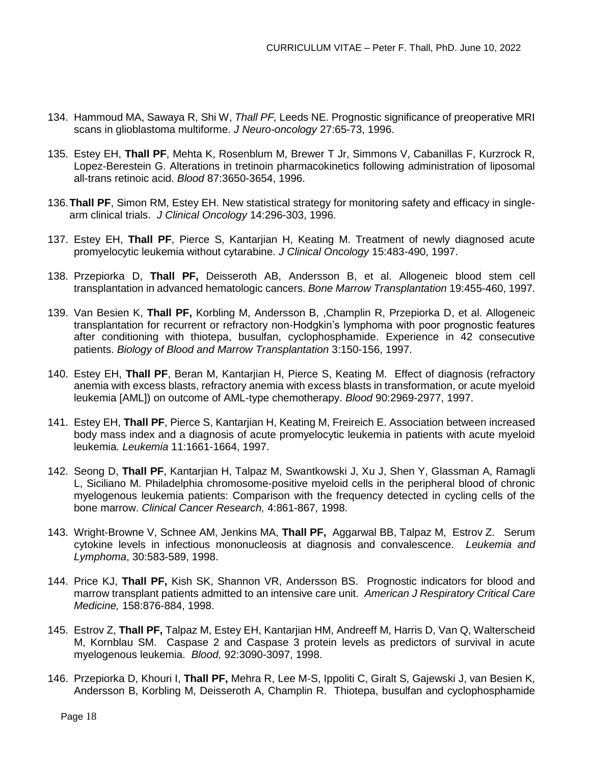- 134. Hammoud MA, Sawaya R, Shi W, *Thall PF,* Leeds NE. Prognostic significance of preoperative MRI scans in glioblastoma multiforme. *J Neuro-oncology* 27:65-73, 1996.
- 135. Estey EH, **Thall PF**, Mehta K, Rosenblum M, Brewer T Jr, Simmons V, Cabanillas F, Kurzrock R, Lopez-Berestein G. Alterations in tretinoin pharmacokinetics following administration of liposomal all-trans retinoic acid. *Blood* 87:3650-3654, 1996.
- 136.**Thall PF**, Simon RM, Estey EH. New statistical strategy for monitoring safety and efficacy in singlearm clinical trials. *J Clinical Oncology* 14:296-303, 1996.
- 137. Estey EH, **Thall PF**, Pierce S, Kantarjian H, Keating M. Treatment of newly diagnosed acute promyelocytic leukemia without cytarabine. *J Clinical Oncology* 15:483-490, 1997.
- 138. Przepiorka D, **Thall PF,** Deisseroth AB, Andersson B, et al. Allogeneic blood stem cell transplantation in advanced hematologic cancers. *Bone Marrow Transplantation* 19:455-460, 1997.
- 139. Van Besien K, **Thall PF,** Korbling M, Andersson B, ,Champlin R, Przepiorka D, et al. Allogeneic transplantation for recurrent or refractory non-Hodgkin's lymphoma with poor prognostic features after conditioning with thiotepa, busulfan, cyclophosphamide. Experience in 42 consecutive patients. *Biology of Blood and Marrow Transplantation* 3:150-156, 1997.
- 140. Estey EH, **Thall PF**, Beran M, Kantarjian H, Pierce S, Keating M. Effect of diagnosis (refractory anemia with excess blasts, refractory anemia with excess blasts in transformation, or acute myeloid leukemia [AML]) on outcome of AML-type chemotherapy. *Blood* 90:2969-2977, 1997.
- 141. Estey EH, **Thall PF**, Pierce S, Kantarjian H, Keating M, Freireich E. Association between increased body mass index and a diagnosis of acute promyelocytic leukemia in patients with acute myeloid leukemia. *Leukemia* 11:1661-1664, 1997.
- 142. Seong D, **Thall PF**, Kantarjian H, Talpaz M, Swantkowski J, Xu J, Shen Y, Glassman A, Ramagli L, Siciliano M. Philadelphia chromosome-positive myeloid cells in the peripheral blood of chronic myelogenous leukemia patients: Comparison with the frequency detected in cycling cells of the bone marrow. *Clinical Cancer Research,* 4:861-867, 1998.
- 143. Wright-Browne V, Schnee AM, Jenkins MA, **Thall PF,** Aggarwal BB, Talpaz M, Estrov Z. Serum cytokine levels in infectious mononucleosis at diagnosis and convalescence. *Leukemia and Lymphoma*, 30:583-589, 1998.
- 144. Price KJ, **Thall PF,** Kish SK, Shannon VR, Andersson BS. Prognostic indicators for blood and marrow transplant patients admitted to an intensive care unit. *American J Respiratory Critical Care Medicine,* 158:876-884, 1998.
- 145. Estrov Z, **Thall PF,** Talpaz M, Estey EH, Kantarjian HM, Andreeff M, Harris D, Van Q, Walterscheid M, Kornblau SM. Caspase 2 and Caspase 3 protein levels as predictors of survival in acute myelogenous leukemia. *Blood,* 92:3090-3097, 1998.
- 146. Przepiorka D, Khouri I, **Thall PF,** Mehra R, Lee M-S, Ippoliti C, Giralt S, Gajewski J, van Besien K, Andersson B, Korbling M, Deisseroth A, Champlin R. Thiotepa, busulfan and cyclophosphamide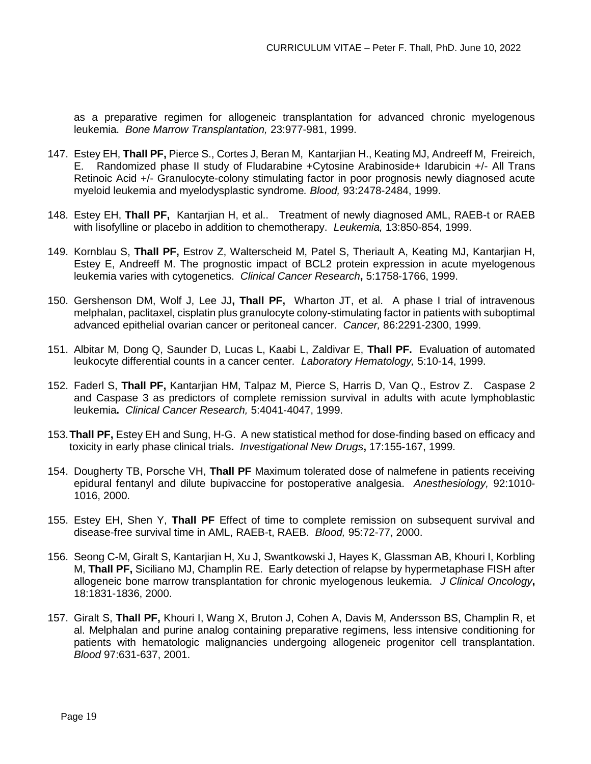as a preparative regimen for allogeneic transplantation for advanced chronic myelogenous leukemia. *Bone Marrow Transplantation,* 23:977-981, 1999.

- 147. Estey EH, **Thall PF,** Pierce S., Cortes J, Beran M, Kantarjian H., Keating MJ, Andreeff M, Freireich, E. Randomized phase II study of Fludarabine +Cytosine Arabinoside+ Idarubicin +/- All Trans Retinoic Acid +/- Granulocyte-colony stimulating factor in poor prognosis newly diagnosed acute myeloid leukemia and myelodysplastic syndrome*. Blood,* 93:2478-2484, 1999.
- 148. Estey EH, **Thall PF,** Kantarjian H, et al.. Treatment of newly diagnosed AML, RAEB-t or RAEB with lisofylline or placebo in addition to chemotherapy. *Leukemia,* 13:850-854, 1999.
- 149. Kornblau S, **Thall PF,** Estrov Z, Walterscheid M, Patel S, Theriault A, Keating MJ, Kantarjian H, Estey E, Andreeff M. The prognostic impact of BCL2 protein expression in acute myelogenous leukemia varies with cytogenetics. *Clinical Cancer Research***,** 5:1758-1766, 1999.
- 150. Gershenson DM, Wolf J, Lee JJ**, Thall PF,** Wharton JT, et al. A phase I trial of intravenous melphalan, paclitaxel, cisplatin plus granulocyte colony-stimulating factor in patients with suboptimal advanced epithelial ovarian cancer or peritoneal cancer. *Cancer,* 86:2291-2300, 1999.
- 151. Albitar M, Dong Q, Saunder D, Lucas L, Kaabi L, Zaldivar E, **Thall PF.** Evaluation of automated leukocyte differential counts in a cancer center*. Laboratory Hematology,* 5:10-14, 1999.
- 152. Faderl S, **Thall PF,** Kantarjian HM, Talpaz M, Pierce S, Harris D, Van Q., Estrov Z. Caspase 2 and Caspase 3 as predictors of complete remission survival in adults with acute lymphoblastic leukemia**.** *Clinical Cancer Research,* 5:4041-4047, 1999.
- 153.**Thall PF,** Estey EH and Sung, H-G. A new statistical method for dose-finding based on efficacy and toxicity in early phase clinical trials**.** *Investigational New Drugs***,** 17:155-167, 1999.
- 154. Dougherty TB, Porsche VH, **Thall PF** Maximum tolerated dose of nalmefene in patients receiving epidural fentanyl and dilute bupivaccine for postoperative analgesia. *Anesthesiology,* 92:1010- 1016, 2000.
- 155. Estey EH, Shen Y, **Thall PF** Effect of time to complete remission on subsequent survival and disease-free survival time in AML, RAEB-t, RAEB. *Blood,* 95:72-77, 2000.
- 156. Seong C-M, Giralt S, Kantarjian H, Xu J, Swantkowski J, Hayes K, Glassman AB, Khouri I, Korbling M, **Thall PF,** Siciliano MJ, Champlin RE. Early detection of relapse by hypermetaphase FISH after allogeneic bone marrow transplantation for chronic myelogenous leukemia. *J Clinical Oncology***,** 18:1831-1836, 2000.
- 157. Giralt S, **Thall PF,** Khouri I, Wang X, Bruton J, Cohen A, Davis M, Andersson BS, Champlin R, et al. Melphalan and purine analog containing preparative regimens, less intensive conditioning for patients with hematologic malignancies undergoing allogeneic progenitor cell transplantation. *Blood* 97:631-637, 2001.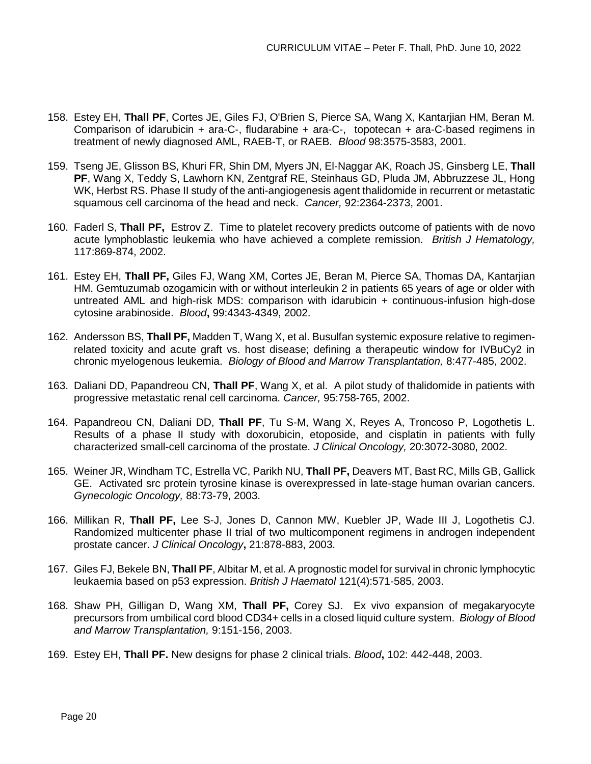- 158. Estey EH, **Thall PF**[, Cortes JE, Giles FJ, O'Brien S, Pierce SA, Wang X, Kantarjian HM, Beran M.](http://www.ncbi.nlm.nih.gov/entrez/query.fcgi?db=pubmed&cmd=Retrieve&dopt=AbstractPlus&list_uids=11739159&query_hl=5&itool=pubmed_DocSum) Comparison of idarubicin + ara-C-, fludarabine + ara-C-, topotecan + ara-C-based regimens in treatment of newly diagnosed AML, RAEB-T, or RAEB. *Blood* 98:3575-3583, 2001.
- 159. [Tseng JE, Glisson BS, Khuri FR, Shin DM, Myers JN, El-Naggar AK, Roach JS, Ginsberg LE,](http://www.ncbi.nlm.nih.gov/entrez/query.fcgi?db=pubmed&cmd=Retrieve&dopt=AbstractPlus&list_uids=11745292&query_hl=5&itool=pubmed_DocSum) **Thall PF**[, Wang X, Teddy S, Lawhorn KN, Zentgraf RE, Steinhaus GD, Pluda JM, Abbruzzese JL, Hong](http://www.ncbi.nlm.nih.gov/entrez/query.fcgi?db=pubmed&cmd=Retrieve&dopt=AbstractPlus&list_uids=11745292&query_hl=5&itool=pubmed_DocSum)  [WK, Herbst RS.](http://www.ncbi.nlm.nih.gov/entrez/query.fcgi?db=pubmed&cmd=Retrieve&dopt=AbstractPlus&list_uids=11745292&query_hl=5&itool=pubmed_DocSum) Phase II study of the anti-angiogenesis agent thalidomide in recurrent or metastatic squamous cell carcinoma of the head and neck. *Cancer,* 92:2364-2373, 2001.
- 160. Faderl S, **Thall PF,** Estrov Z. Time to platelet recovery predicts outcome of patients with de novo acute lymphoblastic leukemia who have achieved a complete remission. *British J Hematology,* 117:869-874, 2002.
- 161. Estey EH, **Thall PF,** Giles FJ, Wang XM, Cortes JE, Beran M, Pierce SA, Thomas DA, Kantarjian HM. Gemtuzumab ozogamicin with or without interleukin 2 in patients 65 years of age or older with untreated AML and high-risk MDS: comparison with idarubicin + continuous-infusion high-dose cytosine arabinoside. *Blood***,** 99:4343-4349, 2002.
- 162. Andersson BS, **Thall PF,** Madden T, Wang X, et al. Busulfan systemic exposure relative to regimenrelated toxicity and acute graft vs. host disease; defining a therapeutic window for IVBuCy2 in chronic myelogenous leukemia. *Biology of Blood and Marrow Transplantation,* 8:477-485, 2002.
- 163. Daliani DD, Papandreou CN, **Thall PF**, Wang X, et al. A pilot study of thalidomide in patients with progressive metastatic renal cell carcinoma. *Cancer,* 95:758-765, 2002.
- 164. Papandreou CN, Daliani DD, **Thall PF**, Tu S-M, Wang X, Reyes A, Troncoso P, Logothetis L. Results of a phase II study with doxorubicin, etoposide, and cisplatin in patients with fully characterized small-cell carcinoma of the prostate. *J Clinical Oncology,* 20:3072-3080, 2002.
- 165. Weiner JR, Windham TC, Estrella VC, Parikh NU, **Thall PF,** Deavers MT, Bast RC, Mills GB, Gallick GE. Activated src protein tyrosine kinase is overexpressed in late-stage human ovarian cancers. *Gynecologic Oncology,* 88:73-79, 2003.
- 166. Millikan R, **Thall PF,** Lee S-J, Jones D, Cannon MW, Kuebler JP, Wade III J, Logothetis CJ. Randomized multicenter phase II trial of two multicomponent regimens in androgen independent prostate cancer. *J Clinical Oncology***,** 21:878-883, 2003.
- 167. Giles FJ, Bekele BN, **Thall PF**, Albitar M, et al. A prognostic model for survival in chronic lymphocytic leukaemia based on p53 expression. *British J Haematol* 121(4):571-585, 2003.
- 168. Shaw PH, Gilligan D, Wang XM, **Thall PF,** Corey SJ. Ex vivo expansion of megakaryocyte precursors from umbilical cord blood CD34+ cells in a closed liquid culture system. *Biology of Blood and Marrow Transplantation,* 9:151-156, 2003.
- 169. Estey EH, **Thall PF.** New designs for phase 2 clinical trials. *Blood***,** 102: 442-448, 2003.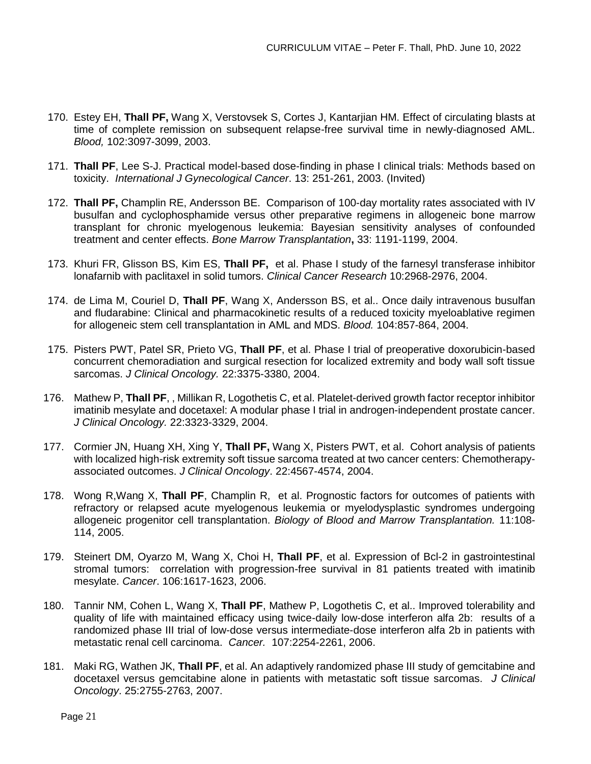- 170. Estey EH, **Thall PF,** Wang X, Verstovsek S, Cortes J, Kantarjian HM. Effect of circulating blasts at time of complete remission on subsequent relapse-free survival time in newly-diagnosed AML. *Blood,* 102:3097-3099, 2003.
- 171. **Thall PF**, Lee S-J. Practical model-based dose-finding in phase I clinical trials: Methods based on toxicity. *International J Gynecological Cancer*. 13: 251-261, 2003. (Invited)
- 172. **Thall PF,** Champlin RE, Andersson BE. Comparison of 100-day mortality rates associated with IV busulfan and cyclophosphamide versus other preparative regimens in allogeneic bone marrow transplant for chronic myelogenous leukemia: Bayesian sensitivity analyses of confounded treatment and center effects. *Bone Marrow Transplantation***,** 33: 1191-1199, 2004.
- 173. Khuri FR, Glisson BS, Kim ES, **Thall PF,** et al. Phase I study of the farnesyl transferase inhibitor lonafarnib with paclitaxel in solid tumors. *Clinical Cancer Research* 10:2968-2976, 2004.
- 174. de Lima M, Couriel D, **Thall PF**, Wang X, Andersson BS, et al.. Once daily intravenous busulfan and fludarabine: Clinical and pharmacokinetic results of a reduced toxicity myeloablative regimen for allogeneic stem cell transplantation in AML and MDS. *Blood.* 104:857-864, 2004.
- 175. Pisters PWT, Patel SR, Prieto VG, **Thall PF**, et al. Phase I trial of preoperative doxorubicin-based concurrent chemoradiation and surgical resection for localized extremity and body wall soft tissue sarcomas. *J Clinical Oncology.* 22:3375-3380, 2004.
- 176. Mathew P, **Thall PF**, , Millikan R, Logothetis C, et al. Platelet-derived growth factor receptor inhibitor imatinib mesylate and docetaxel: A modular phase I trial in androgen-independent prostate cancer. *J Clinical Oncology.* 22:3323-3329, 2004.
- 177. Cormier JN, Huang XH, Xing Y, **Thall PF,** Wang X, Pisters PWT, et al. Cohort analysis of patients with localized high-risk extremity soft tissue sarcoma treated at two cancer centers: Chemotherapyassociated outcomes. *J Clinical Oncology*. 22:4567-4574, 2004.
- 178. Wong R,Wang X, **Thall PF**, Champlin R, et al. Prognostic factors for outcomes of patients with refractory or relapsed acute myelogenous leukemia or myelodysplastic syndromes undergoing allogeneic progenitor cell transplantation. *Biology of Blood and Marrow Transplantation.* 11:108- 114, 2005.
- 179. [Steinert DM,](http://www.ncbi.nlm.nih.gov/entrez/query.fcgi?db=PubMed&cmd=Search&itool=PubMed_Abstract&term=%22Steinert+DM%22%5BAuthor%5D) [Oyarzo M,](http://www.ncbi.nlm.nih.gov/entrez/query.fcgi?db=PubMed&cmd=Search&itool=PubMed_Abstract&term=%22Oyarzo+M%22%5BAuthor%5D) [Wang](http://www.ncbi.nlm.nih.gov/entrez/query.fcgi?db=PubMed&cmd=Search&itool=PubMed_Abstract&term=%22Wang+X%22%5BAuthor%5D) X, [Choi H,](http://www.ncbi.nlm.nih.gov/entrez/query.fcgi?db=PubMed&cmd=Search&itool=PubMed_Abstract&term=%22Choi+H%22%5BAuthor%5D) **[Thall PF](http://www.ncbi.nlm.nih.gov/entrez/query.fcgi?db=PubMed&cmd=Search&itool=PubMed_Abstract&term=%22Thall+PF%22%5BAuthor%5D)**, et al. Expression of Bcl-2 in gastrointestinal stromal tumors: correlation with progression-free survival in 81 patients treated with imatinib mesylate. *Cancer*. 106:1617-1623, 2006.
- 180. Tannir NM, Cohen L, Wang X, **Thall PF**, Mathew P, Logothetis C, et al.. Improved tolerability and quality of life with maintained efficacy using twice-daily low-dose interferon alfa 2b: results of a randomized phase III trial of low-dose versus intermediate-dose interferon alfa 2b in patients with metastatic renal cell carcinoma. *Cancer.* 107:2254-2261, 2006.
- 181. Maki RG, Wathen JK, **Thall PF**, et al. An adaptively randomized phase III study of gemcitabine and docetaxel versus gemcitabine alone in patients with metastatic soft tissue sarcomas. *J Clinical Oncology*. 25:2755-2763, 2007.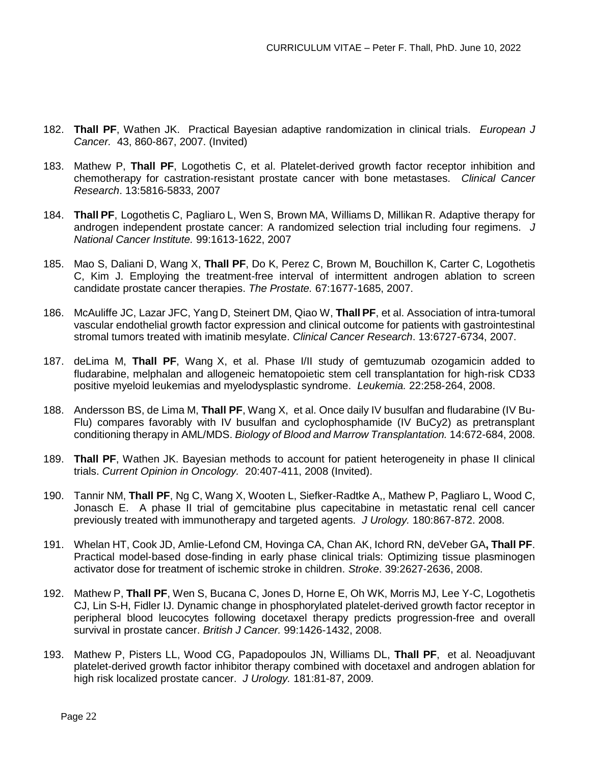- 182. **Thall PF**, Wathen JK. Practical Bayesian adaptive randomization in clinical trials. *European J Cancer.* 43, 860-867, 2007. (Invited)
- 183. Mathew P, **Thall PF**, Logothetis C, et al. Platelet-derived growth factor receptor inhibition and chemotherapy for castration-resistant prostate cancer with bone metastases. *Clinical Cancer Research*. 13:5816-5833, 2007
- 184. **Thall PF**, Logothetis C, Pagliaro L, Wen S, Brown MA, Williams D, Millikan R. Adaptive therapy for androgen independent prostate cancer: A randomized selection trial including four regimens. *J National Cancer Institute.* 99:1613-1622, 2007
- 185. Mao S, Daliani D, Wang X, **Thall PF**, Do K, Perez C, Brown M, Bouchillon K, Carter C, Logothetis C, Kim J. Employing the treatment-free interval of intermittent androgen ablation to screen candidate prostate cancer therapies. *The Prostate.* 67:1677-1685, 2007.
- 186. McAuliffe JC, Lazar JFC, Yang D, Steinert DM, Qiao W, **Thall PF**, et al. Association of intra-tumoral vascular endothelial growth factor expression and clinical outcome for patients with gastrointestinal stromal tumors treated with imatinib mesylate. *Clinical Cancer Research*. 13:6727-6734, 2007.
- 187. deLima M, **Thall PF**, Wang X, et al. Phase I/II study of gemtuzumab ozogamicin added to fludarabine, melphalan and allogeneic hematopoietic stem cell transplantation for high-risk CD33 positive myeloid leukemias and myelodysplastic syndrome. *Leukemia.* 22:258-264, 2008.
- 188. Andersson BS, de Lima M, **Thall PF**, Wang X, et al. Once daily IV busulfan and fludarabine (IV Bu-Flu) compares favorably with IV busulfan and cyclophosphamide (IV BuCy2) as pretransplant conditioning therapy in AML/MDS. *Biology of Blood and Marrow Transplantation.* 14:672-684, 2008.
- 189. **Thall PF**, Wathen JK. Bayesian methods to account for patient heterogeneity in phase II clinical trials. *Current Opinion in Oncology.* 20:407-411, 2008 (Invited).
- 190. Tannir NM, **Thall PF**, Ng C, Wang X, Wooten L, Siefker-Radtke A,, Mathew P, Pagliaro L, Wood C, Jonasch E. A phase II trial of gemcitabine plus capecitabine in metastatic renal cell cancer previously treated with immunotherapy and targeted agents. *J Urology.* 180:867-872. 2008.
- 191. Whelan HT, Cook JD, Amlie-Lefond CM, Hovinga CA, Chan AK, Ichord RN, deVeber GA**, Thall PF**. Practical model-based dose-finding in early phase clinical trials: Optimizing tissue plasminogen activator dose for treatment of ischemic stroke in children. *Stroke*. 39:2627-2636, 2008.
- 192. Mathew P, **Thall PF**, Wen S, Bucana C, Jones D, Horne E, Oh WK, Morris MJ, Lee Y-C, Logothetis CJ, Lin S-H, Fidler IJ. Dynamic change in phosphorylated platelet-derived growth factor receptor in peripheral blood leucocytes following docetaxel therapy predicts progression-free and overall survival in prostate cancer. *British J Cancer.* 99:1426-1432, 2008.
- 193. Mathew P, Pisters LL, Wood CG, Papadopoulos JN, Williams DL, **Thall PF**, et al. Neoadjuvant platelet-derived growth factor inhibitor therapy combined with docetaxel and androgen ablation for high risk localized prostate cancer. *J Urology.* 181:81-87, 2009.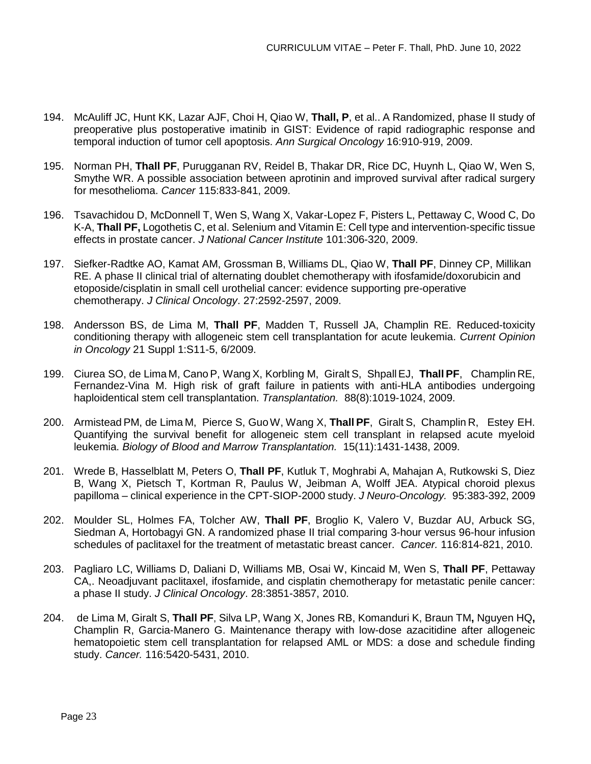- 194. McAuliff JC, Hunt KK, Lazar AJF, Choi H, Qiao W, **Thall, P**, et al.. A Randomized, phase II study of preoperative plus postoperative imatinib in GIST: Evidence of rapid radiographic response and temporal induction of tumor cell apoptosis. *Ann Surgical Oncology* 16:910-919, 2009.
- 195. Norman PH, **Thall PF**, Purugganan RV, Reidel B, Thakar DR, Rice DC, Huynh L, Qiao W, Wen S, Smythe WR. A possible association between aprotinin and improved survival after radical surgery for mesothelioma. *Cancer* 115:833-841, 2009.
- 196. Tsavachidou D, McDonnell T, Wen S, Wang X, Vakar-Lopez F, Pisters L, Pettaway C, Wood C, Do K-A, **Thall PF,** Logothetis C, et al. Selenium and Vitamin E: Cell type and intervention-specific tissue effects in prostate cancer. *J National Cancer Institute* 101:306-320, 2009.
- 197. Siefker-Radtke AO, Kamat AM, Grossman B, Williams DL, Qiao W, **Thall PF**, Dinney CP, Millikan RE. A phase II clinical trial of alternating doublet chemotherapy with ifosfamide/doxorubicin and etoposide/cisplatin in small cell urothelial cancer: evidence supporting pre-operative chemotherapy. *J Clinical Oncology*. 27:2592-2597, 2009.
- 198. Andersson BS, de Lima M, **Thall PF**, Madden T, Russell JA, Champlin RE. Reduced-toxicity conditioning therapy with allogeneic stem cell transplantation for acute leukemia. *Current Opinion in Oncology* 21 Suppl 1:S11-5, 6/2009.
- 199. Ciurea SO, de Lima M, CanoP, WangX, Korbling M, Giralt S, ShpallEJ, **Thall PF**, Champlin RE, Fernandez-Vina M. High risk of graft failure in patients with anti-HLA antibodies undergoing haploidentical stem cell transplantation. *Transplantation.* 88(8):1019-1024, 2009.
- 200. ArmisteadPM, de Lima M, Pierce S, GuoW, Wang X, **Thall PF**, Giralt S, Champlin R, Estey EH. Quantifying the survival benefit for allogeneic stem cell transplant in relapsed acute myeloid leukemia. *Biology of Blood and Marrow Transplantation.* 15(11):1431-1438, 2009.
- 201. [Wrede](http://www.springerlink.com/content/?Author=Brigitte+Wrede) B, [Hasselblatt](http://www.springerlink.com/content/?Author=Martin+Hasselblatt) M, [Peters](http://www.springerlink.com/content/?Author=Ove+Peters) O, **Thall PF**, [Kutluk](http://www.springerlink.com/content/?Author=Tezer+Kutluk) T, [Moghrabi](http://www.springerlink.com/content/?Author=Albert+Moghrabi) A, [Mahajan](http://www.springerlink.com/content/?Author=Anita+Mahajan) A, [Rutkowski](http://www.springerlink.com/content/?Author=Stefan+Rutkowski) S, [Diez](http://www.springerlink.com/content/?Author=Blanca+Diez) B, Wang X, [Pietsch](http://www.springerlink.com/content/?Author=Torsten+Pietsch) T, Kortman R, Paulus W, Jeibman A, Wolff JEA. Atypical choroid plexus papilloma – clinical experience in the CPT-SIOP-2000 study. *J Neuro-Oncology.* 95:383-392, 2009
- 202. Moulder SL, Holmes FA, Tolcher AW, **Thall PF**, Broglio K, Valero V, Buzdar AU, Arbuck SG, Siedman A, Hortobagyi GN. A randomized phase II trial comparing 3-hour versus 96-hour infusion schedules of paclitaxel for the treatment of metastatic breast cancer. *Cancer.* 116:814-821, 2010.
- 203. Pagliaro LC, Williams D, Daliani D, Williams MB, Osai W, Kincaid M, Wen S, **Thall PF**, Pettaway CA,. Neoadjuvant paclitaxel, ifosfamide, and cisplatin chemotherapy for metastatic penile cancer: a phase II study. *J Clinical Oncology*. 28:3851-3857, 2010.
- 204. de Lima M, Giralt S, **Thall PF**, Silva LP, Wang X, Jones RB, Komanduri K, Braun TM**,** Nguyen HQ**,**  Champlin R, Garcia-Manero G. Maintenance therapy with low-dose azacitidine after allogeneic hematopoietic stem cell transplantation for relapsed AML or MDS: a dose and schedule finding study. *Cancer.* 116:5420-5431, 2010.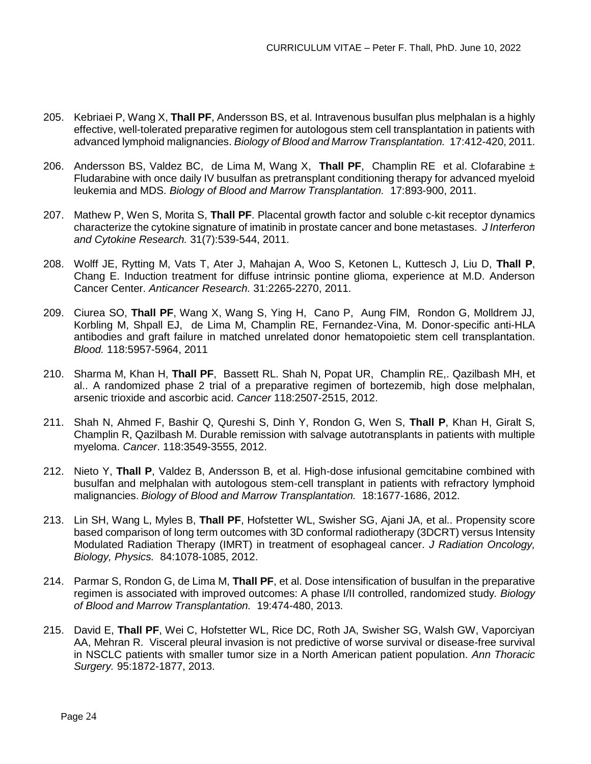- 205. Kebriaei P, Wang X, **Thall PF**, Andersson BS, et al. Intravenous busulfan plus melphalan is a highly effective, well-tolerated preparative regimen for autologous stem cell transplantation in patients with advanced lymphoid malignancies. *Biology of Blood and Marrow Transplantation.* 17:412-420, 2011.
- 206. Andersson BS, Valdez BC, de Lima M, Wang X, **Thall PF**, Champlin RE et al. Clofarabine ± Fludarabine with once daily IV busulfan as pretransplant conditioning therapy for advanced myeloid leukemia and MDS. *Biology of Blood and Marrow Transplantation.* 17:893-900, 2011.
- 207. Mathew P, Wen S, Morita S, **Thall PF**. Placental growth factor and soluble c-kit receptor dynamics characterize the cytokine signature of imatinib in prostate cancer and bone metastases. *J Interferon and Cytokine Research.* 31(7):539-544, 2011.
- 208. Wolff JE, Rytting M, Vats T, Ater J, Mahajan A, Woo S, Ketonen L, Kuttesch J, Liu D, **Thall P**, Chang E. Induction treatment for diffuse intrinsic pontine glioma, experience at M.D. Anderson Cancer Center. *Anticancer Research.* 31:2265-2270, 2011.
- 209. Ciurea SO, **Thall PF**, Wang X, Wang S, Ying H, Cano P, Aung FlM, Rondon G, Molldrem JJ, Korbling M, Shpall EJ, de Lima M, Champlin RE, Fernandez-Vina, M. Donor-specific anti-HLA antibodies and graft failure in matched unrelated donor hematopoietic stem cell transplantation. *Blood.* 118:5957-5964, 2011
- 210. Sharma M, Khan H, **Thall PF**, Bassett RL. Shah N, Popat UR, Champlin RE,. Qazilbash MH, et al.. A randomized phase 2 trial of a preparative regimen of bortezemib, high dose melphalan, arsenic trioxide and ascorbic acid. *Cancer* 118:2507-2515, 2012.
- 211. Shah N, Ahmed F, Bashir Q, Qureshi S, Dinh Y, Rondon G, Wen S, **Thall P**, Khan H, Giralt S, Champlin R, Qazilbash M. Durable remission with salvage autotransplants in patients with multiple myeloma. *Cancer*. 118:3549-3555, 2012.
- 212. Nieto Y, **Thall P**, Valdez B, Andersson B, et al. High-dose infusional gemcitabine combined with busulfan and melphalan with autologous stem-cell transplant in patients with refractory lymphoid malignancies. *Biology of Blood and Marrow Transplantation.* 18:1677-1686, 2012.
- 213. Lin SH, Wang L, Myles B, **Thall PF**, Hofstetter WL, Swisher SG, Ajani JA, et al.. Propensity score based comparison of long term outcomes with 3D conformal radiotherapy (3DCRT) versus Intensity Modulated Radiation Therapy (IMRT) in treatment of esophageal cancer. *J Radiation Oncology, Biology, Physics.* 84:1078-1085, 2012.
- 214. Parmar S, Rondon G, de Lima M, **Thall PF**, et al. Dose intensification of busulfan in the preparative regimen is associated with improved outcomes: A phase I/II controlled, randomized study*. Biology of Blood and Marrow Transplantation.* 19:474-480, 2013.
- 215. David E, **Thall PF**, Wei C, Hofstetter WL, Rice DC, Roth JA, Swisher SG, Walsh GW, Vaporciyan AA, Mehran R. Visceral pleural invasion is not predictive of worse survival or disease-free survival in NSCLC patients with smaller tumor size in a North American patient population. *Ann Thoracic Surgery.* 95:1872-1877, 2013.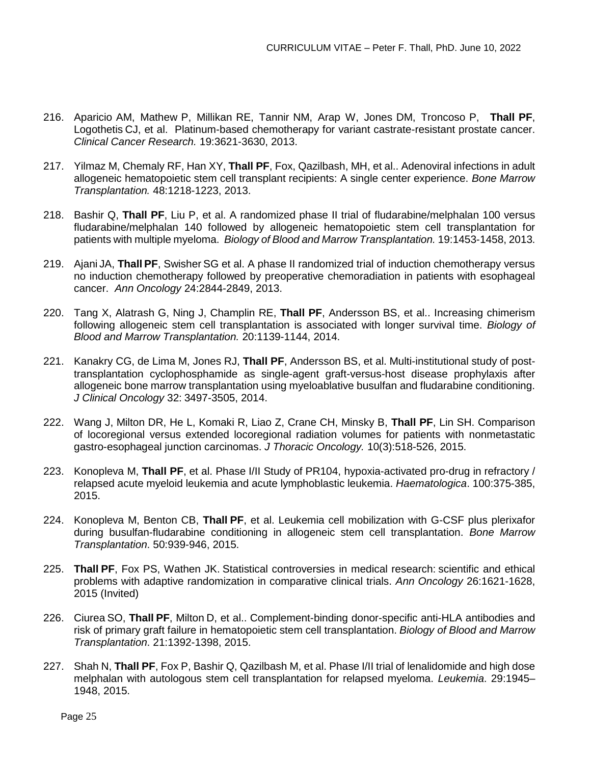- 216. Aparicio AM, Mathew P, Millikan RE, Tannir NM, Arap W, Jones DM, Troncoso P, **Thall PF**, Logothetis CJ, et al. Platinum-based chemotherapy for variant castrate-resistant prostate cancer. *Clinical Cancer Research.* 19:3621-3630, 2013.
- 217. Yilmaz M, Chemaly RF, Han XY, **Thall PF**, Fox, Qazilbash, MH, et al.. Adenoviral infections in adult allogeneic hematopoietic stem cell transplant recipients: A single center experience. *Bone Marrow Transplantation.* 48:1218-1223, 2013.
- 218. Bashir Q, **Thall PF**, Liu P, et al. A randomized phase II trial of fludarabine/melphalan 100 versus fludarabine/melphalan 140 followed by allogeneic hematopoietic stem cell transplantation for patients with multiple myeloma.*Biology of Blood and Marrow Transplantation.* 19:1453-1458, 2013.
- 219. Ajani JA, **Thall PF**, Swisher SG et al. A phase II randomized trial of induction chemotherapy versus no induction chemotherapy followed by preoperative chemoradiation in patients with esophageal cancer. *Ann Oncology* 24:2844-2849, 2013.
- 220. Tang X, Alatrash G, Ning J, Champlin RE, **Thall PF**, Andersson BS, et al.. Increasing chimerism following allogeneic stem cell transplantation is associated with longer survival time. *Biology of Blood and Marrow Transplantation.* 20:1139-1144, 2014.
- 221. Kanakry CG, de Lima M, Jones RJ, **Thall PF**, Andersson BS, et al. Multi-institutional study of posttransplantation cyclophosphamide as single-agent graft-versus-host disease prophylaxis after allogeneic bone marrow transplantation using myeloablative busulfan and fludarabine conditioning. *J Clinical Oncology* 32: 3497-3505, 2014.
- 222. Wang J, Milton DR, He L, Komaki R, Liao Z, Crane CH, Minsky B, **Thall PF**, Lin SH. Comparison of locoregional versus extended locoregional radiation volumes for patients with nonmetastatic gastro-esophageal junction carcinomas. *J Thoracic Oncology.* 10(3):518-526, 2015.
- 223. Konopleva M, **Thall PF**, et al. Phase I/II Study of PR104, hypoxia-activated pro-drug in refractory / relapsed acute myeloid leukemia and acute lymphoblastic leukemia. *Haematologica*. 100:375-385, 2015.
- 224. Konopleva M, Benton CB, **Thall PF**, et al. Leukemia cell mobilization with G-CSF plus plerixafor during busulfan-fludarabine conditioning in allogeneic stem cell transplantation. *Bone Marrow Transplantation*. 50:939-946, 2015.
- 225. **Thall PF**, Fox PS, Wathen JK. Statistical controversies in medical research: scientific and ethical problems with adaptive randomization in comparative clinical trials. *Ann Oncology* 26:1621-1628, 2015 (Invited)
- 226. Ciurea SO, **Thall PF**, Milton D, et al.. Complement-binding donor-specific anti-HLA antibodies and risk of primary graft failure in hematopoietic stem cell transplantation. *Biology of Blood and Marrow Transplantation*. 21:1392-1398, 2015.
- 227. Shah N, **Thall PF**, Fox P, Bashir Q, Qazilbash M, et al. Phase I/II trial of lenalidomide and high dose melphalan with autologous stem cell transplantation for relapsed myeloma. *Leukemia*. 29:1945– 1948, 2015.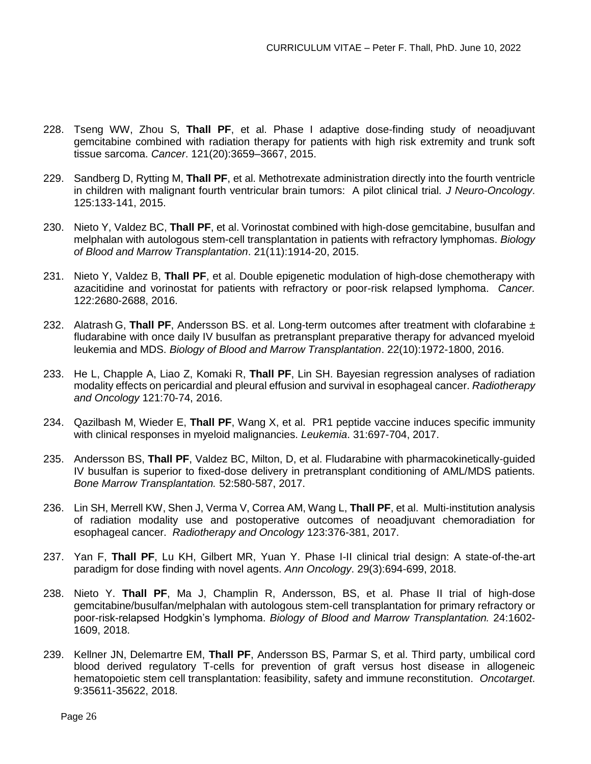- 228. Tseng WW, Zhou S, **Thall PF**, et al. Phase I adaptive dose-finding study of neoadjuvant gemcitabine combined with radiation therapy for patients with high risk extremity and trunk soft tissue sarcoma. *Cancer*. 121(20):3659–3667, 2015.
- 229. Sandberg D, Rytting M, **Thall PF**, et al. Methotrexate administration directly into the fourth ventricle in children with malignant fourth ventricular brain tumors: A pilot clinical trial*. J Neuro-Oncology*. 125:133-141, 2015.
- 230. Nieto Y, Valdez BC, **Thall PF**, et al. Vorinostat combined with high-dose gemcitabine, busulfan and melphalan with autologous stem-cell transplantation in patients with refractory lymphomas. *Biology of Blood and Marrow Transplantation*. 21(11):1914-20, 2015.
- 231. Nieto Y, Valdez B, **Thall PF**, et al. Double epigenetic modulation of high-dose chemotherapy with azacitidine and vorinostat for patients with refractory or poor-risk relapsed lymphoma. *Cancer.* 122:2680-2688, 2016.
- 232. Alatrash G, **Thall PF**, Andersson BS. et al. Long-term outcomes after treatment with clofarabine ± fludarabine with once daily IV busulfan as pretransplant preparative therapy for advanced myeloid leukemia and MDS. *Biology of Blood and Marrow Transplantation*. 22(10):1972-1800, 2016.
- 233. He L, Chapple A, Liao Z, Komaki R, **Thall PF**, Lin SH. Bayesian regression analyses of radiation modality effects on pericardial and pleural effusion and survival in esophageal cancer. *Radiotherapy and Oncology* 121:70-74, 2016.
- 234. Qazilbash M, Wieder E, **Thall PF**, Wang X, et al. PR1 peptide vaccine induces specific immunity with clinical responses in myeloid malignancies. *Leukemia*. 31:697-704, 2017.
- 235. Andersson BS, **Thall PF**, Valdez BC, Milton, D, et al. Fludarabine with pharmacokinetically-guided IV busulfan is superior to fixed-dose delivery in pretransplant conditioning of AML/MDS patients. *Bone Marrow Transplantation.* 52:580-587, 2017.
- 236. Lin SH, Merrell KW, Shen J, Verma V, Correa AM, Wang L, **Thall PF**, et al. Multi-institution analysis of radiation modality use and postoperative outcomes of neoadjuvant chemoradiation for esophageal cancer. *Radiotherapy and Oncology* 123:376-381, 2017.
- 237. Yan F, **Thall PF**, Lu KH, Gilbert MR, Yuan Y. Phase I-II clinical trial design: A state-of-the-art paradigm for dose finding with novel agents. *Ann Oncology*. 29(3):694-699, 2018.
- 238. Nieto Y. **Thall PF**, Ma J, Champlin R, Andersson, BS, et al. Phase II trial of high-dose gemcitabine/busulfan/melphalan with autologous stem-cell transplantation for primary refractory or poor-risk-relapsed Hodgkin's lymphoma. *Biology of Blood and Marrow Transplantation.* 24:1602- 1609, 2018.
- 239. Kellner JN, Delemartre EM, **Thall PF**, Andersson BS, Parmar S, et al. Third party, umbilical cord blood derived regulatory T-cells for prevention of graft versus host disease in allogeneic hematopoietic stem cell transplantation: feasibility, safety and immune reconstitution. *Oncotarget*. 9:35611-35622, 2018.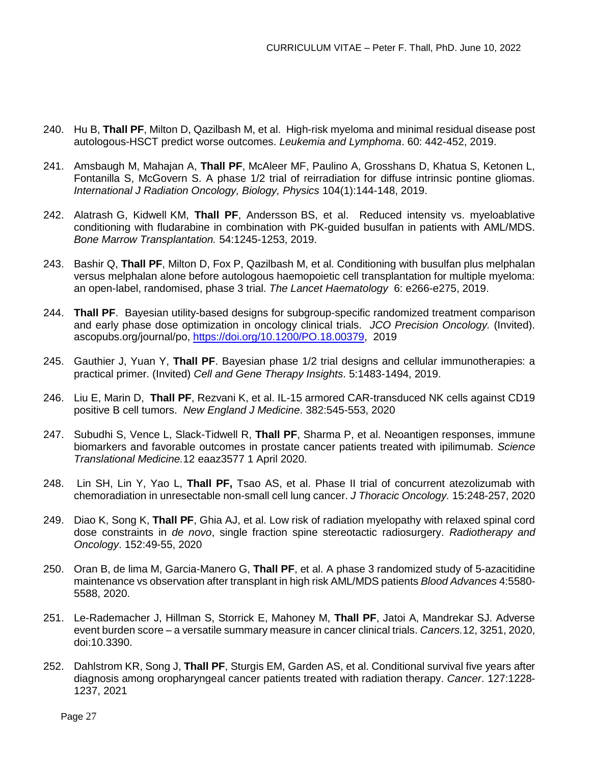- 240. Hu B, **Thall PF**, Milton D, Qazilbash M, et al. High-risk myeloma and minimal residual disease post autologous-HSCT predict worse outcomes. *Leukemia and Lymphoma*. 60: 442-452, 2019.
- 241. Amsbaugh M, Mahajan A, **Thall PF**, McAleer MF, Paulino A, Grosshans D, Khatua S, Ketonen L, Fontanilla S, McGovern S. A phase 1/2 trial of reirradiation for diffuse intrinsic pontine gliomas. *International J Radiation Oncology, Biology, Physics* 104(1):144-148, 2019.
- 242. Alatrash G, Kidwell KM, **Thall PF**, Andersson BS, et al. Reduced intensity vs. myeloablative conditioning with fludarabine in combination with PK-guided busulfan in patients with AML/MDS. *Bone Marrow Transplantation.* 54:1245-1253, 2019.
- 243. Bashir Q, **Thall PF**, Milton D, Fox P, Qazilbash M, et al. Conditioning with busulfan plus melphalan versus melphalan alone before autologous haemopoietic cell transplantation for multiple myeloma: an open-label, randomised, phase 3 trial. *The Lancet Haematology* 6: e266-e275, 2019.
- 244. **Thall PF**. Bayesian utility-based designs for subgroup-specific randomized treatment comparison and early phase dose optimization in oncology clinical trials. *JCO Precision Oncology.* (Invited). ascopubs.org/journal/po, [https://doi.org/10.1200/PO.18.00379,](https://doi.org/10.1200/PO.18.00379) 2019
- 245. Gauthier J, Yuan Y, **Thall PF**. Bayesian phase 1/2 trial designs and cellular immunotherapies: a practical primer. (Invited) *Cell and Gene Therapy Insights*. 5:1483-1494, 2019.
- 246. Liu E, Marin D, **Thall PF**, Rezvani K, et al. IL-15 armored CAR-transduced NK cells against CD19 positive B cell tumors. *New England J Medicine*. 382:545-553, 2020
- 247. Subudhi S, Vence L, Slack-Tidwell R, **Thall PF**, Sharma P, et al. Neoantigen responses, immune biomarkers and favorable outcomes in prostate cancer patients treated with ipilimumab. *Science Translational Medicine.*12 eaaz3577 1 April 2020.
- 248. Lin SH, Lin Y, Yao L, **Thall PF,** Tsao AS, et al. Phase II trial of concurrent atezolizumab with chemoradiation in unresectable non-small cell lung cancer. *J Thoracic Oncology.* 15:248-257, 2020
- 249. Diao K, Song K, **Thall PF**, Ghia AJ, et al. Low risk of radiation myelopathy with relaxed spinal cord dose constraints in *de novo*, single fraction spine stereotactic radiosurgery. *Radiotherapy and Oncology*. 152:49-55, 2020
- 250. Oran B, de lima M, Garcia-Manero G, **Thall PF**, et al. A phase 3 randomized study of 5-azacitidine maintenance vs observation after transplant in high risk AML/MDS patients *Blood Advances* 4:5580- 5588, 2020.
- 251. Le-Rademacher J, Hillman S, Storrick E, Mahoney M, **Thall PF**, Jatoi A, Mandrekar SJ. Adverse event burden score – a versatile summary measure in cancer clinical trials. *Cancers.*12, 3251, 2020, doi:10.3390.
- 252. Dahlstrom KR, Song J, **Thall PF**, Sturgis EM, Garden AS, et al. Conditional survival five years after diagnosis among oropharyngeal cancer patients treated with radiation therapy. *Cancer*. 127:1228- 1237, 2021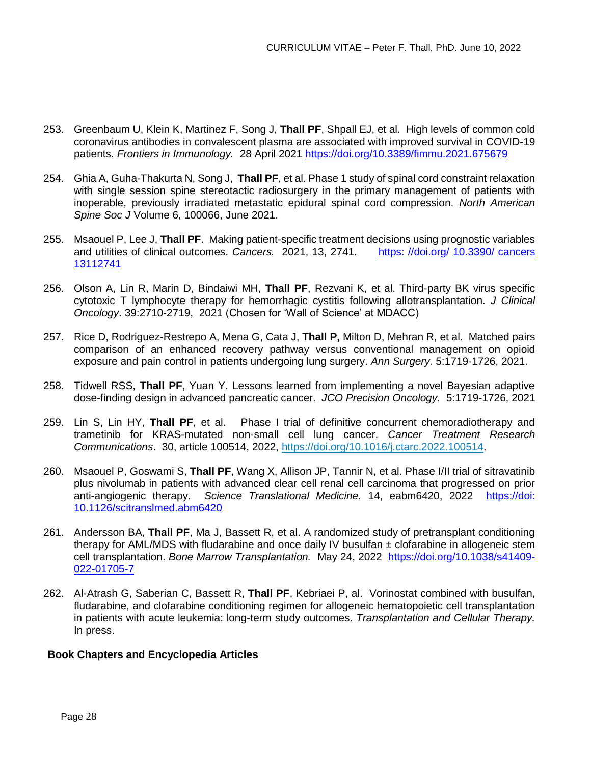- 253. Greenbaum U, Klein K, Martinez F, Song J, **Thall PF**, Shpall EJ, et al. High levels of common cold coronavirus antibodies in convalescent plasma are associated with improved survival in COVID-19 patients. *Frontiers in Immunology.* 28 April 2021 <https://doi.org/10.3389/fimmu.2021.675679>
- 254. Ghia A, Guha-Thakurta N, Song J, **Thall PF**, et al. Phase 1 study of spinal cord constraint relaxation with single session spine stereotactic radiosurgery in the primary management of patients with inoperable, previously irradiated metastatic epidural spinal cord compression. *North American Spine Soc J* Volume 6, 100066, June 2021.
- 255. Msaouel P, Lee J, **Thall PF**. Making patient-specific treatment decisions using prognostic variables and utilities of clinical outcomes. *Cancers.* 2021, 13, 2741. https: //doi.org/ [10.3390/ cancers](https://doi.org/10.3390/cancers13112741) [13112741](https://doi.org/10.3390/cancers13112741)
- 256. Olson A, Lin R, Marin D, Bindaiwi MH, **Thall PF**, Rezvani K, et al. Third-party BK virus specific cytotoxic T lymphocyte therapy for hemorrhagic cystitis following allotransplantation. *J Clinical Oncology*. 39:2710-2719, 2021 (Chosen for 'Wall of Science' at MDACC)
- 257. Rice D, Rodriguez-Restrepo A, Mena G, Cata J, **Thall P,** Milton D, Mehran R, et al. Matched pairs comparison of an enhanced recovery pathway versus conventional management on opioid exposure and pain control in patients undergoing lung surgery. *Ann Surgery*. 5:1719-1726, 2021.
- 258. Tidwell RSS, **Thall PF**, Yuan Y. Lessons learned from implementing a novel Bayesian adaptive dose-finding design in advanced pancreatic cancer. *JCO Precision Oncology.* 5:1719-1726, 2021
- 259. Lin S, Lin HY, **Thall PF**, et al. Phase I trial of definitive concurrent chemoradiotherapy and trametinib for KRAS-mutated non-small cell lung cancer. *Cancer Treatment Research Communications*. 30, article 100514, 2022,<https://doi.org/10.1016/j.ctarc.2022.100514>.
- 260. Msaouel P, Goswami S, **Thall PF**, Wang X, Allison JP, Tannir N, et al. Phase I/II trial of sitravatinib plus nivolumab in patients with advanced clear cell renal cell carcinoma that progressed on prior anti-angiogenic therapy. *Science Translational Medicine.* 14, eabm6420, 2022 [https://doi:](https://doi:%2010.1126/scitranslmed.abm6420)  [10.1126/scitranslmed.abm6420](https://doi:%2010.1126/scitranslmed.abm6420)
- 261. Andersson BA, **Thall PF**, Ma J, Bassett R, et al. A randomized study of pretransplant conditioning therapy for AML/MDS with fludarabine and once daily IV busulfan ± clofarabine in allogeneic stem cell transplantation. *Bone Marrow Transplantation.* May 24, 2022 [https://doi.org/10.1038/s41409-](https://doi.org/10.1038/s41409-022-01705-7) [022-01705-7](https://doi.org/10.1038/s41409-022-01705-7)
- 262. Al-Atrash G, Saberian C, Bassett R, **Thall PF**, Kebriaei P, al. Vorinostat combined with busulfan, fludarabine, and clofarabine conditioning regimen for allogeneic hematopoietic cell transplantation in patients with acute leukemia: long-term study outcomes. *Transplantation and Cellular Therapy.* In press.

### **Book Chapters and Encyclopedia Articles**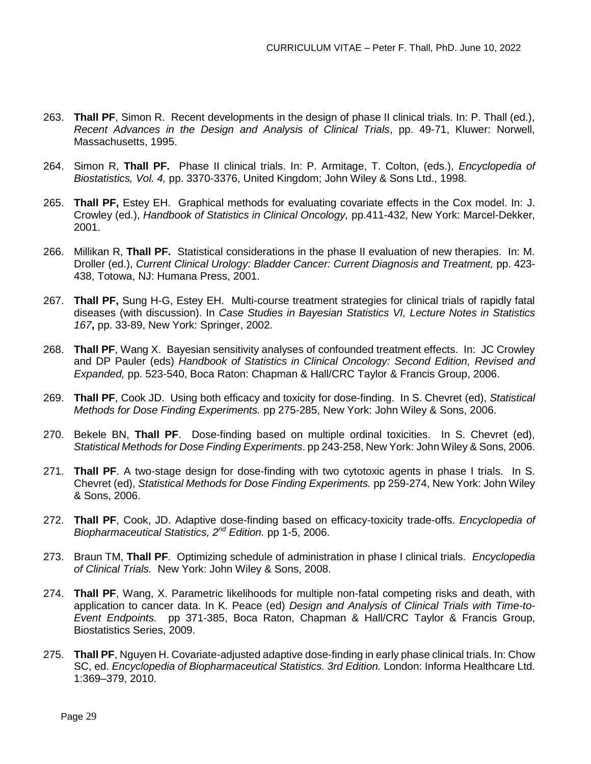- 263. **Thall PF**, Simon R. Recent developments in the design of phase II clinical trials. In: P. Thall (ed.), *Recent Advances in the Design and Analysis of Clinical Trials*, pp. 49-71, Kluwer: Norwell, Massachusetts, 1995.
- 264. Simon R, **Thall PF.** Phase II clinical trials. In: P. Armitage, T. Colton, (eds.), *Encyclopedia of Biostatistics, Vol. 4,* pp. 3370-3376, United Kingdom; John Wiley & Sons Ltd., 1998.
- 265. **Thall PF,** Estey EH. Graphical methods for evaluating covariate effects in the Cox model. In: J. Crowley (ed.), *Handbook of Statistics in Clinical Oncology,* pp.411-432, New York: Marcel-Dekker, 2001.
- 266. Millikan R, **Thall PF.** Statistical considerations in the phase II evaluation of new therapies. In: M. Droller (ed.), *Current Clinical Urology: Bladder Cancer: Current Diagnosis and Treatment,* pp. 423- 438, Totowa, NJ: Humana Press, 2001.
- 267. **Thall PF,** Sung H-G, Estey EH. Multi-course treatment strategies for clinical trials of rapidly fatal diseases (with discussion). In *Case Studies in Bayesian Statistics VI, Lecture Notes in Statistics 167***,** pp. 33-89, New York: Springer, 2002.
- 268. **Thall PF**, Wang X. Bayesian sensitivity analyses of confounded treatment effects. In: JC Crowley and DP Pauler (eds) *Handbook of Statistics in Clinical Oncology: Second Edition, Revised and Expanded,* pp. 523-540, Boca Raton: Chapman & Hall/CRC Taylor & Francis Group, 2006.
- 269. **Thall PF**, Cook JD. Using both efficacy and toxicity for dose-finding. In S. Chevret (ed), *Statistical Methods for Dose Finding Experiments.* pp 275-285, New York: John Wiley & Sons, 2006.
- 270. Bekele BN, **Thall PF**. Dose-finding based on multiple ordinal toxicities. In S. Chevret (ed), *Statistical Methods for Dose Finding Experiments*. pp 243-258, New York: John Wiley & Sons, 2006.
- 271. **Thall PF**. A two-stage design for dose-finding with two cytotoxic agents in phase I trials. In S. Chevret (ed), *Statistical Methods for Dose Finding Experiments.* pp 259-274, New York: John Wiley & Sons, 2006.
- 272. **Thall PF**, Cook, JD. Adaptive dose-finding based on efficacy-toxicity trade-offs. *Encyclopedia of Biopharmaceutical Statistics, 2nd Edition.* pp 1-5, 2006.
- 273. Braun TM, **Thall PF**. Optimizing schedule of administration in phase I clinical trials. *Encyclopedia of Clinical Trials.* New York: John Wiley & Sons, 2008.
- 274. **Thall PF**, Wang, X. Parametric likelihoods for multiple non-fatal competing risks and death, with application to cancer data. In K. Peace (ed) *Design and Analysis of Clinical Trials with Time-to-Event Endpoints.* pp 371-385, Boca Raton, Chapman & Hall/CRC Taylor & Francis Group, Biostatistics Series, 2009.
- 275. **Thall PF**, Nguyen H. Covariate-adjusted adaptive dose-finding in early phase clinical trials. In: Chow SC, ed. *Encyclopedia of Biopharmaceutical Statistics. 3rd Edition.* London: Informa Healthcare Ltd. 1:369–379, 2010.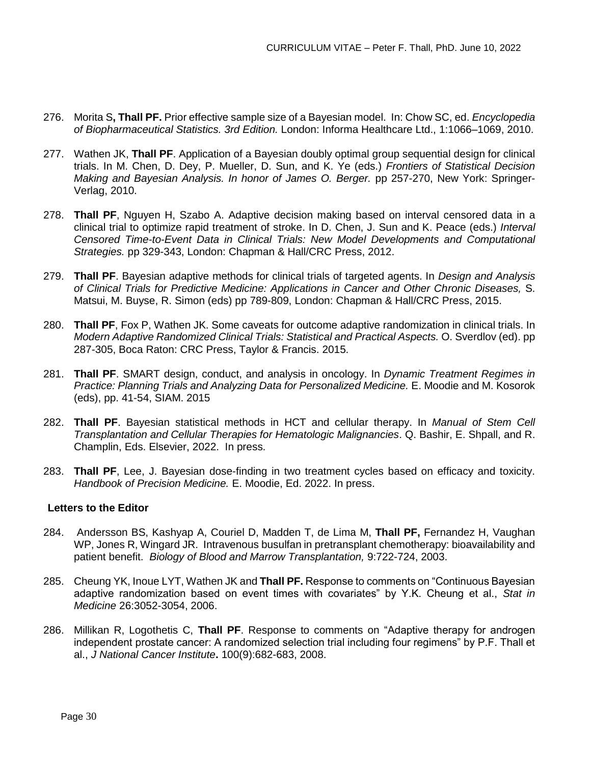- 276. Morita S**, Thall PF.** Prior effective sample size of a Bayesian model. In: Chow SC, ed. *Encyclopedia of Biopharmaceutical Statistics. 3rd Edition.* London: Informa Healthcare Ltd., 1:1066–1069, 2010.
- 277. Wathen JK, **Thall PF**. Application of a Bayesian doubly optimal group sequential design for clinical trials. In M. Chen, D. Dey, P. Mueller, D. Sun, and K. Ye (eds.) *Frontiers of Statistical Decision Making and Bayesian Analysis. In honor of James O. Berger.* pp 257-270, New York: Springer-Verlag, 2010.
- 278. **Thall PF**, Nguyen H, Szabo A. Adaptive decision making based on interval censored data in a clinical trial to optimize rapid treatment of stroke. In D. Chen, J. Sun and K. Peace (eds.) *Interval Censored Time-to-Event Data in Clinical Trials: New Model Developments and Computational Strategies.* pp 329-343, London: Chapman & Hall/CRC Press, 2012.
- 279. **Thall PF**. Bayesian adaptive methods for clinical trials of targeted agents. In *Design and Analysis of Clinical Trials for Predictive Medicine: Applications in Cancer and Other Chronic Diseases,* S. Matsui, M. Buyse, R. Simon (eds) pp 789-809, London: Chapman & Hall/CRC Press, 2015.
- 280. **Thall PF**, Fox P, Wathen JK. Some caveats for outcome adaptive randomization in clinical trials. In *Modern Adaptive Randomized Clinical Trials: Statistical and Practical Aspects.* O. Sverdlov (ed). pp 287-305, Boca Raton: CRC Press, Taylor & Francis. 2015.
- 281. **Thall PF**. SMART design, conduct, and analysis in oncology. In *Dynamic Treatment Regimes in Practice: Planning Trials and Analyzing Data for Personalized Medicine.* E. Moodie and M. Kosorok (eds), pp. 41-54, SIAM. 2015
- 282. **Thall PF**. Bayesian statistical methods in HCT and cellular therapy. In *Manual of Stem Cell Transplantation and Cellular Therapies for Hematologic Malignancies*. Q. Bashir, E. Shpall, and R. Champlin, Eds. Elsevier, 2022. In press.
- 283. **Thall PF**, Lee, J. Bayesian dose-finding in two treatment cycles based on efficacy and toxicity. *Handbook of Precision Medicine.* E. Moodie, Ed. 2022. In press.

### **Letters to the Editor**

- 284. Andersson BS, Kashyap A, Couriel D, Madden T, de Lima M, **Thall PF,** Fernandez H, Vaughan WP, Jones R, Wingard JR. Intravenous busulfan in pretransplant chemotherapy: bioavailability and patient benefit. *Biology of Blood and Marrow Transplantation,* 9:722-724, 2003.
- 285. Cheung YK, Inoue LYT, Wathen JK and **Thall PF.** Response to comments on "Continuous Bayesian adaptive randomization based on event times with covariates" by Y.K. Cheung et al., *Stat in Medicine* 26:3052-3054, 2006.
- 286. Millikan R, Logothetis C, **Thall PF**. Response to comments on "Adaptive therapy for androgen independent prostate cancer: A randomized selection trial including four regimens" by P.F. Thall et al., *J National Cancer Institute***.** 100(9):682-683, 2008.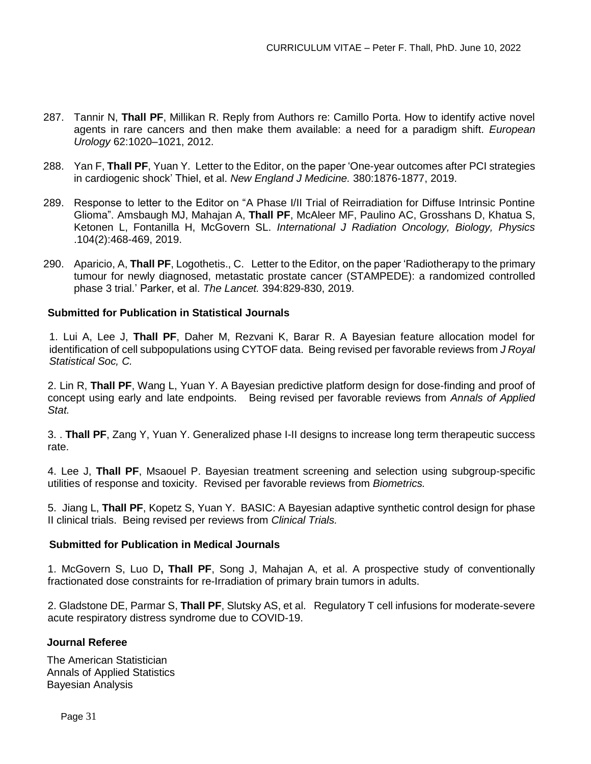- 287. Tannir N, **Thall PF**, Millikan R. Reply from Authors re: Camillo Porta. How to identify active novel agents in rare cancers and then make them available: a need for a paradigm shift. *European Urology* 62:1020–1021, 2012.
- 288. Yan F, **Thall PF**, Yuan Y. Letter to the Editor, on the paper 'One-year outcomes after PCI strategies in cardiogenic shock' Thiel, et al. *New England J Medicine.* 380:1876-1877, 2019.
- 289. Response to letter to the Editor on "A Phase I/II Trial of Reirradiation for Diffuse Intrinsic Pontine Glioma". Amsbaugh MJ, Mahajan A, **Thall PF**, McAleer MF, Paulino AC, Grosshans D, Khatua S, Ketonen L, Fontanilla H, McGovern SL. *International J Radiation Oncology, Biology, Physics* .104(2):468-469, 2019.
- 290. Aparicio, A, **Thall PF**, Logothetis., C. Letter to the Editor, on the paper 'Radiotherapy to the primary tumour for newly diagnosed, metastatic prostate cancer (STAMPEDE): a randomized controlled phase 3 trial.' Parker, et al. *The Lancet.* 394:829-830, 2019.

# **Submitted for Publication in Statistical Journals**

1. Lui A, Lee J, **Thall PF**, Daher M, Rezvani K, Barar R. A Bayesian feature allocation model for identification of cell subpopulations using CYTOF data. Being revised per favorable reviews from *J Royal Statistical Soc, C.*

2. Lin R, **Thall PF**, Wang L, Yuan Y. A Bayesian predictive platform design for dose-finding and proof of concept using early and late endpoints. Being revised per favorable reviews from *Annals of Applied Stat.*

3. . **Thall PF**, Zang Y, Yuan Y. Generalized phase I-II designs to increase long term therapeutic success rate.

4. Lee J, **Thall PF**, Msaouel P. Bayesian treatment screening and selection using subgroup-specific utilities of response and toxicity. Revised per favorable reviews from *Biometrics.*

5. Jiang L, **Thall PF**, Kopetz S, Yuan Y. BASIC: A Bayesian adaptive synthetic control design for phase II clinical trials. Being revised per reviews from *Clinical Trials.*

# **Submitted for Publication in Medical Journals**

1. McGovern S, Luo D**, Thall PF**, Song J, Mahajan A, et al. A prospective study of conventionally fractionated dose constraints for re-Irradiation of primary brain tumors in adults.

2. Gladstone DE, Parmar S, **Thall PF**, Slutsky AS, et al. Regulatory T cell infusions for moderate-severe acute respiratory distress syndrome due to COVID-19.

### **Journal Referee**

The American Statistician Annals of Applied Statistics Bayesian Analysis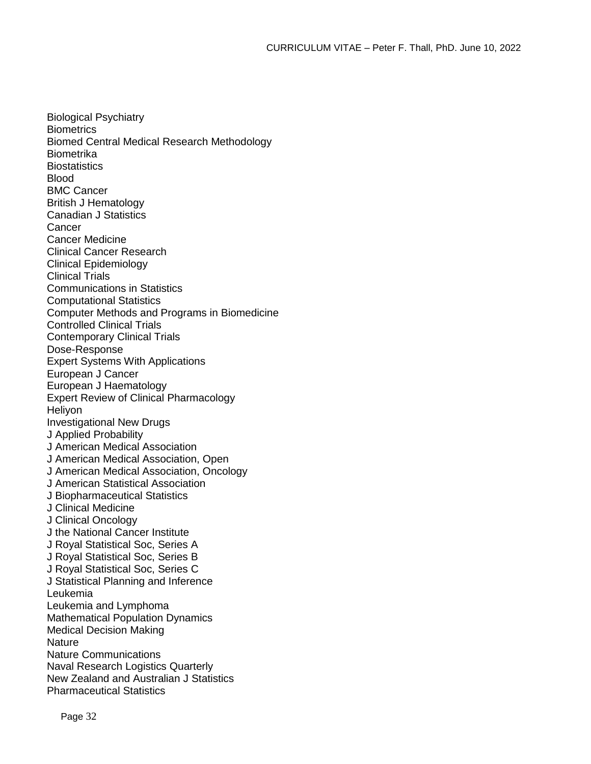Biological Psychiatry **Biometrics** Biomed Central Medical Research Methodology **Biometrika Biostatistics** Blood BMC Cancer British J Hematology Canadian J Statistics Cancer Cancer Medicine Clinical Cancer Research Clinical Epidemiology Clinical Trials Communications in Statistics Computational Statistics Computer Methods and Programs in Biomedicine Controlled Clinical Trials Contemporary Clinical Trials Dose-Response Expert Systems With Applications European J Cancer European J Haematology Expert Review of Clinical Pharmacology **Helivon** Investigational New Drugs J Applied Probability J American Medical Association J American Medical Association, Open J American Medical Association, Oncology J American Statistical Association J Biopharmaceutical Statistics J Clinical Medicine J Clinical Oncology J the National Cancer Institute J Royal Statistical Soc, Series A J Royal Statistical Soc, Series B J Royal Statistical Soc, Series C J Statistical Planning and Inference Leukemia Leukemia and Lymphoma Mathematical Population Dynamics Medical Decision Making **Nature** Nature Communications Naval Research Logistics Quarterly New Zealand and Australian J Statistics Pharmaceutical Statistics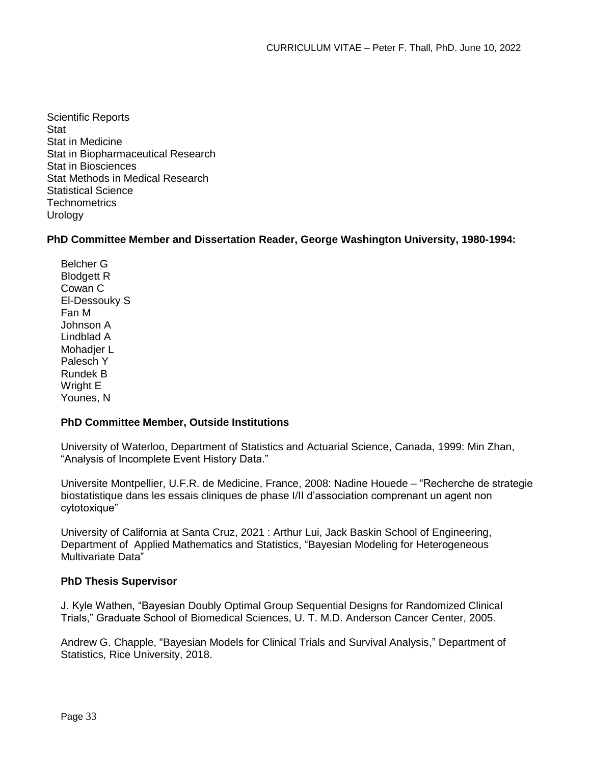Scientific Reports **Stat** Stat in Medicine Stat in Biopharmaceutical Research Stat in Biosciences Stat Methods in Medical Research Statistical Science **Technometrics Urology** 

**PhD Committee Member and Dissertation Reader, George Washington University, 1980-1994:** 

Belcher G Blodgett R Cowan C El-Dessouky S Fan M Johnson A Lindblad A Mohadier L Palesch Y Rundek B Wright E Younes, N

# **PhD Committee Member, Outside Institutions**

University of Waterloo, Department of Statistics and Actuarial Science, Canada, 1999: Min Zhan, "Analysis of Incomplete Event History Data."

Universite Montpellier, U.F.R. de Medicine, France, 2008: Nadine Houede – "Recherche de strategie biostatistique dans les essais cliniques de phase I/II d'association comprenant un agent non cytotoxique"

University of California at Santa Cruz, 2021 : Arthur Lui, Jack Baskin School of Engineering, Department of Applied Mathematics and Statistics, "Bayesian Modeling for Heterogeneous Multivariate Data"

# **PhD Thesis Supervisor**

J. Kyle Wathen, "Bayesian Doubly Optimal Group Sequential Designs for Randomized Clinical Trials," Graduate School of Biomedical Sciences, U. T. M.D. Anderson Cancer Center, 2005.

Andrew G. Chapple, "Bayesian Models for Clinical Trials and Survival Analysis," Department of Statistics, Rice University, 2018.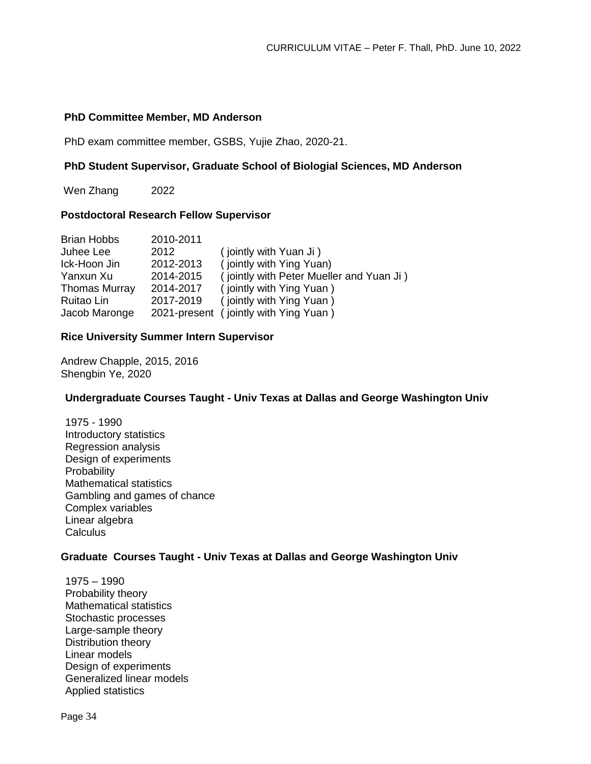### **PhD Committee Member, MD Anderson**

PhD exam committee member, GSBS, Yujie Zhao, 2020-21.

### **PhD Student Supervisor, Graduate School of Biologial Sciences, MD Anderson**

Wen Zhang 2022

#### **Postdoctoral Research Fellow Supervisor**

| <b>Brian Hobbs</b>   | 2010-2011 |                                          |
|----------------------|-----------|------------------------------------------|
| Juhee Lee            | 2012      | (jointly with Yuan Ji)                   |
| Ick-Hoon Jin         | 2012-2013 | (jointly with Ying Yuan)                 |
| Yanxun Xu            | 2014-2015 | (jointly with Peter Mueller and Yuan Ji) |
| <b>Thomas Murray</b> | 2014-2017 | (jointly with Ying Yuan)                 |
| Ruitao Lin           | 2017-2019 | (jointly with Ying Yuan)                 |
| Jacob Maronge        |           | 2021-present (jointly with Ying Yuan)    |

### **Rice University Summer Intern Supervisor**

Andrew Chapple, 2015, 2016 Shengbin Ye, 2020

### **Undergraduate Courses Taught - Univ Texas at Dallas and George Washington Univ**

1975 - 1990 Introductory statistics Regression analysis Design of experiments **Probability** Mathematical statistics Gambling and games of chance Complex variables Linear algebra Calculus<sup>1</sup>

### **Graduate Courses Taught - Univ Texas at Dallas and George Washington Univ**

1975 – 1990 Probability theory Mathematical statistics Stochastic processes Large-sample theory Distribution theory Linear models Design of experiments Generalized linear models Applied statistics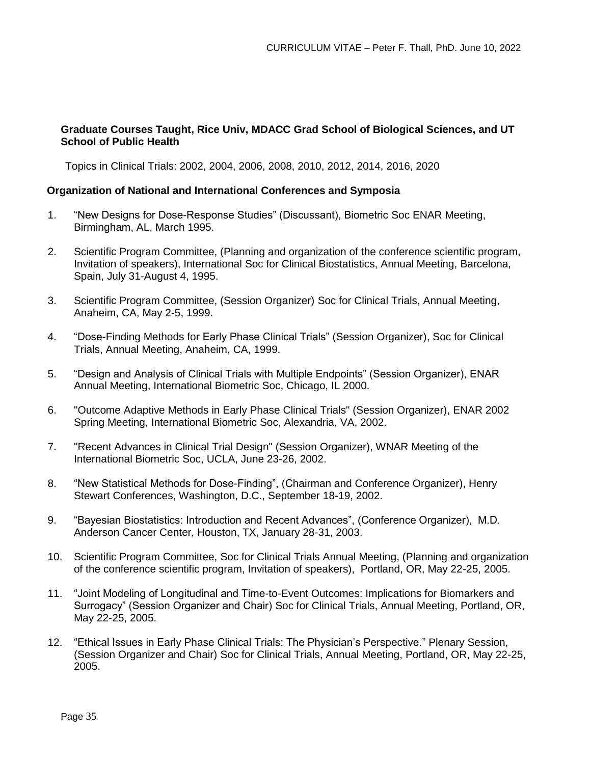# **Graduate Courses Taught, Rice Univ, MDACC Grad School of Biological Sciences, and UT School of Public Health**

Topics in Clinical Trials: 2002, 2004, 2006, 2008, 2010, 2012, 2014, 2016, 2020

### **Organization of National and International Conferences and Symposia**

- 1. "New Designs for Dose-Response Studies" (Discussant), Biometric Soc ENAR Meeting, Birmingham, AL, March 1995.
- 2. Scientific Program Committee, (Planning and organization of the conference scientific program, Invitation of speakers), International Soc for Clinical Biostatistics, Annual Meeting, Barcelona, Spain, July 31-August 4, 1995.
- 3. Scientific Program Committee, (Session Organizer) Soc for Clinical Trials, Annual Meeting, Anaheim, CA, May 2-5, 1999.
- 4. "Dose-Finding Methods for Early Phase Clinical Trials" (Session Organizer), Soc for Clinical Trials, Annual Meeting, Anaheim, CA, 1999.
- 5. "Design and Analysis of Clinical Trials with Multiple Endpoints" (Session Organizer), ENAR Annual Meeting, International Biometric Soc, Chicago, IL 2000.
- 6. "Outcome Adaptive Methods in Early Phase Clinical Trials" (Session Organizer), ENAR 2002 Spring Meeting, International Biometric Soc, Alexandria, VA, 2002.
- 7. "Recent Advances in Clinical Trial Design" (Session Organizer), WNAR Meeting of the International Biometric Soc, UCLA, June 23-26, 2002.
- 8. "New Statistical Methods for Dose-Finding", (Chairman and Conference Organizer), Henry Stewart Conferences, Washington, D.C., September 18-19, 2002.
- 9. "Bayesian Biostatistics: Introduction and Recent Advances", (Conference Organizer), M.D. Anderson Cancer Center, Houston, TX, January 28-31, 2003.
- 10. Scientific Program Committee, Soc for Clinical Trials Annual Meeting, (Planning and organization of the conference scientific program, Invitation of speakers), Portland, OR, May 22-25, 2005.
- 11. "Joint Modeling of Longitudinal and Time-to-Event Outcomes: Implications for Biomarkers and Surrogacy" (Session Organizer and Chair) Soc for Clinical Trials, Annual Meeting, Portland, OR, May 22-25, 2005.
- 12. "Ethical Issues in Early Phase Clinical Trials: The Physician's Perspective." Plenary Session, (Session Organizer and Chair) Soc for Clinical Trials, Annual Meeting, Portland, OR, May 22-25, 2005.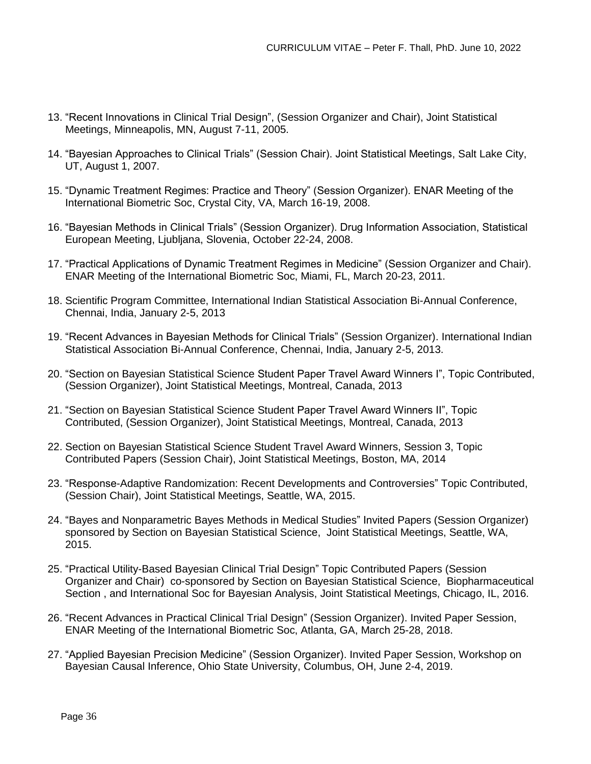- 13. "Recent Innovations in Clinical Trial Design", (Session Organizer and Chair), Joint Statistical Meetings, Minneapolis, MN, August 7-11, 2005.
- 14. "Bayesian Approaches to Clinical Trials" (Session Chair). Joint Statistical Meetings, Salt Lake City, UT, August 1, 2007.
- 15. "Dynamic Treatment Regimes: Practice and Theory" (Session Organizer). ENAR Meeting of the International Biometric Soc, Crystal City, VA, March 16-19, 2008.
- 16. "Bayesian Methods in Clinical Trials" (Session Organizer). Drug Information Association, Statistical European Meeting, Ljubljana, Slovenia, October 22-24, 2008.
- 17. "Practical Applications of Dynamic Treatment Regimes in Medicine" (Session Organizer and Chair). ENAR Meeting of the International Biometric Soc, Miami, FL, March 20-23, 2011.
- 18. Scientific Program Committee, International Indian Statistical Association Bi-Annual Conference, Chennai, India, January 2-5, 2013
- 19. "Recent Advances in Bayesian Methods for Clinical Trials" (Session Organizer). International Indian Statistical Association Bi-Annual Conference, Chennai, India, January 2-5, 2013.
- 20. "Section on Bayesian Statistical Science Student Paper Travel Award Winners I", Topic Contributed, (Session Organizer), Joint Statistical Meetings, Montreal, Canada, 2013
- 21. "Section on Bayesian Statistical Science Student Paper Travel Award Winners II", Topic Contributed, (Session Organizer), Joint Statistical Meetings, Montreal, Canada, 2013
- 22. Section on Bayesian Statistical Science Student Travel Award Winners, Session 3, Topic Contributed Papers (Session Chair), Joint Statistical Meetings, Boston, MA, 2014
- 23. "Response-Adaptive Randomization: Recent Developments and Controversies" Topic Contributed, (Session Chair), Joint Statistical Meetings, Seattle, WA, 2015.
- 24. "Bayes and Nonparametric Bayes Methods in Medical Studies" Invited Papers (Session Organizer) sponsored by Section on Bayesian Statistical Science, Joint Statistical Meetings, Seattle, WA, 2015.
- 25. "Practical Utility-Based Bayesian Clinical Trial Design" Topic Contributed Papers (Session Organizer and Chair) co-sponsored by Section on Bayesian Statistical Science, Biopharmaceutical Section , and International Soc for Bayesian Analysis, Joint Statistical Meetings, Chicago, IL, 2016.
- 26. "Recent Advances in Practical Clinical Trial Design" (Session Organizer). Invited Paper Session, ENAR Meeting of the International Biometric Soc, Atlanta, GA, March 25-28, 2018.
- 27. "Applied Bayesian Precision Medicine" (Session Organizer). Invited Paper Session, Workshop on Bayesian Causal Inference, Ohio State University, Columbus, OH, June 2-4, 2019.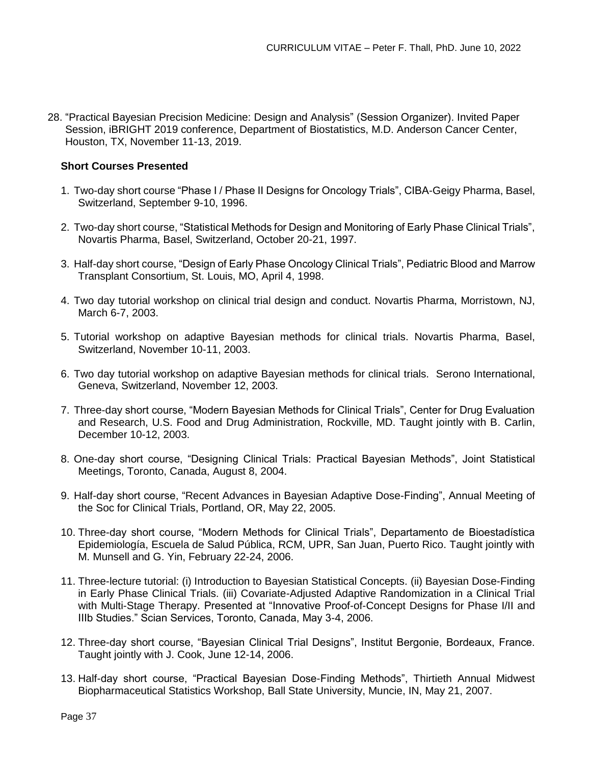28. "Practical Bayesian Precision Medicine: Design and Analysis" (Session Organizer). Invited Paper Session, iBRIGHT 2019 conference, Department of Biostatistics, M.D. Anderson Cancer Center, Houston, TX, November 11-13, 2019.

# **Short Courses Presented**

- 1. Two-day short course "Phase I / Phase II Designs for Oncology Trials", CIBA-Geigy Pharma, Basel, Switzerland, September 9-10, 1996.
- 2. Two-day short course, "Statistical Methods for Design and Monitoring of Early Phase Clinical Trials", Novartis Pharma, Basel, Switzerland, October 20-21, 1997.
- 3. Half-day short course, "Design of Early Phase Oncology Clinical Trials", Pediatric Blood and Marrow Transplant Consortium, St. Louis, MO, April 4, 1998.
- 4. Two day tutorial workshop on clinical trial design and conduct. Novartis Pharma, Morristown, NJ, March 6-7, 2003.
- 5. Tutorial workshop on adaptive Bayesian methods for clinical trials. Novartis Pharma, Basel, Switzerland, November 10-11, 2003.
- 6. Two day tutorial workshop on adaptive Bayesian methods for clinical trials. Serono International, Geneva, Switzerland, November 12, 2003.
- 7. Three-day short course, "Modern Bayesian Methods for Clinical Trials", Center for Drug Evaluation and Research, U.S. Food and Drug Administration, Rockville, MD. Taught jointly with B. Carlin, December 10-12, 2003.
- 8. One-day short course, "Designing Clinical Trials: Practical Bayesian Methods", Joint Statistical Meetings, Toronto, Canada, August 8, 2004.
- 9. Half-day short course, "Recent Advances in Bayesian Adaptive Dose-Finding", Annual Meeting of the Soc for Clinical Trials, Portland, OR, May 22, 2005.
- 10. Three-day short course, "Modern Methods for Clinical Trials", Departamento de Bioestadística Epidemiología, Escuela de Salud Pública, RCM, UPR, San Juan, Puerto Rico. Taught jointly with M. Munsell and G. Yin, February 22-24, 2006.
- 11. Three-lecture tutorial: (i) Introduction to Bayesian Statistical Concepts. (ii) Bayesian Dose-Finding in Early Phase Clinical Trials. (iii) Covariate-Adjusted Adaptive Randomization in a Clinical Trial with Multi-Stage Therapy. Presented at "Innovative Proof-of-Concept Designs for Phase I/II and IIIb Studies." Scian Services, Toronto, Canada, May 3-4, 2006.
- 12. Three-day short course, "Bayesian Clinical Trial Designs", Institut Bergonie, Bordeaux, France. Taught jointly with J. Cook, June 12-14, 2006.
- 13. Half-day short course, "Practical Bayesian Dose-Finding Methods", Thirtieth Annual Midwest Biopharmaceutical Statistics Workshop, Ball State University, Muncie, IN, May 21, 2007.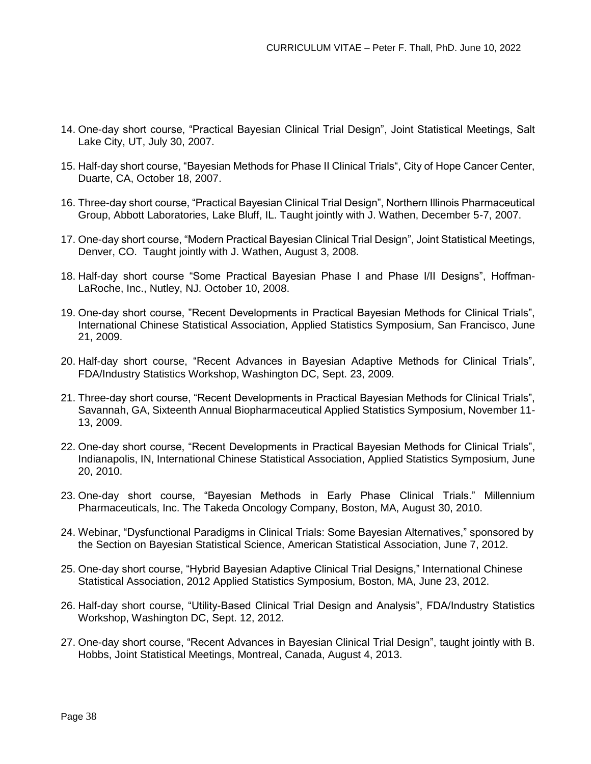- 14. One-day short course, "Practical Bayesian Clinical Trial Design", Joint Statistical Meetings, Salt Lake City, UT, July 30, 2007.
- 15. Half-day short course, "Bayesian Methods for Phase II Clinical Trials", City of Hope Cancer Center, Duarte, CA, October 18, 2007.
- 16. Three-day short course, "Practical Bayesian Clinical Trial Design", Northern Illinois Pharmaceutical Group, Abbott Laboratories, Lake Bluff, IL. Taught jointly with J. Wathen, December 5-7, 2007.
- 17. One-day short course, "Modern Practical Bayesian Clinical Trial Design", Joint Statistical Meetings, Denver, CO. Taught jointly with J. Wathen, August 3, 2008.
- 18. Half-day short course "Some Practical Bayesian Phase I and Phase I/II Designs", Hoffman-LaRoche, Inc., Nutley, NJ. October 10, 2008.
- 19. One-day short course, "Recent Developments in Practical Bayesian Methods for Clinical Trials", International Chinese Statistical Association, Applied Statistics Symposium, San Francisco, June 21, 2009.
- 20. Half-day short course, "Recent Advances in Bayesian Adaptive Methods for Clinical Trials", FDA/Industry Statistics Workshop, Washington DC, Sept. 23, 2009.
- 21. Three-day short course, "Recent Developments in Practical Bayesian Methods for Clinical Trials", Savannah, GA, Sixteenth Annual Biopharmaceutical Applied Statistics Symposium, November 11- 13, 2009.
- 22. One-day short course, "Recent Developments in Practical Bayesian Methods for Clinical Trials", Indianapolis, IN, International Chinese Statistical Association, Applied Statistics Symposium, June 20, 2010.
- 23. One-day short course, "Bayesian Methods in Early Phase Clinical Trials." Millennium Pharmaceuticals, Inc. The Takeda Oncology Company, Boston, MA, August 30, 2010.
- 24. Webinar, "Dysfunctional Paradigms in Clinical Trials: Some Bayesian Alternatives," sponsored by the Section on Bayesian Statistical Science, American Statistical Association, June 7, 2012.
- 25. One-day short course, "Hybrid Bayesian Adaptive Clinical Trial Designs," International Chinese Statistical Association, 2012 Applied Statistics Symposium, Boston, MA, June 23, 2012.
- 26. Half-day short course, "Utility-Based Clinical Trial Design and Analysis", FDA/Industry Statistics Workshop, Washington DC, Sept. 12, 2012.
- 27. One-day short course, "Recent Advances in Bayesian Clinical Trial Design", taught jointly with B. Hobbs, Joint Statistical Meetings, Montreal, Canada, August 4, 2013.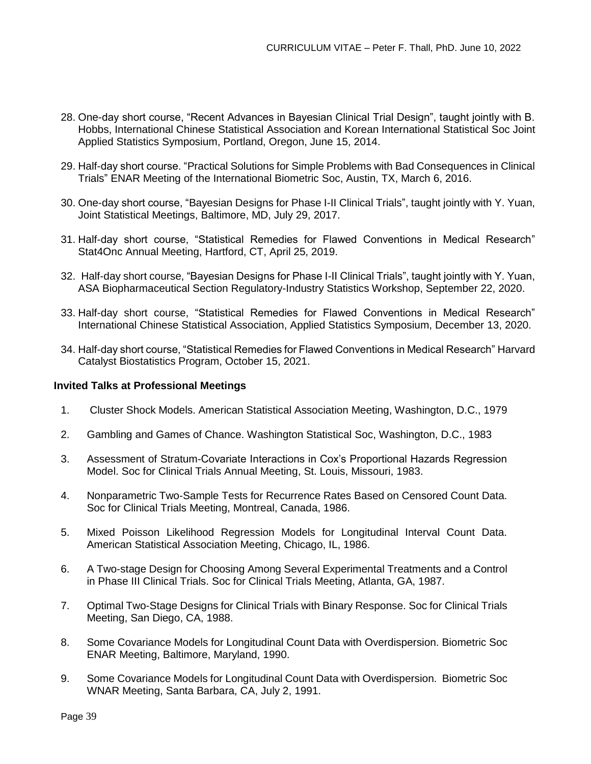- 28. One-day short course, "Recent Advances in Bayesian Clinical Trial Design", taught jointly with B. Hobbs, International Chinese Statistical Association and Korean International Statistical Soc Joint Applied Statistics Symposium, Portland, Oregon, June 15, 2014.
- 29. Half-day short course. "Practical Solutions for Simple Problems with Bad Consequences in Clinical Trials" ENAR Meeting of the International Biometric Soc, Austin, TX, March 6, 2016.
- 30. One-day short course, "Bayesian Designs for Phase I-II Clinical Trials", taught jointly with Y. Yuan, Joint Statistical Meetings, Baltimore, MD, July 29, 2017.
- 31. Half-day short course, "Statistical Remedies for Flawed Conventions in Medical Research" Stat4Onc Annual Meeting, Hartford, CT, April 25, 2019.
- 32. Half-day short course, "Bayesian Designs for Phase I-II Clinical Trials", taught jointly with Y. Yuan, ASA Biopharmaceutical Section Regulatory-Industry Statistics Workshop, September 22, 2020.
- 33. Half-day short course, "Statistical Remedies for Flawed Conventions in Medical Research" International Chinese Statistical Association, Applied Statistics Symposium, December 13, 2020.
- 34. Half-day short course, "Statistical Remedies for Flawed Conventions in Medical Research" Harvard Catalyst Biostatistics Program, October 15, 2021.

### **Invited Talks at Professional Meetings**

- 1. Cluster Shock Models. American Statistical Association Meeting, Washington, D.C., 1979
- 2. Gambling and Games of Chance. Washington Statistical Soc, Washington, D.C., 1983
- 3. Assessment of Stratum-Covariate Interactions in Cox's Proportional Hazards Regression Model. Soc for Clinical Trials Annual Meeting, St. Louis, Missouri, 1983.
- 4. Nonparametric Two-Sample Tests for Recurrence Rates Based on Censored Count Data. Soc for Clinical Trials Meeting, Montreal, Canada, 1986.
- 5. Mixed Poisson Likelihood Regression Models for Longitudinal Interval Count Data. American Statistical Association Meeting, Chicago, IL, 1986.
- 6. A Two-stage Design for Choosing Among Several Experimental Treatments and a Control in Phase III Clinical Trials. Soc for Clinical Trials Meeting, Atlanta, GA, 1987.
- 7. Optimal Two-Stage Designs for Clinical Trials with Binary Response. Soc for Clinical Trials Meeting, San Diego, CA, 1988.
- 8. Some Covariance Models for Longitudinal Count Data with Overdispersion. Biometric Soc ENAR Meeting, Baltimore, Maryland, 1990.
- 9. Some Covariance Models for Longitudinal Count Data with Overdispersion. Biometric Soc WNAR Meeting, Santa Barbara, CA, July 2, 1991.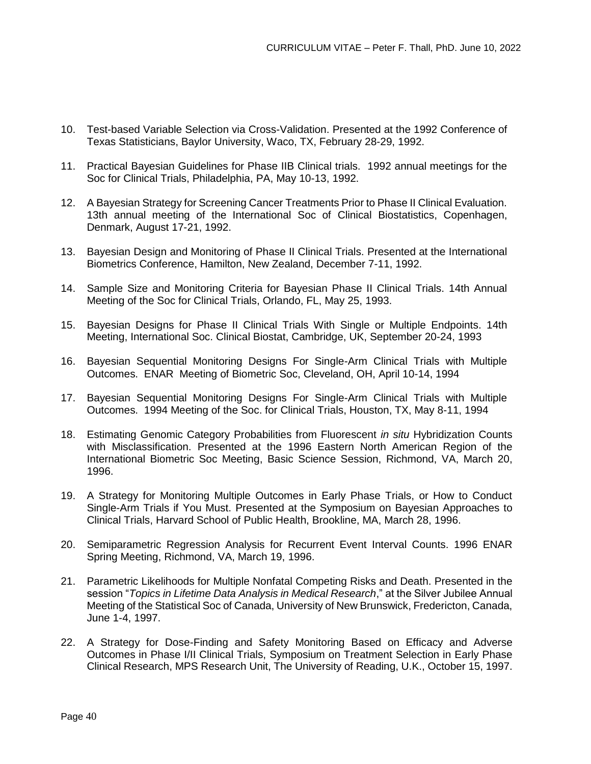- 10. Test-based Variable Selection via Cross-Validation. Presented at the 1992 Conference of Texas Statisticians, Baylor University, Waco, TX, February 28-29, 1992.
- 11. Practical Bayesian Guidelines for Phase IIB Clinical trials. 1992 annual meetings for the Soc for Clinical Trials, Philadelphia, PA, May 10-13, 1992.
- 12. A Bayesian Strategy for Screening Cancer Treatments Prior to Phase II Clinical Evaluation. 13th annual meeting of the International Soc of Clinical Biostatistics, Copenhagen, Denmark, August 17-21, 1992.
- 13. Bayesian Design and Monitoring of Phase II Clinical Trials. Presented at the International Biometrics Conference, Hamilton, New Zealand, December 7-11, 1992.
- 14. Sample Size and Monitoring Criteria for Bayesian Phase II Clinical Trials. 14th Annual Meeting of the Soc for Clinical Trials, Orlando, FL, May 25, 1993.
- 15. Bayesian Designs for Phase II Clinical Trials With Single or Multiple Endpoints. 14th Meeting, International Soc. Clinical Biostat, Cambridge, UK, September 20-24, 1993
- 16. Bayesian Sequential Monitoring Designs For Single-Arm Clinical Trials with Multiple Outcomes. ENAR Meeting of Biometric Soc, Cleveland, OH, April 10-14, 1994
- 17. Bayesian Sequential Monitoring Designs For Single-Arm Clinical Trials with Multiple Outcomes. 1994 Meeting of the Soc. for Clinical Trials, Houston, TX, May 8-11, 1994
- 18. Estimating Genomic Category Probabilities from Fluorescent *in situ* Hybridization Counts with Misclassification. Presented at the 1996 Eastern North American Region of the International Biometric Soc Meeting, Basic Science Session, Richmond, VA, March 20, 1996.
- 19. A Strategy for Monitoring Multiple Outcomes in Early Phase Trials, or How to Conduct Single-Arm Trials if You Must. Presented at the Symposium on Bayesian Approaches to Clinical Trials, Harvard School of Public Health, Brookline, MA, March 28, 1996.
- 20. Semiparametric Regression Analysis for Recurrent Event Interval Counts. 1996 ENAR Spring Meeting, Richmond, VA, March 19, 1996.
- 21. Parametric Likelihoods for Multiple Nonfatal Competing Risks and Death. Presented in the session "*Topics in Lifetime Data Analysis in Medical Research*," at the Silver Jubilee Annual Meeting of the Statistical Soc of Canada, University of New Brunswick, Fredericton, Canada, June 1-4, 1997.
- 22. A Strategy for Dose-Finding and Safety Monitoring Based on Efficacy and Adverse Outcomes in Phase I/II Clinical Trials, Symposium on Treatment Selection in Early Phase Clinical Research, MPS Research Unit, The University of Reading, U.K., October 15, 1997.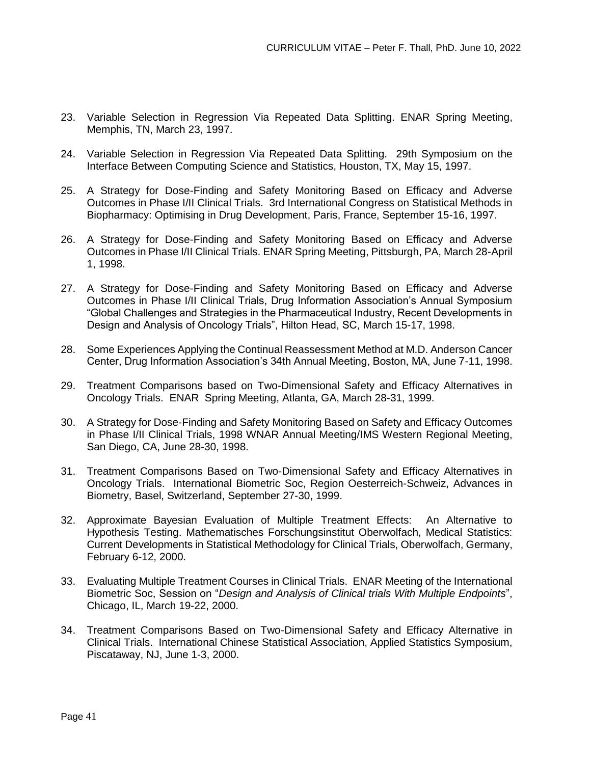- 23. Variable Selection in Regression Via Repeated Data Splitting. ENAR Spring Meeting, Memphis, TN, March 23, 1997.
- 24. Variable Selection in Regression Via Repeated Data Splitting. 29th Symposium on the Interface Between Computing Science and Statistics, Houston, TX, May 15, 1997.
- 25. A Strategy for Dose-Finding and Safety Monitoring Based on Efficacy and Adverse Outcomes in Phase I/II Clinical Trials. 3rd International Congress on Statistical Methods in Biopharmacy: Optimising in Drug Development, Paris, France, September 15-16, 1997.
- 26. A Strategy for Dose-Finding and Safety Monitoring Based on Efficacy and Adverse Outcomes in Phase I/II Clinical Trials. ENAR Spring Meeting, Pittsburgh, PA, March 28-April 1, 1998.
- 27. A Strategy for Dose-Finding and Safety Monitoring Based on Efficacy and Adverse Outcomes in Phase I/II Clinical Trials, Drug Information Association's Annual Symposium "Global Challenges and Strategies in the Pharmaceutical Industry, Recent Developments in Design and Analysis of Oncology Trials", Hilton Head, SC, March 15-17, 1998.
- 28. Some Experiences Applying the Continual Reassessment Method at M.D. Anderson Cancer Center, Drug Information Association's 34th Annual Meeting, Boston, MA, June 7-11, 1998.
- 29. Treatment Comparisons based on Two-Dimensional Safety and Efficacy Alternatives in Oncology Trials. ENAR Spring Meeting, Atlanta, GA, March 28-31, 1999.
- 30. A Strategy for Dose-Finding and Safety Monitoring Based on Safety and Efficacy Outcomes in Phase I/II Clinical Trials, 1998 WNAR Annual Meeting/IMS Western Regional Meeting, San Diego, CA, June 28-30, 1998.
- 31. Treatment Comparisons Based on Two-Dimensional Safety and Efficacy Alternatives in Oncology Trials. International Biometric Soc, Region Oesterreich-Schweiz, Advances in Biometry, Basel, Switzerland, September 27-30, 1999.
- 32. Approximate Bayesian Evaluation of Multiple Treatment Effects: An Alternative to Hypothesis Testing. Mathematisches Forschungsinstitut Oberwolfach, Medical Statistics: Current Developments in Statistical Methodology for Clinical Trials, Oberwolfach, Germany, February 6-12, 2000.
- 33. Evaluating Multiple Treatment Courses in Clinical Trials. ENAR Meeting of the International Biometric Soc, Session on "*Design and Analysis of Clinical trials With Multiple Endpoints*", Chicago, IL, March 19-22, 2000.
- 34. Treatment Comparisons Based on Two-Dimensional Safety and Efficacy Alternative in Clinical Trials. International Chinese Statistical Association, Applied Statistics Symposium, Piscataway, NJ, June 1-3, 2000.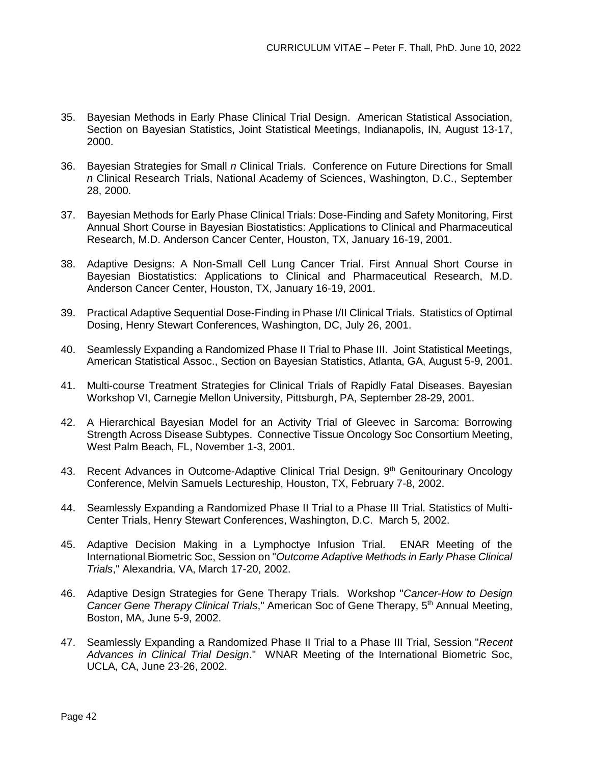- 35. Bayesian Methods in Early Phase Clinical Trial Design. American Statistical Association, Section on Bayesian Statistics, Joint Statistical Meetings, Indianapolis, IN, August 13-17, 2000.
- 36. Bayesian Strategies for Small *n* Clinical Trials. Conference on Future Directions for Small *n* Clinical Research Trials, National Academy of Sciences, Washington, D.C., September 28, 2000.
- 37. Bayesian Methods for Early Phase Clinical Trials: Dose-Finding and Safety Monitoring, First Annual Short Course in Bayesian Biostatistics: Applications to Clinical and Pharmaceutical Research, M.D. Anderson Cancer Center, Houston, TX, January 16-19, 2001.
- 38. Adaptive Designs: A Non-Small Cell Lung Cancer Trial. First Annual Short Course in Bayesian Biostatistics: Applications to Clinical and Pharmaceutical Research, M.D. Anderson Cancer Center, Houston, TX, January 16-19, 2001.
- 39. Practical Adaptive Sequential Dose-Finding in Phase I/II Clinical Trials. Statistics of Optimal Dosing, Henry Stewart Conferences, Washington, DC, July 26, 2001.
- 40. Seamlessly Expanding a Randomized Phase II Trial to Phase III. Joint Statistical Meetings, American Statistical Assoc., Section on Bayesian Statistics, Atlanta, GA, August 5-9, 2001.
- 41. Multi-course Treatment Strategies for Clinical Trials of Rapidly Fatal Diseases. Bayesian Workshop VI, Carnegie Mellon University, Pittsburgh, PA, September 28-29, 2001.
- 42. A Hierarchical Bayesian Model for an Activity Trial of Gleevec in Sarcoma: Borrowing Strength Across Disease Subtypes. Connective Tissue Oncology Soc Consortium Meeting, West Palm Beach, FL, November 1-3, 2001.
- 43. Recent Advances in Outcome-Adaptive Clinical Trial Design. 9<sup>th</sup> Genitourinary Oncology Conference, Melvin Samuels Lectureship, Houston, TX, February 7-8, 2002.
- 44. Seamlessly Expanding a Randomized Phase II Trial to a Phase III Trial. Statistics of Multi-Center Trials, Henry Stewart Conferences, Washington, D.C. March 5, 2002.
- 45. Adaptive Decision Making in a Lymphoctye Infusion Trial. ENAR Meeting of the International Biometric Soc, Session on "*Outcome Adaptive Methods in Early Phase Clinical Trials*," Alexandria, VA, March 17-20, 2002.
- 46. Adaptive Design Strategies for Gene Therapy Trials. Workshop "*Cancer-How to Design Cancer Gene Therapy Clinical Trials*," American Soc of Gene Therapy, 5th Annual Meeting, Boston, MA, June 5-9, 2002.
- 47. Seamlessly Expanding a Randomized Phase II Trial to a Phase III Trial, Session "*Recent Advances in Clinical Trial Design*." WNAR Meeting of the International Biometric Soc, UCLA, CA, June 23-26, 2002.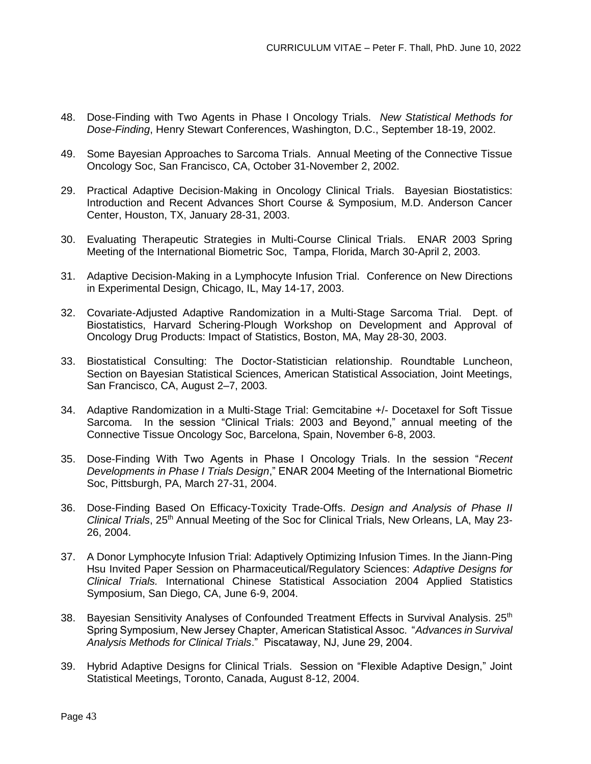- 48. Dose-Finding with Two Agents in Phase I Oncology Trials. *New Statistical Methods for Dose-Finding*, Henry Stewart Conferences, Washington, D.C., September 18-19, 2002.
- 49. Some Bayesian Approaches to Sarcoma Trials. Annual Meeting of the Connective Tissue Oncology Soc, San Francisco, CA, October 31-November 2, 2002.
- 29. Practical Adaptive Decision-Making in Oncology Clinical Trials. Bayesian Biostatistics: Introduction and Recent Advances Short Course & Symposium, M.D. Anderson Cancer Center, Houston, TX, January 28-31, 2003.
- 30. Evaluating Therapeutic Strategies in Multi-Course Clinical Trials. ENAR 2003 Spring Meeting of the International Biometric Soc, Tampa, Florida, March 30-April 2, 2003.
- 31. Adaptive Decision-Making in a Lymphocyte Infusion Trial. Conference on New Directions in Experimental Design, Chicago, IL, May 14-17, 2003.
- 32. Covariate-Adjusted Adaptive Randomization in a Multi-Stage Sarcoma Trial. Dept. of Biostatistics, Harvard Schering-Plough Workshop on Development and Approval of Oncology Drug Products: Impact of Statistics, Boston, MA, May 28-30, 2003.
- 33. Biostatistical Consulting: The Doctor-Statistician relationship. Roundtable Luncheon, Section on Bayesian Statistical Sciences, American Statistical Association, Joint Meetings, San Francisco, CA, August 2–7, 2003.
- 34. Adaptive Randomization in a Multi-Stage Trial: Gemcitabine +/- Docetaxel for Soft Tissue Sarcoma. In the session "Clinical Trials: 2003 and Beyond," annual meeting of the Connective Tissue Oncology Soc, Barcelona, Spain, November 6-8, 2003.
- 35. Dose-Finding With Two Agents in Phase I Oncology Trials. In the session "*Recent Developments in Phase I Trials Design*," ENAR 2004 Meeting of the International Biometric Soc, Pittsburgh, PA, March 27-31, 2004.
- 36. Dose-Finding Based On Efficacy-Toxicity Trade-Offs. *Design and Analysis of Phase II Clinical Trials*, 25<sup>th</sup> Annual Meeting of the Soc for Clinical Trials, New Orleans, LA, May 23-26, 2004.
- 37. A Donor Lymphocyte Infusion Trial: Adaptively Optimizing Infusion Times. In the Jiann-Ping Hsu Invited Paper Session on Pharmaceutical/Regulatory Sciences: *Adaptive Designs for Clinical Trials.* International Chinese Statistical Association 2004 Applied Statistics Symposium, San Diego, CA, June 6-9, 2004.
- 38. Bayesian Sensitivity Analyses of Confounded Treatment Effects in Survival Analysis. 25<sup>th</sup> Spring Symposium, New Jersey Chapter, American Statistical Assoc. "*Advances in Survival Analysis Methods for Clinical Trials*." Piscataway, NJ, June 29, 2004.
- 39. Hybrid Adaptive Designs for Clinical Trials. Session on "Flexible Adaptive Design," Joint Statistical Meetings, Toronto, Canada, August 8-12, 2004.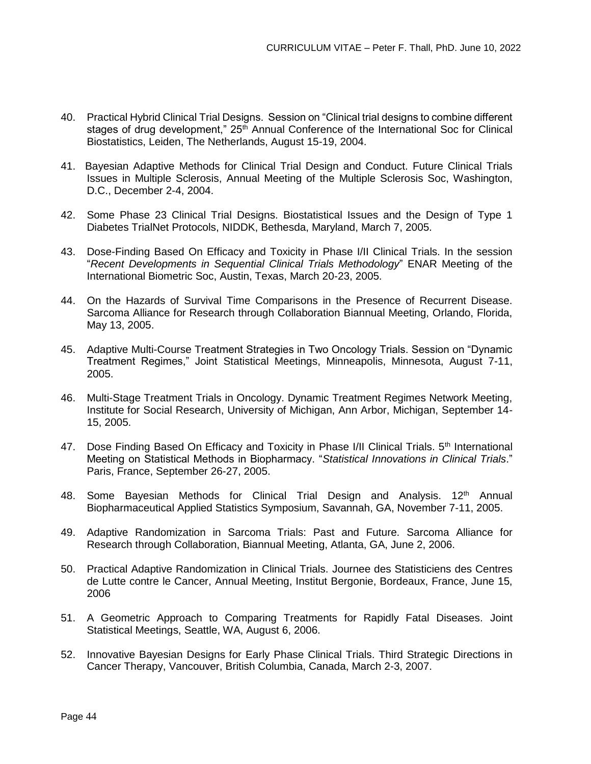- 40. Practical Hybrid Clinical Trial Designs. Session on "Clinical trial designs to combine different stages of drug development," 25<sup>th</sup> Annual Conference of the International Soc for Clinical Biostatistics, Leiden, The Netherlands, August 15-19, 2004.
- 41. Bayesian Adaptive Methods for Clinical Trial Design and Conduct. Future Clinical Trials Issues in Multiple Sclerosis, Annual Meeting of the Multiple Sclerosis Soc, Washington, D.C., December 2-4, 2004.
- 42. Some Phase 23 Clinical Trial Designs. Biostatistical Issues and the Design of Type 1 Diabetes TrialNet Protocols, NIDDK, Bethesda, Maryland, March 7, 2005.
- 43. Dose-Finding Based On Efficacy and Toxicity in Phase I/II Clinical Trials. In the session "*Recent Developments in Sequential Clinical Trials Methodology*" ENAR Meeting of the International Biometric Soc, Austin, Texas, March 20-23, 2005.
- 44. On the Hazards of Survival Time Comparisons in the Presence of Recurrent Disease. Sarcoma Alliance for Research through Collaboration Biannual Meeting, Orlando, Florida, May 13, 2005.
- 45. Adaptive Multi-Course Treatment Strategies in Two Oncology Trials. Session on "Dynamic Treatment Regimes," Joint Statistical Meetings, Minneapolis, Minnesota, August 7-11, 2005.
- 46. Multi-Stage Treatment Trials in Oncology. Dynamic Treatment Regimes Network Meeting, Institute for Social Research, University of Michigan, Ann Arbor, Michigan, September 14- 15, 2005.
- 47. Dose Finding Based On Efficacy and Toxicity in Phase I/II Clinical Trials. 5<sup>th</sup> International Meeting on Statistical Methods in Biopharmacy. "*Statistical Innovations in Clinical Trials*." Paris, France, September 26-27, 2005.
- 48. Some Bayesian Methods for Clinical Trial Design and Analysis. 12<sup>th</sup> Annual Biopharmaceutical Applied Statistics Symposium, Savannah, GA, November 7-11, 2005.
- 49. Adaptive Randomization in Sarcoma Trials: Past and Future. Sarcoma Alliance for Research through Collaboration, Biannual Meeting, Atlanta, GA, June 2, 2006.
- 50. Practical Adaptive Randomization in Clinical Trials. Journee des Statisticiens des Centres de Lutte contre le Cancer, Annual Meeting, Institut Bergonie, Bordeaux, France, June 15, 2006
- 51. A Geometric Approach to Comparing Treatments for Rapidly Fatal Diseases. Joint Statistical Meetings, Seattle, WA, August 6, 2006.
- 52. Innovative Bayesian Designs for Early Phase Clinical Trials. Third Strategic Directions in Cancer Therapy, Vancouver, British Columbia, Canada, March 2-3, 2007.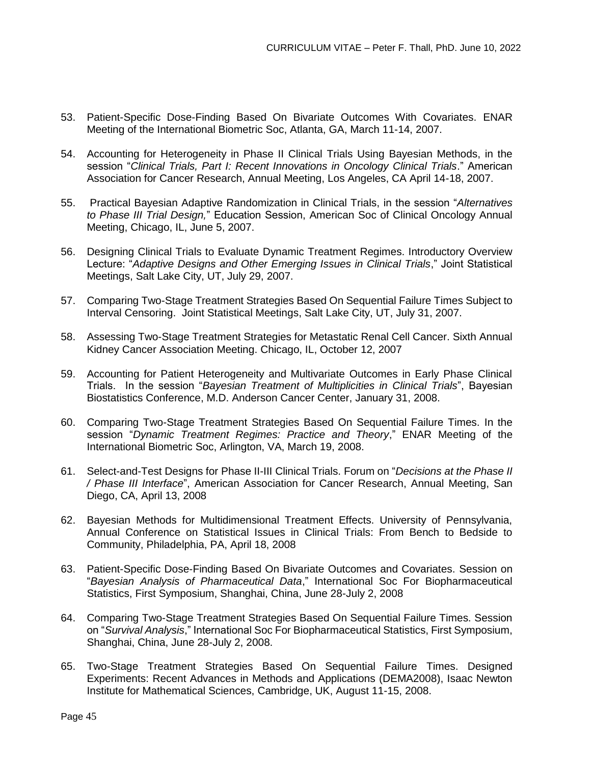- 53. Patient-Specific Dose-Finding Based On Bivariate Outcomes With Covariates. ENAR Meeting of the International Biometric Soc, Atlanta, GA, March 11-14, 2007.
- 54. Accounting for Heterogeneity in Phase II Clinical Trials Using Bayesian Methods, in the session "*Clinical Trials, Part I: Recent Innovations in Oncology Clinical Trials*." American Association for Cancer Research, Annual Meeting, Los Angeles, CA April 14-18, 2007.
- 55. Practical Bayesian Adaptive Randomization in Clinical Trials, in the session "*Alternatives to Phase III Trial Design,*" Education Session, American Soc of Clinical Oncology Annual Meeting, Chicago, IL, June 5, 2007.
- 56. Designing Clinical Trials to Evaluate Dynamic Treatment Regimes. Introductory Overview Lecture: "*Adaptive Designs and Other Emerging Issues in Clinical Trials*," Joint Statistical Meetings, Salt Lake City, UT, July 29, 2007.
- 57. Comparing Two-Stage Treatment Strategies Based On Sequential Failure Times Subject to Interval Censoring. Joint Statistical Meetings, Salt Lake City, UT, July 31, 2007.
- 58. Assessing Two-Stage Treatment Strategies for Metastatic Renal Cell Cancer. Sixth Annual Kidney Cancer Association Meeting. Chicago, IL, October 12, 2007
- 59. Accounting for Patient Heterogeneity and Multivariate Outcomes in Early Phase Clinical Trials. In the session "*Bayesian Treatment of Multiplicities in Clinical Trials*", Bayesian Biostatistics Conference, M.D. Anderson Cancer Center, January 31, 2008.
- 60. Comparing Two-Stage Treatment Strategies Based On Sequential Failure Times. In the session "*Dynamic Treatment Regimes: Practice and Theory*," ENAR Meeting of the International Biometric Soc, Arlington, VA, March 19, 2008.
- 61. Select-and-Test Designs for Phase II-III Clinical Trials. Forum on "*Decisions at the Phase II / Phase III Interface*", American Association for Cancer Research, Annual Meeting, San Diego, CA, April 13, 2008
- 62. Bayesian Methods for Multidimensional Treatment Effects. University of Pennsylvania, Annual Conference on Statistical Issues in Clinical Trials: From Bench to Bedside to Community, Philadelphia, PA, April 18, 2008
- 63. Patient-Specific Dose-Finding Based On Bivariate Outcomes and Covariates. Session on "*Bayesian Analysis of Pharmaceutical Data*," International Soc For Biopharmaceutical Statistics, First Symposium, Shanghai, China, June 28-July 2, 2008
- 64. Comparing Two-Stage Treatment Strategies Based On Sequential Failure Times. Session on "*Survival Analysis*," International Soc For Biopharmaceutical Statistics, First Symposium, Shanghai, China, June 28-July 2, 2008.
- 65. Two-Stage Treatment Strategies Based On Sequential Failure Times. Designed Experiments: Recent Advances in Methods and Applications (DEMA2008), Isaac Newton Institute for Mathematical Sciences, Cambridge, UK, August 11-15, 2008.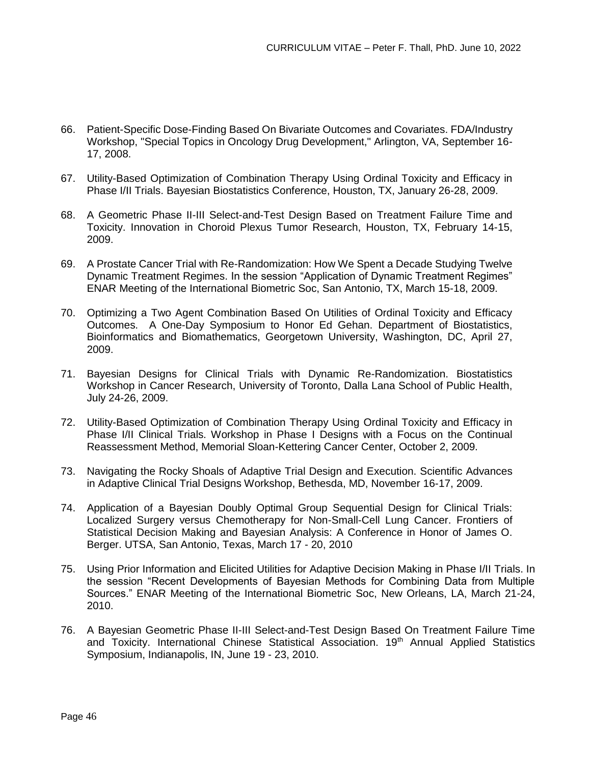- 66. Patient-Specific Dose-Finding Based On Bivariate Outcomes and Covariates. FDA/Industry Workshop, "Special Topics in Oncology Drug Development," Arlington, VA, September 16- 17, 2008.
- 67. Utility-Based Optimization of Combination Therapy Using Ordinal Toxicity and Efficacy in Phase I/II Trials. Bayesian Biostatistics Conference, Houston, TX, January 26-28, 2009.
- 68. A Geometric Phase II-III Select-and-Test Design Based on Treatment Failure Time and Toxicity. Innovation in Choroid Plexus Tumor Research, Houston, TX, February 14-15, 2009.
- 69. A Prostate Cancer Trial with Re-Randomization: How We Spent a Decade Studying Twelve Dynamic Treatment Regimes. In the session "Application of Dynamic Treatment Regimes" ENAR Meeting of the International Biometric Soc, San Antonio, TX, March 15-18, 2009.
- 70. Optimizing a Two Agent Combination Based On Utilities of Ordinal Toxicity and Efficacy Outcomes. A One-Day Symposium to Honor Ed Gehan. Department of Biostatistics, Bioinformatics and Biomathematics, Georgetown University, Washington, DC, April 27, 2009.
- 71. Bayesian Designs for Clinical Trials with Dynamic Re-Randomization. Biostatistics Workshop in Cancer Research, University of Toronto, Dalla Lana School of Public Health, July 24-26, 2009.
- 72. Utility-Based Optimization of Combination Therapy Using Ordinal Toxicity and Efficacy in Phase I/II Clinical Trials. Workshop in Phase I Designs with a Focus on the Continual Reassessment Method, Memorial Sloan-Kettering Cancer Center, October 2, 2009.
- 73. Navigating the Rocky Shoals of Adaptive Trial Design and Execution. Scientific Advances in Adaptive Clinical Trial Designs Workshop, Bethesda, MD, November 16-17, 2009.
- 74. Application of a Bayesian Doubly Optimal Group Sequential Design for Clinical Trials: Localized Surgery versus Chemotherapy for Non-Small-Cell Lung Cancer. Frontiers of Statistical Decision Making and Bayesian Analysis: A Conference in Honor of James O. Berger. UTSA, San Antonio, Texas, March 17 - 20, 2010
- 75. Using Prior Information and Elicited Utilities for Adaptive Decision Making in Phase I/II Trials. In the session "Recent Developments of Bayesian Methods for Combining Data from Multiple Sources." ENAR Meeting of the International Biometric Soc, New Orleans, LA, March 21-24, 2010.
- 76. A Bayesian Geometric Phase II-III Select-and-Test Design Based On Treatment Failure Time and Toxicity. International Chinese Statistical Association. 19<sup>th</sup> Annual Applied Statistics Symposium, Indianapolis, IN, June 19 - 23, 2010.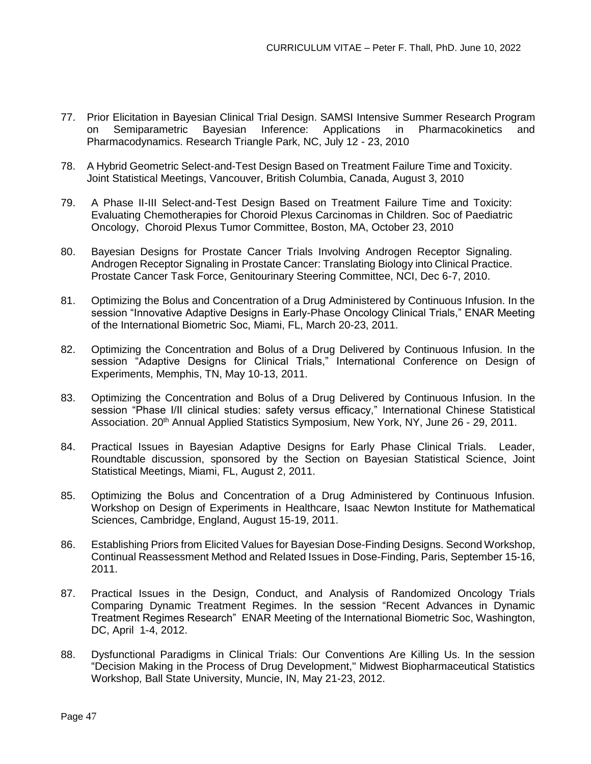- 77. Prior Elicitation in Bayesian Clinical Trial Design. SAMSI Intensive Summer Research Program on Semiparametric Bayesian Inference: Applications in Pharmacokinetics and Pharmacodynamics. Research Triangle Park, NC, July 12 - 23, 2010
- 78. A Hybrid Geometric Select-and-Test Design Based on Treatment Failure Time and Toxicity. Joint Statistical Meetings, Vancouver, British Columbia, Canada, August 3, 2010
- 79. A Phase II-III Select-and-Test Design Based on Treatment Failure Time and Toxicity: Evaluating Chemotherapies for Choroid Plexus Carcinomas in Children. Soc of Paediatric Oncology, Choroid Plexus Tumor Committee, Boston, MA, October 23, 2010
- 80. Bayesian Designs for Prostate Cancer Trials Involving Androgen Receptor Signaling. Androgen Receptor Signaling in Prostate Cancer: Translating Biology into Clinical Practice. Prostate Cancer Task Force, Genitourinary Steering Committee, NCI, Dec 6-7, 2010.
- 81. Optimizing the Bolus and Concentration of a Drug Administered by Continuous Infusion. In the session "Innovative Adaptive Designs in Early-Phase Oncology Clinical Trials," ENAR Meeting of the International Biometric Soc, Miami, FL, March 20-23, 2011.
- 82. Optimizing the Concentration and Bolus of a Drug Delivered by Continuous Infusion. In the session "Adaptive Designs for Clinical Trials," International Conference on Design of Experiments, Memphis, TN, May 10-13, 2011.
- 83. Optimizing the Concentration and Bolus of a Drug Delivered by Continuous Infusion. In the session "Phase I/II clinical studies: safety versus efficacy," International Chinese Statistical Association. 20<sup>th</sup> Annual Applied Statistics Symposium, New York, NY, June 26 - 29, 2011.
- 84. Practical Issues in Bayesian Adaptive Designs for Early Phase Clinical Trials. Leader, Roundtable discussion, sponsored by the Section on Bayesian Statistical Science, Joint Statistical Meetings, Miami, FL, August 2, 2011.
- 85. Optimizing the Bolus and Concentration of a Drug Administered by Continuous Infusion. Workshop on Design of Experiments in Healthcare, Isaac Newton Institute for Mathematical Sciences, Cambridge, England, August 15-19, 2011.
- 86. Establishing Priors from Elicited Values for Bayesian Dose-Finding Designs. Second Workshop, Continual Reassessment Method and Related Issues in Dose-Finding, Paris, September 15-16, 2011.
- 87. Practical Issues in the Design, Conduct, and Analysis of Randomized Oncology Trials Comparing Dynamic Treatment Regimes. In the session "Recent Advances in Dynamic Treatment Regimes Research" ENAR Meeting of the International Biometric Soc, Washington, DC, April 1-4, 2012.
- 88. Dysfunctional Paradigms in Clinical Trials: Our Conventions Are Killing Us. In the session "Decision Making in the Process of Drug Development," Midwest Biopharmaceutical Statistics Workshop, Ball State University, Muncie, IN, May 21-23, 2012.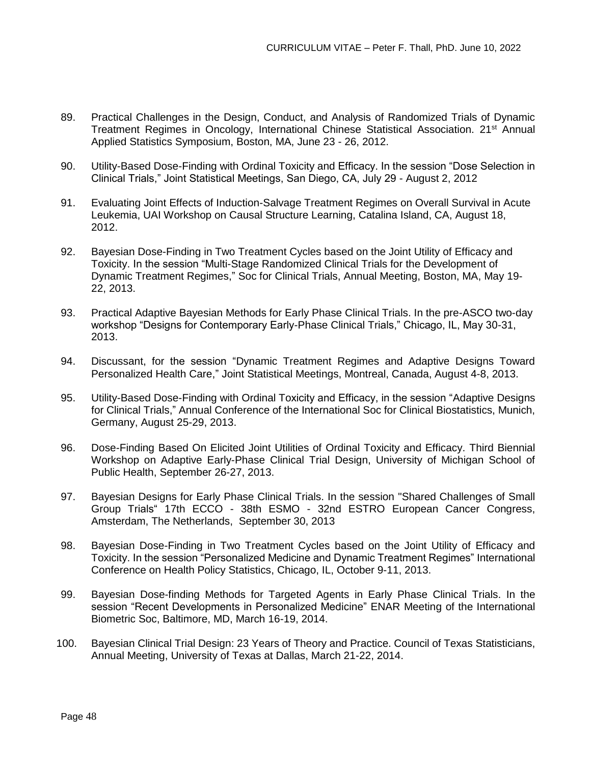- 89. Practical Challenges in the Design, Conduct, and Analysis of Randomized Trials of Dynamic Treatment Regimes in Oncology, International Chinese Statistical Association. 21<sup>st</sup> Annual Applied Statistics Symposium, Boston, MA, June 23 - 26, 2012.
- 90. Utility-Based Dose-Finding with Ordinal Toxicity and Efficacy. In the session "Dose Selection in Clinical Trials," Joint Statistical Meetings, San Diego, CA, July 29 - August 2, 2012
- 91. Evaluating Joint Effects of Induction-Salvage Treatment Regimes on Overall Survival in Acute Leukemia, UAI Workshop on Causal Structure Learning, Catalina Island, CA, August 18, 2012.
- 92. Bayesian Dose-Finding in Two Treatment Cycles based on the Joint Utility of Efficacy and Toxicity. In the session "Multi-Stage Randomized Clinical Trials for the Development of Dynamic Treatment Regimes," Soc for Clinical Trials, Annual Meeting, Boston, MA, May 19- 22, 2013.
- 93. Practical Adaptive Bayesian Methods for Early Phase Clinical Trials. In the pre-ASCO two-day workshop "Designs for Contemporary Early-Phase Clinical Trials," Chicago, IL, May 30-31, 2013.
- 94. Discussant, for the session "Dynamic Treatment Regimes and Adaptive Designs Toward Personalized Health Care," Joint Statistical Meetings, Montreal, Canada, August 4-8, 2013.
- 95. Utility-Based Dose-Finding with Ordinal Toxicity and Efficacy, in the session "Adaptive Designs for Clinical Trials," Annual Conference of the International Soc for Clinical Biostatistics, Munich, Germany, August 25-29, 2013.
- 96. Dose-Finding Based On Elicited Joint Utilities of Ordinal Toxicity and Efficacy. Third Biennial Workshop on Adaptive Early-Phase Clinical Trial Design, University of Michigan School of Public Health, September 26-27, 2013.
- 97. Bayesian Designs for Early Phase Clinical Trials. In the session "Shared Challenges of Small Group Trials" 17th ECCO - 38th ESMO - 32nd ESTRO European Cancer Congress, Amsterdam, The Netherlands, September 30, 2013
- 98. Bayesian Dose-Finding in Two Treatment Cycles based on the Joint Utility of Efficacy and Toxicity. In the session "Personalized Medicine and Dynamic Treatment Regimes" International Conference on Health Policy Statistics, Chicago, IL, October 9-11, 2013.
- 99. Bayesian Dose-finding Methods for Targeted Agents in Early Phase Clinical Trials. In the session "Recent Developments in Personalized Medicine" ENAR Meeting of the International Biometric Soc, Baltimore, MD, March 16-19, 2014.
- 100. Bayesian Clinical Trial Design: 23 Years of Theory and Practice. Council of Texas Statisticians, Annual Meeting, University of Texas at Dallas, March 21-22, 2014.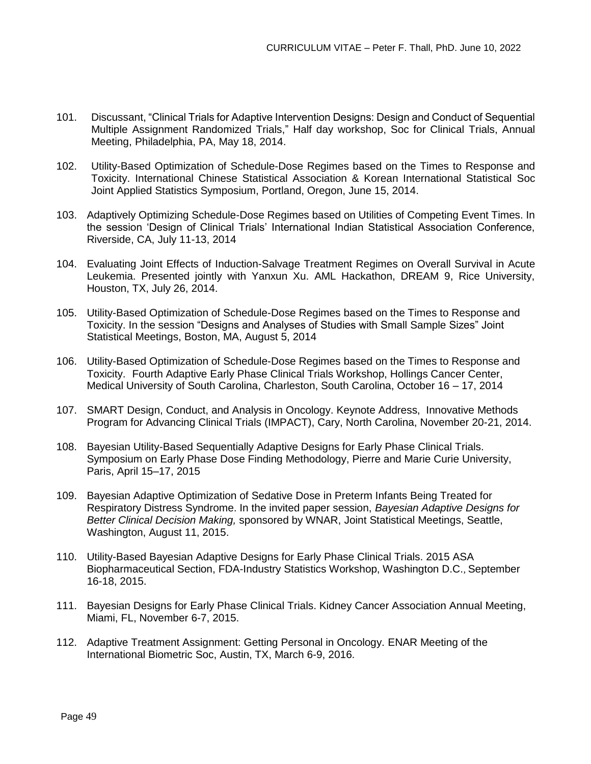- 101. Discussant, "Clinical Trials for Adaptive Intervention Designs: Design and Conduct of Sequential Multiple Assignment Randomized Trials," Half day workshop, Soc for Clinical Trials, Annual Meeting, Philadelphia, PA, May 18, 2014.
- 102. Utility-Based Optimization of Schedule-Dose Regimes based on the Times to Response and Toxicity. International Chinese Statistical Association & Korean International Statistical Soc Joint Applied Statistics Symposium, Portland, Oregon, June 15, 2014.
- 103. Adaptively Optimizing Schedule-Dose Regimes based on Utilities of Competing Event Times. In the session 'Design of Clinical Trials' International Indian Statistical Association Conference, Riverside, CA, July 11-13, 2014
- 104. Evaluating Joint Effects of Induction-Salvage Treatment Regimes on Overall Survival in Acute Leukemia. Presented jointly with Yanxun Xu. AML Hackathon, DREAM 9, Rice University, Houston, TX, July 26, 2014.
- 105. Utility-Based Optimization of Schedule-Dose Regimes based on the Times to Response and Toxicity. In the session "Designs and Analyses of Studies with Small Sample Sizes" Joint Statistical Meetings, Boston, MA, August 5, 2014
- 106. Utility-Based Optimization of Schedule-Dose Regimes based on the Times to Response and Toxicity. Fourth Adaptive Early Phase Clinical Trials Workshop, Hollings Cancer Center, Medical University of South Carolina, Charleston, South Carolina, October 16 – 17, 2014
- 107. SMART Design, Conduct, and Analysis in Oncology. Keynote Address, Innovative Methods Program for Advancing Clinical Trials (IMPACT), Cary, North Carolina, November 20-21, 2014.
- 108. Bayesian Utility-Based Sequentially Adaptive Designs for Early Phase Clinical Trials. Symposium on Early Phase Dose Finding Methodology, Pierre and Marie Curie University, Paris, April 15–17, 2015
- 109. Bayesian Adaptive Optimization of Sedative Dose in Preterm Infants Being Treated for Respiratory Distress Syndrome. In the invited paper session, *Bayesian Adaptive Designs for Better Clinical Decision Making,* sponsored by WNAR, Joint Statistical Meetings, Seattle, Washington, August 11, 2015.
- 110. Utility-Based Bayesian Adaptive Designs for Early Phase Clinical Trials. 2015 ASA Biopharmaceutical Section, FDA-Industry Statistics Workshop, Washington D.C., September 16-18, 2015.
- 111. Bayesian Designs for Early Phase Clinical Trials. Kidney Cancer Association Annual Meeting, Miami, FL, November 6-7, 2015.
- 112. Adaptive Treatment Assignment: Getting Personal in Oncology. ENAR Meeting of the International Biometric Soc, Austin, TX, March 6-9, 2016.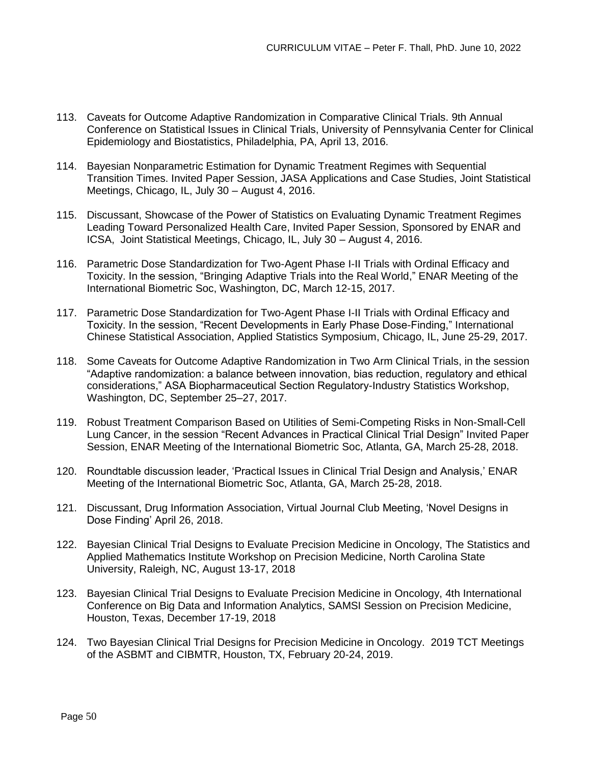- 113. Caveats for Outcome Adaptive Randomization in Comparative Clinical Trials. 9th Annual Conference on Statistical Issues in Clinical Trials, University of Pennsylvania Center for Clinical Epidemiology and Biostatistics, Philadelphia, PA, April 13, 2016.
- 114. Bayesian Nonparametric Estimation for Dynamic Treatment Regimes with Sequential Transition Times. Invited Paper Session, JASA Applications and Case Studies, Joint Statistical Meetings, Chicago, IL, July 30 – August 4, 2016.
- 115. Discussant, Showcase of the Power of Statistics on Evaluating Dynamic Treatment Regimes Leading Toward Personalized Health Care, Invited Paper Session, Sponsored by ENAR and ICSA, Joint Statistical Meetings, Chicago, IL, July 30 – August 4, 2016.
- 116. Parametric Dose Standardization for Two-Agent Phase I-II Trials with Ordinal Efficacy and Toxicity. In the session, "Bringing Adaptive Trials into the Real World," ENAR Meeting of the International Biometric Soc, Washington, DC, March 12-15, 2017.
- 117. Parametric Dose Standardization for Two-Agent Phase I-II Trials with Ordinal Efficacy and Toxicity. In the session, "Recent Developments in Early Phase Dose-Finding," International Chinese Statistical Association, Applied Statistics Symposium, Chicago, IL, June 25-29, 2017.
- 118. Some Caveats for Outcome Adaptive Randomization in Two Arm Clinical Trials, in the session "Adaptive randomization: a balance between innovation, bias reduction, regulatory and ethical considerations," ASA Biopharmaceutical Section Regulatory-Industry Statistics Workshop, Washington, DC, September 25–27, 2017.
- 119. Robust Treatment Comparison Based on Utilities of Semi-Competing Risks in Non-Small-Cell Lung Cancer, in the session "Recent Advances in Practical Clinical Trial Design" Invited Paper Session, ENAR Meeting of the International Biometric Soc, Atlanta, GA, March 25-28, 2018.
- 120. Roundtable discussion leader, 'Practical Issues in Clinical Trial Design and Analysis,' ENAR Meeting of the International Biometric Soc, Atlanta, GA, March 25-28, 2018.
- 121. Discussant, Drug Information Association, Virtual Journal Club Meeting, 'Novel Designs in Dose Finding' April 26, 2018.
- 122. Bayesian Clinical Trial Designs to Evaluate Precision Medicine in Oncology, The Statistics and Applied Mathematics Institute Workshop on Precision Medicine, North Carolina State University, Raleigh, NC, August 13-17, 2018
- 123. Bayesian Clinical Trial Designs to Evaluate Precision Medicine in Oncology, 4th International Conference on Big Data and Information Analytics, SAMSI Session on Precision Medicine, Houston, Texas, December 17-19, 2018
- 124. Two Bayesian Clinical Trial Designs for Precision Medicine in Oncology. 2019 TCT Meetings of the ASBMT and CIBMTR, Houston, TX, February 20-24, 2019.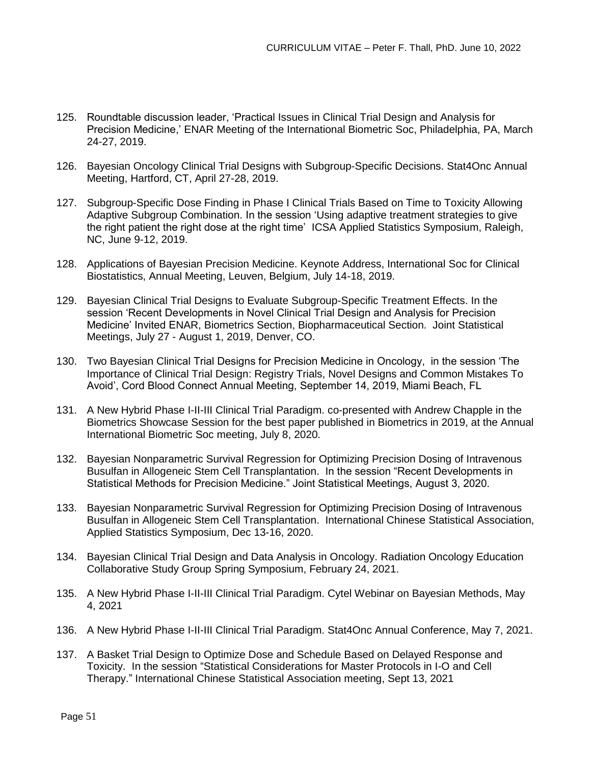- 125. Roundtable discussion leader, 'Practical Issues in Clinical Trial Design and Analysis for Precision Medicine,' ENAR Meeting of the International Biometric Soc, Philadelphia, PA, March 24-27, 2019.
- 126. Bayesian Oncology Clinical Trial Designs with Subgroup-Specific Decisions. Stat4Onc Annual Meeting, Hartford, CT, April 27-28, 2019.
- 127. Subgroup-Specific Dose Finding in Phase I Clinical Trials Based on Time to Toxicity Allowing Adaptive Subgroup Combination. In the session 'Using adaptive treatment strategies to give the right patient the right dose at the right time' ICSA Applied Statistics Symposium, Raleigh, NC, June 9-12, 2019.
- 128. Applications of Bayesian Precision Medicine. Keynote Address, International Soc for Clinical Biostatistics, Annual Meeting, Leuven, Belgium, July 14-18, 2019.
- 129. Bayesian Clinical Trial Designs to Evaluate Subgroup-Specific Treatment Effects. In the session 'Recent Developments in Novel Clinical Trial Design and Analysis for Precision Medicine' Invited ENAR, Biometrics Section, Biopharmaceutical Section. Joint Statistical Meetings, July 27 - August 1, 2019, Denver, CO.
- 130. Two Bayesian Clinical Trial Designs for Precision Medicine in Oncology, in the session 'The Importance of Clinical Trial Design: Registry Trials, Novel Designs and Common Mistakes To Avoid', Cord Blood Connect Annual Meeting, September 14, 2019, Miami Beach, FL
- 131. A New Hybrid Phase I-II-III Clinical Trial Paradigm. co-presented with Andrew Chapple in the Biometrics Showcase Session for the best paper published in Biometrics in 2019, at the Annual International Biometric Soc meeting, July 8, 2020.
- 132. Bayesian Nonparametric Survival Regression for Optimizing Precision Dosing of Intravenous Busulfan in Allogeneic Stem Cell Transplantation. In the session "Recent Developments in Statistical Methods for Precision Medicine." Joint Statistical Meetings, August 3, 2020.
- 133. Bayesian Nonparametric Survival Regression for Optimizing Precision Dosing of Intravenous Busulfan in Allogeneic Stem Cell Transplantation. International Chinese Statistical Association, Applied Statistics Symposium, Dec 13-16, 2020.
- 134. Bayesian Clinical Trial Design and Data Analysis in Oncology. Radiation Oncology Education Collaborative Study Group Spring Symposium, February 24, 2021.
- 135. A New Hybrid Phase I-II-III Clinical Trial Paradigm. Cytel Webinar on Bayesian Methods, May 4, 2021
- 136. A New Hybrid Phase I-II-III Clinical Trial Paradigm. Stat4Onc Annual Conference, May 7, 2021.
- 137. A Basket Trial Design to Optimize Dose and Schedule Based on Delayed Response and Toxicity. In the session "Statistical Considerations for Master Protocols in I-O and Cell Therapy." International Chinese Statistical Association meeting, Sept 13, 2021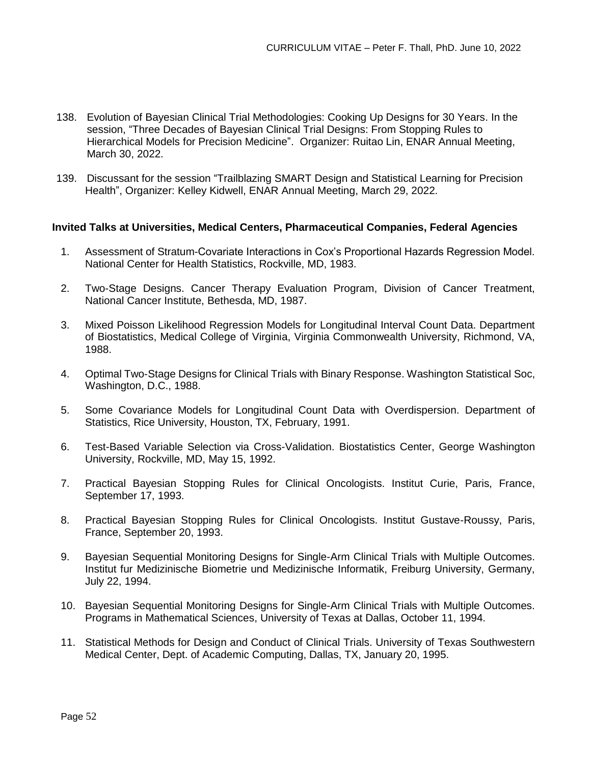- 138. Evolution of Bayesian Clinical Trial Methodologies: Cooking Up Designs for 30 Years. In the session, "Three Decades of Bayesian Clinical Trial Designs: From Stopping Rules to Hierarchical Models for Precision Medicine". Organizer: Ruitao Lin, ENAR Annual Meeting, March 30, 2022.
- 139. Discussant for the session "Trailblazing SMART Design and Statistical Learning for Precision Health", Organizer: Kelley Kidwell, ENAR Annual Meeting, March 29, 2022.

#### **Invited Talks at Universities, Medical Centers, Pharmaceutical Companies, Federal Agencies**

- 1. Assessment of Stratum-Covariate Interactions in Cox's Proportional Hazards Regression Model. National Center for Health Statistics, Rockville, MD, 1983.
- 2. Two-Stage Designs. Cancer Therapy Evaluation Program, Division of Cancer Treatment, National Cancer Institute, Bethesda, MD, 1987.
- 3. Mixed Poisson Likelihood Regression Models for Longitudinal Interval Count Data. Department of Biostatistics, Medical College of Virginia, Virginia Commonwealth University, Richmond, VA, 1988.
- 4. Optimal Two-Stage Designs for Clinical Trials with Binary Response. Washington Statistical Soc, Washington, D.C., 1988.
- 5. Some Covariance Models for Longitudinal Count Data with Overdispersion. Department of Statistics, Rice University, Houston, TX, February, 1991.
- 6. Test-Based Variable Selection via Cross-Validation. Biostatistics Center, George Washington University, Rockville, MD, May 15, 1992.
- 7. Practical Bayesian Stopping Rules for Clinical Oncologists. Institut Curie, Paris, France, September 17, 1993.
- 8. Practical Bayesian Stopping Rules for Clinical Oncologists. Institut Gustave-Roussy, Paris, France, September 20, 1993.
- 9. Bayesian Sequential Monitoring Designs for Single-Arm Clinical Trials with Multiple Outcomes. Institut fur Medizinische Biometrie und Medizinische Informatik, Freiburg University, Germany, July 22, 1994.
- 10. Bayesian Sequential Monitoring Designs for Single-Arm Clinical Trials with Multiple Outcomes. Programs in Mathematical Sciences, University of Texas at Dallas, October 11, 1994.
- 11. Statistical Methods for Design and Conduct of Clinical Trials. University of Texas Southwestern Medical Center, Dept. of Academic Computing, Dallas, TX, January 20, 1995.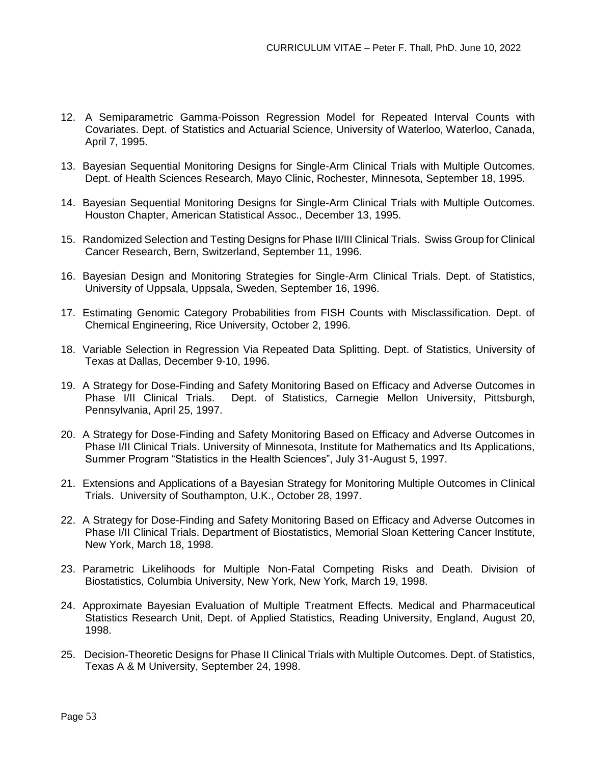- 12. A Semiparametric Gamma-Poisson Regression Model for Repeated Interval Counts with Covariates. Dept. of Statistics and Actuarial Science, University of Waterloo, Waterloo, Canada, April 7, 1995.
- 13. Bayesian Sequential Monitoring Designs for Single-Arm Clinical Trials with Multiple Outcomes. Dept. of Health Sciences Research, Mayo Clinic, Rochester, Minnesota, September 18, 1995.
- 14. Bayesian Sequential Monitoring Designs for Single-Arm Clinical Trials with Multiple Outcomes. Houston Chapter, American Statistical Assoc., December 13, 1995.
- 15. Randomized Selection and Testing Designs for Phase II/III Clinical Trials. Swiss Group for Clinical Cancer Research, Bern, Switzerland, September 11, 1996.
- 16. Bayesian Design and Monitoring Strategies for Single-Arm Clinical Trials. Dept. of Statistics, University of Uppsala, Uppsala, Sweden, September 16, 1996.
- 17. Estimating Genomic Category Probabilities from FISH Counts with Misclassification. Dept. of Chemical Engineering, Rice University, October 2, 1996.
- 18. Variable Selection in Regression Via Repeated Data Splitting. Dept. of Statistics, University of Texas at Dallas, December 9-10, 1996.
- 19. A Strategy for Dose-Finding and Safety Monitoring Based on Efficacy and Adverse Outcomes in Phase I/II Clinical Trials. Dept. of Statistics, Carnegie Mellon University, Pittsburgh, Pennsylvania, April 25, 1997.
- 20. A Strategy for Dose-Finding and Safety Monitoring Based on Efficacy and Adverse Outcomes in Phase I/II Clinical Trials. University of Minnesota, Institute for Mathematics and Its Applications, Summer Program "Statistics in the Health Sciences", July 31-August 5, 1997.
- 21. Extensions and Applications of a Bayesian Strategy for Monitoring Multiple Outcomes in Clinical Trials. University of Southampton, U.K., October 28, 1997.
- 22. A Strategy for Dose-Finding and Safety Monitoring Based on Efficacy and Adverse Outcomes in Phase I/II Clinical Trials. Department of Biostatistics, Memorial Sloan Kettering Cancer Institute, New York, March 18, 1998.
- 23. Parametric Likelihoods for Multiple Non-Fatal Competing Risks and Death. Division of Biostatistics, Columbia University, New York, New York, March 19, 1998.
- 24. Approximate Bayesian Evaluation of Multiple Treatment Effects. Medical and Pharmaceutical Statistics Research Unit, Dept. of Applied Statistics, Reading University, England, August 20, 1998.
- 25. Decision-Theoretic Designs for Phase II Clinical Trials with Multiple Outcomes. Dept. of Statistics, Texas A & M University, September 24, 1998.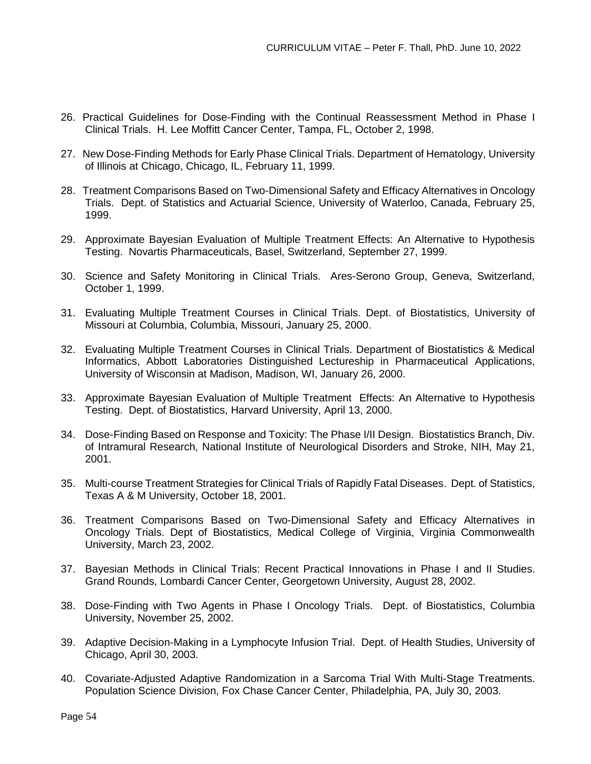- 26. Practical Guidelines for Dose-Finding with the Continual Reassessment Method in Phase I Clinical Trials. H. Lee Moffitt Cancer Center, Tampa, FL, October 2, 1998.
- 27. New Dose-Finding Methods for Early Phase Clinical Trials. Department of Hematology, University of Illinois at Chicago, Chicago, IL, February 11, 1999.
- 28. Treatment Comparisons Based on Two-Dimensional Safety and Efficacy Alternatives in Oncology Trials. Dept. of Statistics and Actuarial Science, University of Waterloo, Canada, February 25, 1999.
- 29. Approximate Bayesian Evaluation of Multiple Treatment Effects: An Alternative to Hypothesis Testing. Novartis Pharmaceuticals, Basel, Switzerland, September 27, 1999.
- 30. Science and Safety Monitoring in Clinical Trials. Ares-Serono Group, Geneva, Switzerland, October 1, 1999.
- 31. Evaluating Multiple Treatment Courses in Clinical Trials. Dept. of Biostatistics, University of Missouri at Columbia, Columbia, Missouri, January 25, 2000.
- 32. Evaluating Multiple Treatment Courses in Clinical Trials. Department of Biostatistics & Medical Informatics, Abbott Laboratories Distinguished Lectureship in Pharmaceutical Applications, University of Wisconsin at Madison, Madison, WI, January 26, 2000.
- 33. Approximate Bayesian Evaluation of Multiple Treatment Effects: An Alternative to Hypothesis Testing. Dept. of Biostatistics, Harvard University, April 13, 2000.
- 34. Dose-Finding Based on Response and Toxicity: The Phase I/II Design. Biostatistics Branch, Div. of Intramural Research, National Institute of Neurological Disorders and Stroke, NIH, May 21, 2001.
- 35. Multi-course Treatment Strategies for Clinical Trials of Rapidly Fatal Diseases. Dept. of Statistics, Texas A & M University, October 18, 2001.
- 36. Treatment Comparisons Based on Two-Dimensional Safety and Efficacy Alternatives in Oncology Trials. Dept of Biostatistics, Medical College of Virginia, Virginia Commonwealth University, March 23, 2002.
- 37. Bayesian Methods in Clinical Trials: Recent Practical Innovations in Phase I and II Studies. Grand Rounds, Lombardi Cancer Center, Georgetown University, August 28, 2002.
- 38. Dose-Finding with Two Agents in Phase I Oncology Trials. Dept. of Biostatistics, Columbia University, November 25, 2002.
- 39. Adaptive Decision-Making in a Lymphocyte Infusion Trial. Dept. of Health Studies, University of Chicago, April 30, 2003.
- 40. Covariate-Adjusted Adaptive Randomization in a Sarcoma Trial With Multi-Stage Treatments. Population Science Division, Fox Chase Cancer Center, Philadelphia, PA, July 30, 2003.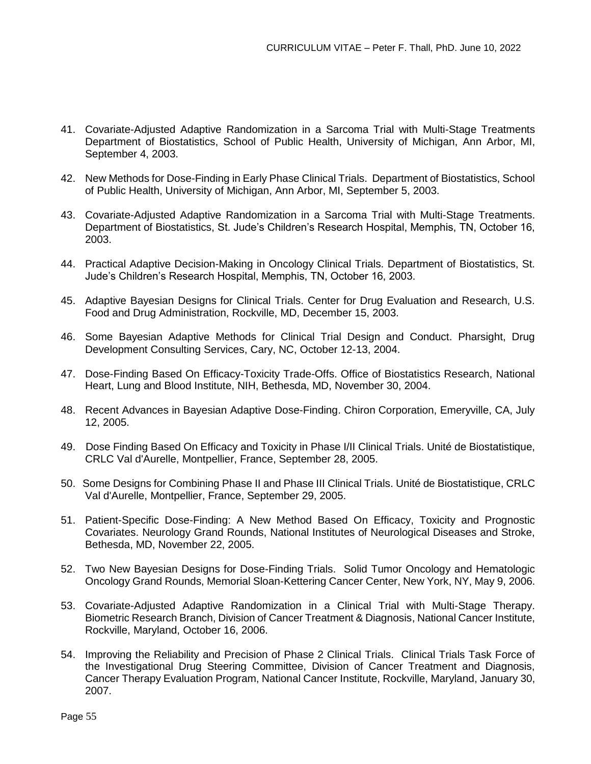- 41. Covariate-Adjusted Adaptive Randomization in a Sarcoma Trial with Multi-Stage Treatments Department of Biostatistics, School of Public Health, University of Michigan, Ann Arbor, MI, September 4, 2003.
- 42. New Methods for Dose-Finding in Early Phase Clinical Trials. Department of Biostatistics, School of Public Health, University of Michigan, Ann Arbor, MI, September 5, 2003.
- 43. Covariate-Adjusted Adaptive Randomization in a Sarcoma Trial with Multi-Stage Treatments. Department of Biostatistics, St. Jude's Children's Research Hospital, Memphis, TN, October 16, 2003.
- 44. Practical Adaptive Decision-Making in Oncology Clinical Trials. Department of Biostatistics, St. Jude's Children's Research Hospital, Memphis, TN, October 16, 2003.
- 45. Adaptive Bayesian Designs for Clinical Trials. Center for Drug Evaluation and Research, U.S. Food and Drug Administration, Rockville, MD, December 15, 2003.
- 46. Some Bayesian Adaptive Methods for Clinical Trial Design and Conduct. Pharsight, Drug Development Consulting Services, Cary, NC, October 12-13, 2004.
- 47. Dose-Finding Based On Efficacy-Toxicity Trade-Offs. Office of Biostatistics Research, National Heart, Lung and Blood Institute, NIH, Bethesda, MD, November 30, 2004.
- 48. Recent Advances in Bayesian Adaptive Dose-Finding. Chiron Corporation, Emeryville, CA, July 12, 2005.
- 49. Dose Finding Based On Efficacy and Toxicity in Phase I/II Clinical Trials. Unité de Biostatistique, CRLC Val d'Aurelle, Montpellier, France, September 28, 2005.
- 50. Some Designs for Combining Phase II and Phase III Clinical Trials. Unité de Biostatistique, CRLC Val d'Aurelle, Montpellier, France, September 29, 2005.
- 51. Patient-Specific Dose-Finding: A New Method Based On Efficacy, Toxicity and Prognostic Covariates. Neurology Grand Rounds, National Institutes of Neurological Diseases and Stroke, Bethesda, MD, November 22, 2005.
- 52. Two New Bayesian Designs for Dose-Finding Trials. Solid Tumor Oncology and Hematologic Oncology Grand Rounds, Memorial Sloan-Kettering Cancer Center, New York, NY, May 9, 2006.
- 53. Covariate-Adjusted Adaptive Randomization in a Clinical Trial with Multi-Stage Therapy. Biometric Research Branch, Division of Cancer Treatment & Diagnosis, National Cancer Institute, Rockville, Maryland, October 16, 2006.
- 54. Improving the Reliability and Precision of Phase 2 Clinical Trials. Clinical Trials Task Force of the Investigational Drug Steering Committee, Division of Cancer Treatment and Diagnosis, Cancer Therapy Evaluation Program, National Cancer Institute, Rockville, Maryland, January 30, 2007.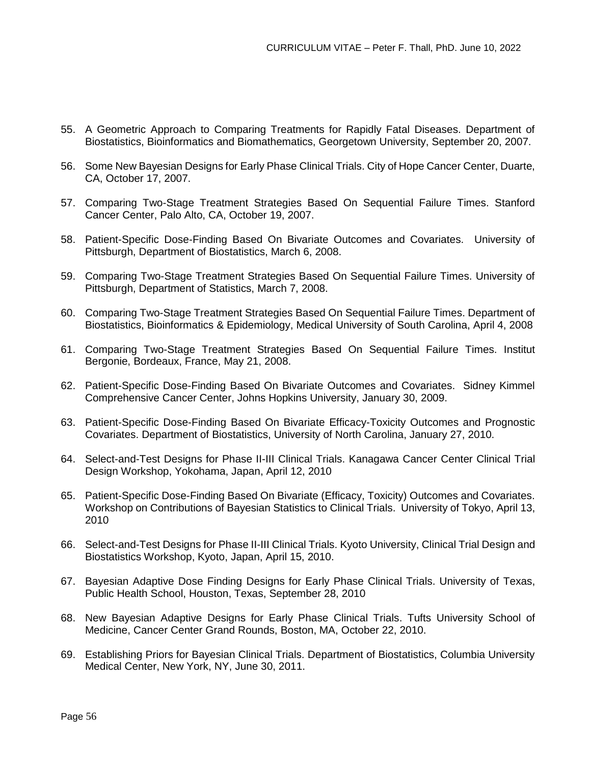- 55. A Geometric Approach to Comparing Treatments for Rapidly Fatal Diseases. Department of Biostatistics, Bioinformatics and Biomathematics, Georgetown University, September 20, 2007.
- 56. Some New Bayesian Designs for Early Phase Clinical Trials. City of Hope Cancer Center, Duarte, CA, October 17, 2007.
- 57. Comparing Two-Stage Treatment Strategies Based On Sequential Failure Times. Stanford Cancer Center, Palo Alto, CA, October 19, 2007.
- 58. Patient-Specific Dose-Finding Based On Bivariate Outcomes and Covariates. University of Pittsburgh, Department of Biostatistics, March 6, 2008.
- 59. Comparing Two-Stage Treatment Strategies Based On Sequential Failure Times. University of Pittsburgh, Department of Statistics, March 7, 2008.
- 60. Comparing Two-Stage Treatment Strategies Based On Sequential Failure Times. Department of Biostatistics, Bioinformatics & Epidemiology, Medical University of South Carolina, April 4, 2008
- 61. Comparing Two-Stage Treatment Strategies Based On Sequential Failure Times. Institut Bergonie, Bordeaux, France, May 21, 2008.
- 62. Patient-Specific Dose-Finding Based On Bivariate Outcomes and Covariates. Sidney Kimmel Comprehensive Cancer Center, Johns Hopkins University, January 30, 2009.
- 63. Patient-Specific Dose-Finding Based On Bivariate Efficacy-Toxicity Outcomes and Prognostic Covariates. Department of Biostatistics, University of North Carolina, January 27, 2010.
- 64. Select-and-Test Designs for Phase II-III Clinical Trials. Kanagawa Cancer Center Clinical Trial Design Workshop, Yokohama, Japan, April 12, 2010
- 65. Patient-Specific Dose-Finding Based On Bivariate (Efficacy, Toxicity) Outcomes and Covariates. Workshop on Contributions of Bayesian Statistics to Clinical Trials. University of Tokyo, April 13, 2010
- 66. Select-and-Test Designs for Phase II-III Clinical Trials. Kyoto University, Clinical Trial Design and Biostatistics Workshop, Kyoto, Japan, April 15, 2010.
- 67. Bayesian Adaptive Dose Finding Designs for Early Phase Clinical Trials. University of Texas, Public Health School, Houston, Texas, September 28, 2010
- 68. New Bayesian Adaptive Designs for Early Phase Clinical Trials. Tufts University School of Medicine, Cancer Center Grand Rounds, Boston, MA, October 22, 2010.
- 69. Establishing Priors for Bayesian Clinical Trials. Department of Biostatistics, Columbia University Medical Center, New York, NY, June 30, 2011.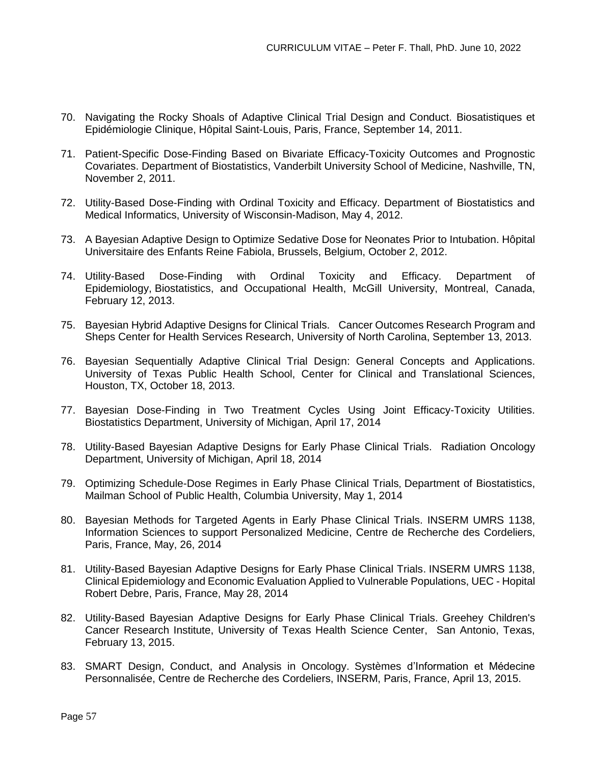- 70. Navigating the Rocky Shoals of Adaptive Clinical Trial Design and Conduct. Biosatistiques et Epidémiologie Clinique, Hôpital Saint-Louis, Paris, France, September 14, 2011.
- 71. Patient-Specific Dose-Finding Based on Bivariate Efficacy-Toxicity Outcomes and Prognostic Covariates. Department of Biostatistics, Vanderbilt University School of Medicine, Nashville, TN, November 2, 2011.
- 72. Utility-Based Dose-Finding with Ordinal Toxicity and Efficacy. Department of Biostatistics and Medical Informatics, University of Wisconsin-Madison, May 4, 2012.
- 73. A Bayesian Adaptive Design to Optimize Sedative Dose for Neonates Prior to Intubation. Hôpital Universitaire des Enfants Reine Fabiola, Brussels, Belgium, October 2, 2012.
- 74. Utility-Based Dose-Finding with Ordinal Toxicity and Efficacy. Department of Epidemiology, Biostatistics, and Occupational Health, McGill University, Montreal, Canada, February 12, 2013.
- 75. Bayesian Hybrid Adaptive Designs for Clinical Trials. Cancer Outcomes Research Program and Sheps Center for Health Services Research, University of North Carolina, September 13, 2013.
- 76. Bayesian Sequentially Adaptive Clinical Trial Design: General Concepts and Applications. University of Texas Public Health School, Center for Clinical and Translational Sciences, Houston, TX, October 18, 2013.
- 77. Bayesian Dose-Finding in Two Treatment Cycles Using Joint Efficacy-Toxicity Utilities. Biostatistics Department, University of Michigan, April 17, 2014
- 78. Utility-Based Bayesian Adaptive Designs for Early Phase Clinical Trials. Radiation Oncology Department, University of Michigan, April 18, 2014
- 79. Optimizing Schedule-Dose Regimes in Early Phase Clinical Trials, Department of Biostatistics, Mailman School of Public Health, Columbia University, May 1, 2014
- 80. Bayesian Methods for Targeted Agents in Early Phase Clinical Trials. INSERM UMRS 1138, Information Sciences to support Personalized Medicine, Centre de Recherche des Cordeliers, Paris, France, May, 26, 2014
- 81. Utility-Based Bayesian Adaptive Designs for Early Phase Clinical Trials. INSERM UMRS 1138, Clinical Epidemiology and Economic Evaluation Applied to Vulnerable Populations, UEC - Hopital Robert Debre, Paris, France, May 28, 2014
- 82. Utility-Based Bayesian Adaptive Designs for Early Phase Clinical Trials. Greehey Children's Cancer Research Institute, University of Texas Health Science Center, San Antonio, Texas, February 13, 2015.
- 83. SMART Design, Conduct, and Analysis in Oncology. Systèmes d'Information et Médecine Personnalisée, Centre de Recherche des Cordeliers, INSERM, Paris, France, April 13, 2015.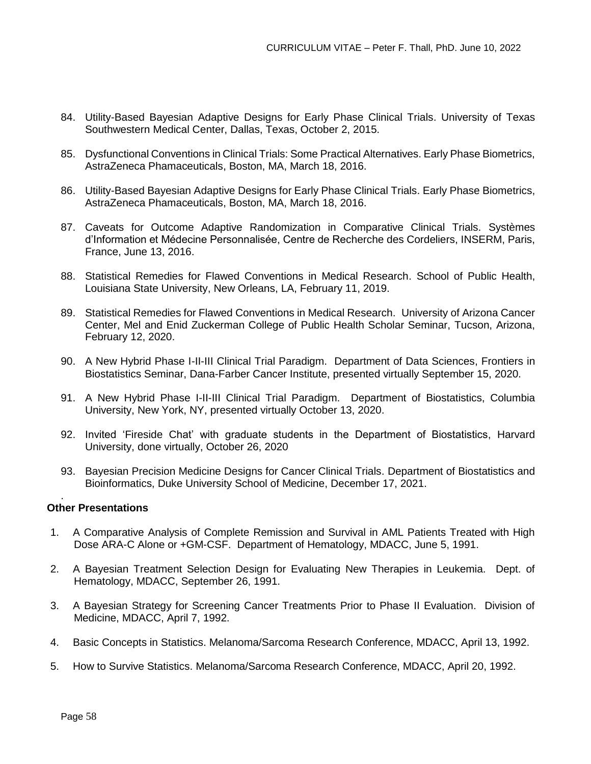- 84. Utility-Based Bayesian Adaptive Designs for Early Phase Clinical Trials. University of Texas Southwestern Medical Center, Dallas, Texas, October 2, 2015.
- 85. Dysfunctional Conventions in Clinical Trials: Some Practical Alternatives. Early Phase Biometrics, AstraZeneca Phamaceuticals, Boston, MA, March 18, 2016.
- 86. Utility-Based Bayesian Adaptive Designs for Early Phase Clinical Trials. Early Phase Biometrics, AstraZeneca Phamaceuticals, Boston, MA, March 18, 2016.
- 87. Caveats for Outcome Adaptive Randomization in Comparative Clinical Trials. Systèmes d'Information et Médecine Personnalisée, Centre de Recherche des Cordeliers, INSERM, Paris, France, June 13, 2016.
- 88. Statistical Remedies for Flawed Conventions in Medical Research. School of Public Health, Louisiana State University, New Orleans, LA, February 11, 2019.
- 89. Statistical Remedies for Flawed Conventions in Medical Research. University of Arizona Cancer Center, Mel and Enid Zuckerman College of Public Health Scholar Seminar, Tucson, Arizona, February 12, 2020.
- 90. A New Hybrid Phase I-II-III Clinical Trial Paradigm. Department of Data Sciences, Frontiers in Biostatistics Seminar, Dana-Farber Cancer Institute, presented virtually September 15, 2020.
- 91. A New Hybrid Phase I-II-III Clinical Trial Paradigm. Department of Biostatistics, Columbia University, New York, NY, presented virtually October 13, 2020.
- 92. Invited 'Fireside Chat' with graduate students in the Department of Biostatistics, Harvard University, done virtually, October 26, 2020
- 93. Bayesian Precision Medicine Designs for Cancer Clinical Trials. Department of Biostatistics and Bioinformatics, Duke University School of Medicine, December 17, 2021.

### **Other Presentations**

.

- 1. A Comparative Analysis of Complete Remission and Survival in AML Patients Treated with High Dose ARA-C Alone or +GM-CSF. Department of Hematology, MDACC, June 5, 1991.
- 2. A Bayesian Treatment Selection Design for Evaluating New Therapies in Leukemia. Dept. of Hematology, MDACC, September 26, 1991.
- 3. A Bayesian Strategy for Screening Cancer Treatments Prior to Phase II Evaluation. Division of Medicine, MDACC, April 7, 1992.
- 4. Basic Concepts in Statistics. Melanoma/Sarcoma Research Conference, MDACC, April 13, 1992.
- 5. How to Survive Statistics. Melanoma/Sarcoma Research Conference, MDACC, April 20, 1992.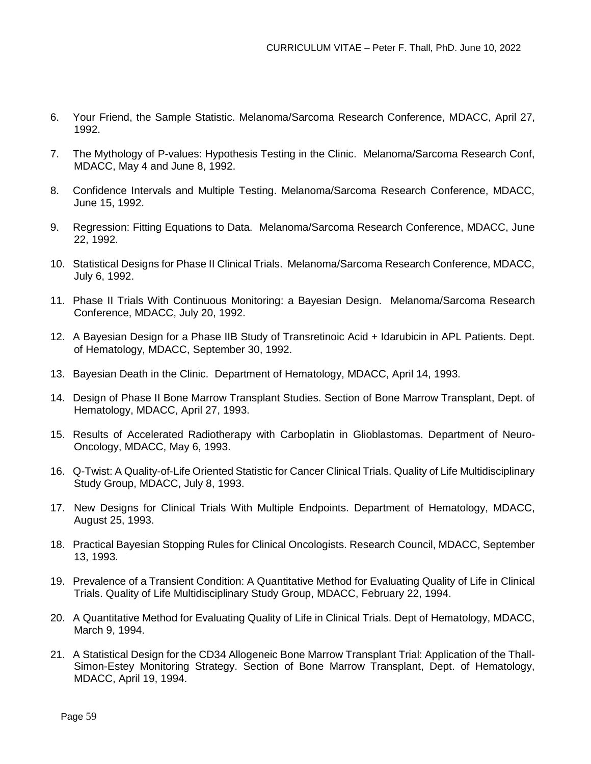- 6. Your Friend, the Sample Statistic. Melanoma/Sarcoma Research Conference, MDACC, April 27, 1992.
- 7. The Mythology of P-values: Hypothesis Testing in the Clinic. Melanoma/Sarcoma Research Conf, MDACC, May 4 and June 8, 1992.
- 8. Confidence Intervals and Multiple Testing. Melanoma/Sarcoma Research Conference, MDACC, June 15, 1992.
- 9. Regression: Fitting Equations to Data. Melanoma/Sarcoma Research Conference, MDACC, June 22, 1992.
- 10. Statistical Designs for Phase II Clinical Trials. Melanoma/Sarcoma Research Conference, MDACC, July 6, 1992.
- 11. Phase II Trials With Continuous Monitoring: a Bayesian Design. Melanoma/Sarcoma Research Conference, MDACC, July 20, 1992.
- 12. A Bayesian Design for a Phase IIB Study of Transretinoic Acid + Idarubicin in APL Patients. Dept. of Hematology, MDACC, September 30, 1992.
- 13. Bayesian Death in the Clinic. Department of Hematology, MDACC, April 14, 1993.
- 14. Design of Phase II Bone Marrow Transplant Studies. Section of Bone Marrow Transplant, Dept. of Hematology, MDACC, April 27, 1993.
- 15. Results of Accelerated Radiotherapy with Carboplatin in Glioblastomas. Department of Neuro-Oncology, MDACC, May 6, 1993.
- 16. Q-Twist: A Quality-of-Life Oriented Statistic for Cancer Clinical Trials. Quality of Life Multidisciplinary Study Group, MDACC, July 8, 1993.
- 17. New Designs for Clinical Trials With Multiple Endpoints. Department of Hematology, MDACC, August 25, 1993.
- 18. Practical Bayesian Stopping Rules for Clinical Oncologists. Research Council, MDACC, September 13, 1993.
- 19. Prevalence of a Transient Condition: A Quantitative Method for Evaluating Quality of Life in Clinical Trials. Quality of Life Multidisciplinary Study Group, MDACC, February 22, 1994.
- 20. A Quantitative Method for Evaluating Quality of Life in Clinical Trials. Dept of Hematology, MDACC, March 9, 1994.
- 21. A Statistical Design for the CD34 Allogeneic Bone Marrow Transplant Trial: Application of the Thall-Simon-Estey Monitoring Strategy. Section of Bone Marrow Transplant, Dept. of Hematology, MDACC, April 19, 1994.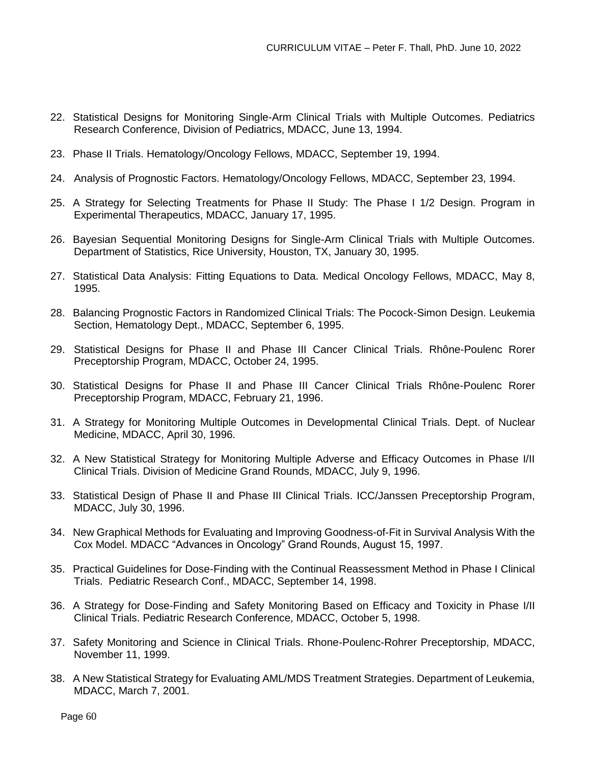- 22. Statistical Designs for Monitoring Single-Arm Clinical Trials with Multiple Outcomes. Pediatrics Research Conference, Division of Pediatrics, MDACC, June 13, 1994.
- 23. Phase II Trials. Hematology/Oncology Fellows, MDACC, September 19, 1994.
- 24. Analysis of Prognostic Factors. Hematology/Oncology Fellows, MDACC, September 23, 1994.
- 25. A Strategy for Selecting Treatments for Phase II Study: The Phase I 1/2 Design. Program in Experimental Therapeutics, MDACC, January 17, 1995.
- 26. Bayesian Sequential Monitoring Designs for Single-Arm Clinical Trials with Multiple Outcomes. Department of Statistics, Rice University, Houston, TX, January 30, 1995.
- 27. Statistical Data Analysis: Fitting Equations to Data. Medical Oncology Fellows, MDACC, May 8, 1995.
- 28. Balancing Prognostic Factors in Randomized Clinical Trials: The Pocock-Simon Design. Leukemia Section, Hematology Dept., MDACC, September 6, 1995.
- 29. Statistical Designs for Phase II and Phase III Cancer Clinical Trials. Rhône-Poulenc Rorer Preceptorship Program, MDACC, October 24, 1995.
- 30. Statistical Designs for Phase II and Phase III Cancer Clinical Trials Rhône-Poulenc Rorer Preceptorship Program, MDACC, February 21, 1996.
- 31. A Strategy for Monitoring Multiple Outcomes in Developmental Clinical Trials. Dept. of Nuclear Medicine, MDACC, April 30, 1996.
- 32. A New Statistical Strategy for Monitoring Multiple Adverse and Efficacy Outcomes in Phase I/II Clinical Trials. Division of Medicine Grand Rounds, MDACC, July 9, 1996.
- 33. Statistical Design of Phase II and Phase III Clinical Trials. ICC/Janssen Preceptorship Program, MDACC, July 30, 1996.
- 34. New Graphical Methods for Evaluating and Improving Goodness-of-Fit in Survival Analysis With the Cox Model. MDACC "Advances in Oncology" Grand Rounds, August 15, 1997.
- 35. Practical Guidelines for Dose-Finding with the Continual Reassessment Method in Phase I Clinical Trials. Pediatric Research Conf., MDACC, September 14, 1998.
- 36. A Strategy for Dose-Finding and Safety Monitoring Based on Efficacy and Toxicity in Phase I/II Clinical Trials. Pediatric Research Conference, MDACC, October 5, 1998.
- 37. Safety Monitoring and Science in Clinical Trials. Rhone-Poulenc-Rohrer Preceptorship, MDACC, November 11, 1999.
- 38. A New Statistical Strategy for Evaluating AML/MDS Treatment Strategies. Department of Leukemia, MDACC, March 7, 2001.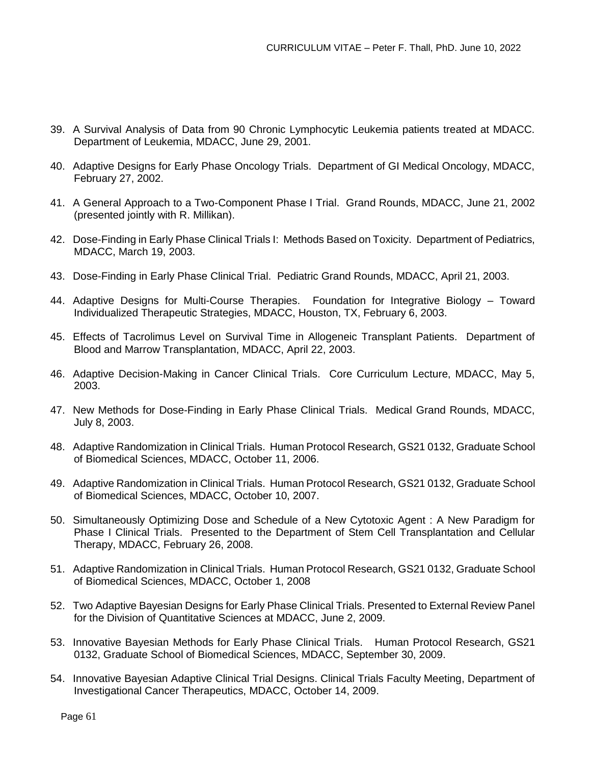- 39. A Survival Analysis of Data from 90 Chronic Lymphocytic Leukemia patients treated at MDACC. Department of Leukemia, MDACC, June 29, 2001.
- 40. Adaptive Designs for Early Phase Oncology Trials. Department of GI Medical Oncology, MDACC, February 27, 2002.
- 41. A General Approach to a Two-Component Phase I Trial. Grand Rounds, MDACC, June 21, 2002 (presented jointly with R. Millikan).
- 42. Dose-Finding in Early Phase Clinical Trials I: Methods Based on Toxicity. Department of Pediatrics, MDACC, March 19, 2003.
- 43. Dose-Finding in Early Phase Clinical Trial. Pediatric Grand Rounds, MDACC, April 21, 2003.
- 44. Adaptive Designs for Multi-Course Therapies. Foundation for Integrative Biology Toward Individualized Therapeutic Strategies, MDACC, Houston, TX, February 6, 2003.
- 45. Effects of Tacrolimus Level on Survival Time in Allogeneic Transplant Patients. Department of Blood and Marrow Transplantation, MDACC, April 22, 2003.
- 46. Adaptive Decision-Making in Cancer Clinical Trials. Core Curriculum Lecture, MDACC, May 5, 2003.
- 47. New Methods for Dose-Finding in Early Phase Clinical Trials. Medical Grand Rounds, MDACC, July 8, 2003.
- 48. Adaptive Randomization in Clinical Trials. Human Protocol Research, GS21 0132, Graduate School of Biomedical Sciences, MDACC, October 11, 2006.
- 49. Adaptive Randomization in Clinical Trials. Human Protocol Research, GS21 0132, Graduate School of Biomedical Sciences, MDACC, October 10, 2007.
- 50. Simultaneously Optimizing Dose and Schedule of a New Cytotoxic Agent : A New Paradigm for Phase I Clinical Trials. Presented to the Department of Stem Cell Transplantation and Cellular Therapy, MDACC, February 26, 2008.
- 51. Adaptive Randomization in Clinical Trials. Human Protocol Research, GS21 0132, Graduate School of Biomedical Sciences, MDACC, October 1, 2008
- 52. Two Adaptive Bayesian Designs for Early Phase Clinical Trials. Presented to External Review Panel for the Division of Quantitative Sciences at MDACC, June 2, 2009.
- 53. Innovative Bayesian Methods for Early Phase Clinical Trials. Human Protocol Research, GS21 0132, Graduate School of Biomedical Sciences, MDACC, September 30, 2009.
- 54. Innovative Bayesian Adaptive Clinical Trial Designs. Clinical Trials Faculty Meeting, Department of Investigational Cancer Therapeutics, MDACC, October 14, 2009.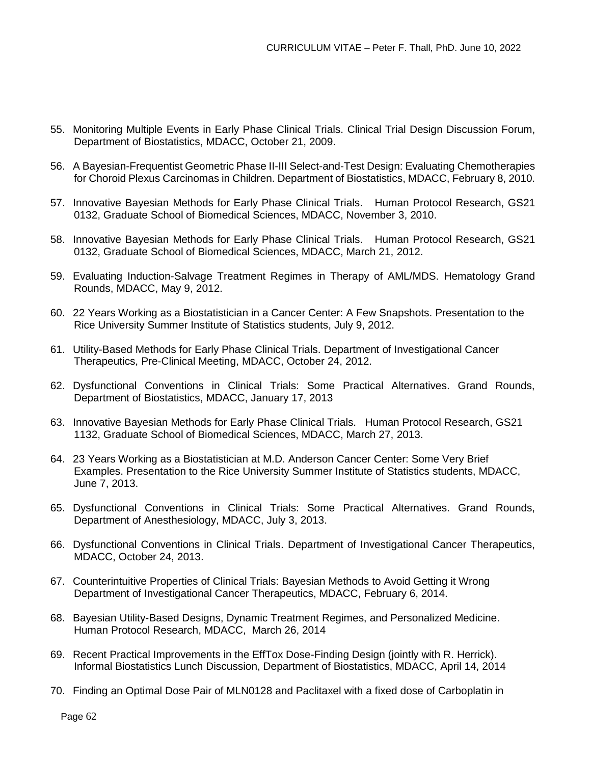- 55. Monitoring Multiple Events in Early Phase Clinical Trials. Clinical Trial Design Discussion Forum, Department of Biostatistics, MDACC, October 21, 2009.
- 56. A Bayesian-Frequentist Geometric Phase II-III Select-and-Test Design: Evaluating Chemotherapies for Choroid Plexus Carcinomas in Children. Department of Biostatistics, MDACC, February 8, 2010.
- 57. Innovative Bayesian Methods for Early Phase Clinical Trials. Human Protocol Research, GS21 0132, Graduate School of Biomedical Sciences, MDACC, November 3, 2010.
- 58. Innovative Bayesian Methods for Early Phase Clinical Trials. Human Protocol Research, GS21 0132, Graduate School of Biomedical Sciences, MDACC, March 21, 2012.
- 59. Evaluating Induction-Salvage Treatment Regimes in Therapy of AML/MDS. Hematology Grand Rounds, MDACC, May 9, 2012.
- 60. 22 Years Working as a Biostatistician in a Cancer Center: A Few Snapshots. Presentation to the Rice University Summer Institute of Statistics students, July 9, 2012.
- 61. Utility-Based Methods for Early Phase Clinical Trials. Department of Investigational Cancer Therapeutics, Pre-Clinical Meeting, MDACC, October 24, 2012.
- 62. Dysfunctional Conventions in Clinical Trials: Some Practical Alternatives. Grand Rounds, Department of Biostatistics, MDACC, January 17, 2013
- 63. Innovative Bayesian Methods for Early Phase Clinical Trials. Human Protocol Research, GS21 1132, Graduate School of Biomedical Sciences, MDACC, March 27, 2013.
- 64. 23 Years Working as a Biostatistician at M.D. Anderson Cancer Center: Some Very Brief Examples. Presentation to the Rice University Summer Institute of Statistics students, MDACC, June 7, 2013.
- 65. Dysfunctional Conventions in Clinical Trials: Some Practical Alternatives. Grand Rounds, Department of Anesthesiology, MDACC, July 3, 2013.
- 66. Dysfunctional Conventions in Clinical Trials. Department of Investigational Cancer Therapeutics, MDACC, October 24, 2013.
- 67. Counterintuitive Properties of Clinical Trials: Bayesian Methods to Avoid Getting it Wrong Department of Investigational Cancer Therapeutics, MDACC, February 6, 2014.
- 68. Bayesian Utility-Based Designs, Dynamic Treatment Regimes, and Personalized Medicine. Human Protocol Research, MDACC, March 26, 2014
- 69. Recent Practical Improvements in the EffTox Dose-Finding Design (jointly with R. Herrick). Informal Biostatistics Lunch Discussion, Department of Biostatistics, MDACC, April 14, 2014
- 70. Finding an Optimal Dose Pair of MLN0128 and Paclitaxel with a fixed dose of Carboplatin in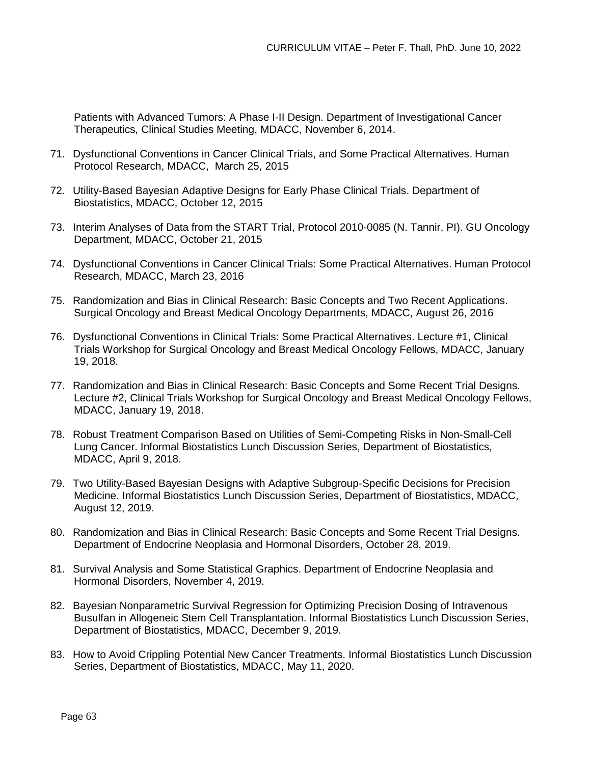Patients with Advanced Tumors: A Phase I-II Design. Department of Investigational Cancer Therapeutics, Clinical Studies Meeting, MDACC, November 6, 2014.

- 71. Dysfunctional Conventions in Cancer Clinical Trials, and Some Practical Alternatives. Human Protocol Research, MDACC, March 25, 2015
- 72. Utility-Based Bayesian Adaptive Designs for Early Phase Clinical Trials. Department of Biostatistics, MDACC, October 12, 2015
- 73. Interim Analyses of Data from the START Trial, Protocol 2010-0085 (N. Tannir, PI). GU Oncology Department, MDACC, October 21, 2015
- 74. Dysfunctional Conventions in Cancer Clinical Trials: Some Practical Alternatives. Human Protocol Research, MDACC, March 23, 2016
- 75. Randomization and Bias in Clinical Research: Basic Concepts and Two Recent Applications. Surgical Oncology and Breast Medical Oncology Departments, MDACC, August 26, 2016
- 76. Dysfunctional Conventions in Clinical Trials: Some Practical Alternatives. Lecture #1, Clinical Trials Workshop for Surgical Oncology and Breast Medical Oncology Fellows, MDACC, January 19, 2018.
- 77. Randomization and Bias in Clinical Research: Basic Concepts and Some Recent Trial Designs. Lecture #2, Clinical Trials Workshop for Surgical Oncology and Breast Medical Oncology Fellows, MDACC, January 19, 2018.
- 78. Robust Treatment Comparison Based on Utilities of Semi-Competing Risks in Non-Small-Cell Lung Cancer. Informal Biostatistics Lunch Discussion Series, Department of Biostatistics, MDACC, April 9, 2018.
- 79. Two Utility-Based Bayesian Designs with Adaptive Subgroup-Specific Decisions for Precision Medicine. Informal Biostatistics Lunch Discussion Series, Department of Biostatistics, MDACC, August 12, 2019.
- 80. Randomization and Bias in Clinical Research: Basic Concepts and Some Recent Trial Designs. Department of Endocrine Neoplasia and Hormonal Disorders, October 28, 2019.
- 81. Survival Analysis and Some Statistical Graphics. Department of Endocrine Neoplasia and Hormonal Disorders, November 4, 2019.
- 82. Bayesian Nonparametric Survival Regression for Optimizing Precision Dosing of Intravenous Busulfan in Allogeneic Stem Cell Transplantation. Informal Biostatistics Lunch Discussion Series, Department of Biostatistics, MDACC, December 9, 2019.
- 83. How to Avoid Crippling Potential New Cancer Treatments. Informal Biostatistics Lunch Discussion Series, Department of Biostatistics, MDACC, May 11, 2020.